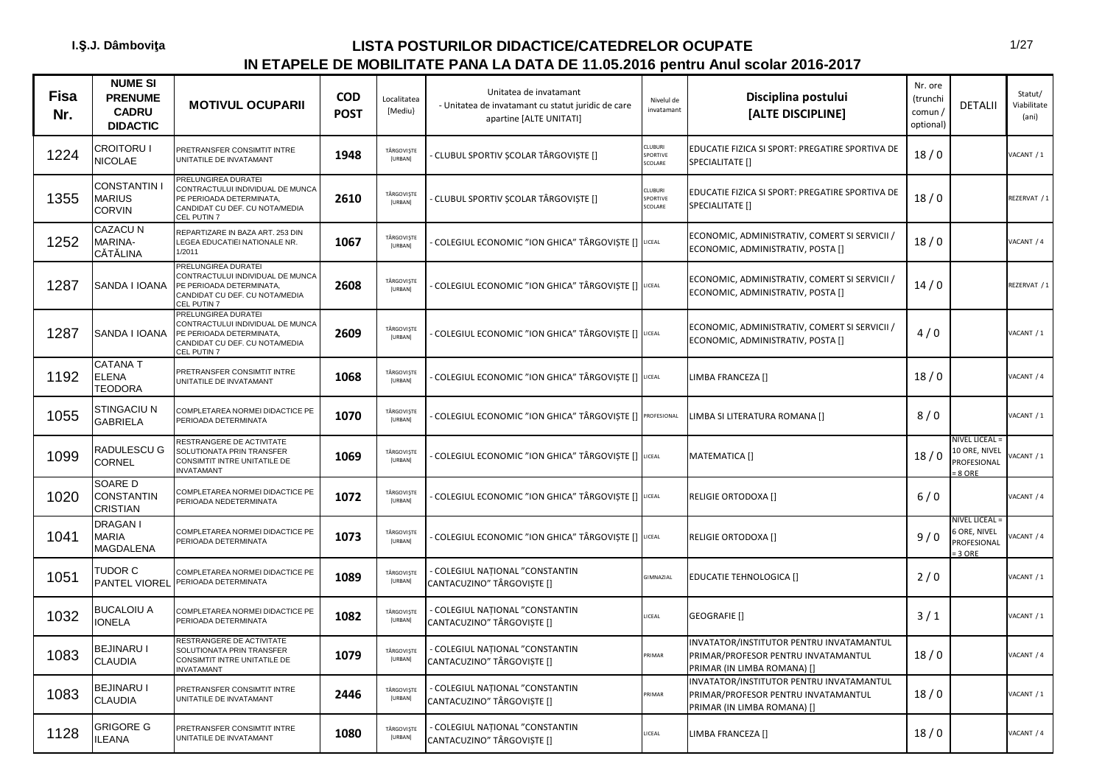| <b>Fisa</b><br>Nr. | <b>NUME SI</b><br><b>PRENUME</b><br><b>CADRU</b><br><b>DIDACTIC</b> | <b>MOTIVUL OCUPARII</b>                                                                                                              | <b>COD</b><br><b>POST</b> | Localitatea<br>[Mediu]       | Unitatea de invatamant<br>- Unitatea de invatamant cu statut juridic de care<br>apartine [ALTE UNITATI] | Nivelul de<br>invatamant        | Disciplina postului<br>[ALTE DISCIPLINE]                                                                       | Nr. ore<br>(trunchi<br>comun /<br>optional) | <b>DETALII</b>                                                 | Statut/<br>Viabilitate<br>(ani) |
|--------------------|---------------------------------------------------------------------|--------------------------------------------------------------------------------------------------------------------------------------|---------------------------|------------------------------|---------------------------------------------------------------------------------------------------------|---------------------------------|----------------------------------------------------------------------------------------------------------------|---------------------------------------------|----------------------------------------------------------------|---------------------------------|
| 1224               | CROITORU I<br><b>NICOLAE</b>                                        | PRETRANSFER CONSIMTIT INTRE<br>UNITATILE DE INVATAMANT                                                                               | 1948                      | TÂRGOVIȘTE<br>[URBAN]        | CLUBUL SPORTIV ȘCOLAR TÂRGOVIȘTE []                                                                     | CI URURI<br>SPORTIVE<br>SCOLARE | EDUCATIE FIZICA SI SPORT: PREGATIRE SPORTIVA DE<br>SPECIALITATE []                                             | 18/0                                        |                                                                | /ACANT / 1                      |
| 1355               | CONSTANTIN I<br>MARIUS<br>CORVIN                                    | PRELUNGIREA DURATEI<br>CONTRACTULUI INDIVIDUAL DE MUNCA<br>PE PERIOADA DETERMINATA,<br>CANDIDAT CU DEF. CU NOTA/MEDIA<br>CEL PUTIN 7 | 2610                      | TÂRGOVISTE<br>[URBAN]        | CLUBUL SPORTIV ȘCOLAR TÂRGOVIȘTE []                                                                     | CLUBURI<br>SPORTIVE<br>SCOLARE  | EDUCATIE FIZICA SI SPORT: PREGATIRE SPORTIVA DE<br>SPECIALITATE []                                             | 18/0                                        |                                                                | REZERVAT / 1                    |
| 1252               | CAZACU N<br>MARINA-<br>CĂTĂLINA                                     | REPARTIZARE IN BAZA ART. 253 DIN<br>LEGEA EDUCATIEI NATIONALE NR.<br>1/2011                                                          | 1067                      | TÂRGOVIȘTE<br>[URBAN]        | COLEGIUL ECONOMIC "ION GHICA" TÂRGOVIȘTE [] UCEAL                                                       |                                 | ECONOMIC, ADMINISTRATIV, COMERT SI SERVICII /<br>ECONOMIC, ADMINISTRATIV, POSTA []                             | 18/0                                        |                                                                | VACANT / 4                      |
| 1287               | SANDA I IOANA                                                       | PRELUNGIREA DURATEI<br>CONTRACTULUI INDIVIDUAL DE MUNCA<br>PE PERIOADA DETERMINATA,<br>CANDIDAT CU DEF. CU NOTA/MEDIA<br>CEL PUTIN 7 | 2608                      | TÂRGOVIȘTE<br>[URBAN]        | COLEGIUL ECONOMIC "ION GHICA" TÂRGOVIȘTE [] UCEAL                                                       |                                 | ECONOMIC, ADMINISTRATIV, COMERT SI SERVICII /<br>ECONOMIC, ADMINISTRATIV, POSTA []                             | 14/0                                        |                                                                | REZERVAT / 1                    |
| 1287               | SANDA I IOANA                                                       | PRELUNGIREA DURATEI<br>CONTRACTULUI INDIVIDUAL DE MUNCA<br>PE PERIOADA DETERMINATA,<br>CANDIDAT CU DEF. CU NOTA/MEDIA<br>CEL PUTIN 7 | 2609                      | TÂRGOVIȘTE<br><b>[URBAN]</b> | COLEGIUL ECONOMIC "ION GHICA" TÂRGOVIȘTE [] UCEAL                                                       |                                 | ECONOMIC, ADMINISTRATIV, COMERT SI SERVICII /<br>ECONOMIC, ADMINISTRATIV, POSTA []                             | 4/0                                         |                                                                | VACANT / 1                      |
| 1192               | CATANA T<br><b>ELENA</b><br><b>TEODORA</b>                          | PRETRANSFER CONSIMTIT INTRE<br>UNITATILE DE INVATAMANT                                                                               | 1068                      | TÂRGOVIȘTE<br>[URBAN]        | COLEGIUL ECONOMIC "ION GHICA" TÂRGOVIȘTE [] UCEAL                                                       |                                 | LIMBA FRANCEZA []                                                                                              | 18/0                                        |                                                                | VACANT / 4                      |
| 1055               | STINGACIU N<br><b>GABRIELA</b>                                      | COMPLETAREA NORMEI DIDACTICE PE<br>PERIOADA DETERMINATA                                                                              | 1070                      | TÂRGOVIȘTE<br>[URBAN]        | COLEGIUL ECONOMIC "ION GHICA" TÂRGOVIȘTE [] PROFESIONAL                                                 |                                 | LIMBA SI LITERATURA ROMANA []                                                                                  | 8/0                                         |                                                                | ACANT / 1                       |
| 1099               | RADULESCU G<br><b>CORNEL</b>                                        | RESTRANGERE DE ACTIVITATE<br>SOLUTIONATA PRIN TRANSFER<br>CONSIMTIT INTRE UNITATILE DE<br><b>INVATAMANT</b>                          | 1069                      | TÂRGOVIȘTE<br>[URBAN]        | COLEGIUL ECONOMIC "ION GHICA" TÂRGOVIȘTE [] LICEAL                                                      |                                 | MATEMATICA []                                                                                                  | 18/0                                        | <b>NIVEL LICEAL =</b><br>10 ORE, NIVEL<br>PROFESIONAL<br>8 ORE | ACANT / 1                       |
| 1020               | SOARE D<br>CONSTANTIN<br>CRISTIAN                                   | COMPLETAREA NORMEI DIDACTICE PE<br>PERIOADA NEDETERMINATA                                                                            | 1072                      | TÂRGOVIȘTE<br>[URBAN]        | COLEGIUL ECONOMIC "ION GHICA" TÂRGOVIȘTE [] UCEAL                                                       |                                 | <b>RELIGIE ORTODOXA []</b>                                                                                     | $6/0$                                       |                                                                | ACANT / 4                       |
| 1041               | DRAGAN I<br><b>MARIA</b><br>MAGDALENA                               | COMPLETAREA NORMEI DIDACTICE PE<br>PERIOADA DETERMINATA                                                                              | 1073                      | TÂRGOVISTE<br>[URBAN]        | COLEGIUL ECONOMIC "ION GHICA" TÂRGOVIȘTE [] LICEAL                                                      |                                 | RELIGIE ORTODOXA []                                                                                            | 9/0                                         | <b>NIVEL LICEAL:</b><br>ORE, NIVEL<br>PROFESIONAL<br>3 ORE     | ACANT / 4                       |
| 1051               | TUDOR C<br><b>PANTEL VIOREL</b>                                     | COMPLETAREA NORMEI DIDACTICE PE<br>PERIOADA DETERMINATA                                                                              | 1089                      | TÂRGOVISTE<br>[URBAN]        | COLEGIUL NATIONAL "CONSTANTIN<br>CANTACUZINO" TÂRGOVISTE []                                             | GIMNAZIAL                       | EDUCATIE TEHNOLOGICA []                                                                                        | 2/0                                         |                                                                | /ACANT / 1                      |
| 1032               | <b>BUCALOIU A</b><br><b>IONELA</b>                                  | COMPLETAREA NORMEI DIDACTICE PE<br>PERIOADA DETERMINATA                                                                              | 1082                      | TÂRGOVISTE<br>[URBAN]        | COLEGIUL NAȚIONAL "CONSTANTIN<br>CANTACUZINO" TÂRGOVIȘTE []                                             | LICEAL                          | GEOGRAFIE []                                                                                                   | 3/1                                         |                                                                | ACANT / 1                       |
| 1083               | <b>BEJINARU I</b><br><b>CLAUDIA</b>                                 | RESTRANGERE DE ACTIVITATE<br>SOLUTIONATA PRIN TRANSFER<br>CONSIMTIT INTRE UNITATILE DE<br><b>INVATAMANT</b>                          | 1079                      | TÂRGOVIȘTE<br>[URBAN]        | COLEGIUL NATIONAL "CONSTANTIN<br>CANTACUZINO" TÂRGOVIȘTE []                                             | PRIMAR                          | INVATATOR/INSTITUTOR PENTRU INVATAMANTUL<br>PRIMAR/PROFESOR PENTRU INVATAMANTUL<br>PRIMAR (IN LIMBA ROMANA) [] | 18/0                                        |                                                                | ACANT / 4                       |
| 1083               | <b>BEJINARU I</b><br>CLAUDIA                                        | PRETRANSFER CONSIMTIT INTRE<br>UNITATILE DE INVATAMANT                                                                               | 2446                      | TÂRGOVIȘTE<br>[URBAN]        | COLEGIUL NATIONAL "CONSTANTIN<br>CANTACUZINO" TÂRGOVIȘTE []                                             | PRIMAR                          | INVATATOR/INSTITUTOR PENTRU INVATAMANTUL<br>PRIMAR/PROFESOR PENTRU INVATAMANTUL<br>PRIMAR (IN LIMBA ROMANA) [] | 18/0                                        |                                                                | VACANT / 1                      |
| 1128               | GRIGORE G<br><b>ILEANA</b>                                          | PRETRANSFER CONSIMTIT INTRE<br>UNITATILE DE INVATAMANT                                                                               | 1080                      | TÂRGOVIȘTE<br>[URBAN]        | COLEGIUL NATIONAL "CONSTANTIN<br>CANTACUZINO" TÂRGOVIȘTE []                                             | LICEAL                          | LIMBA FRANCEZA []                                                                                              | 18/0                                        |                                                                | VACANT / 4                      |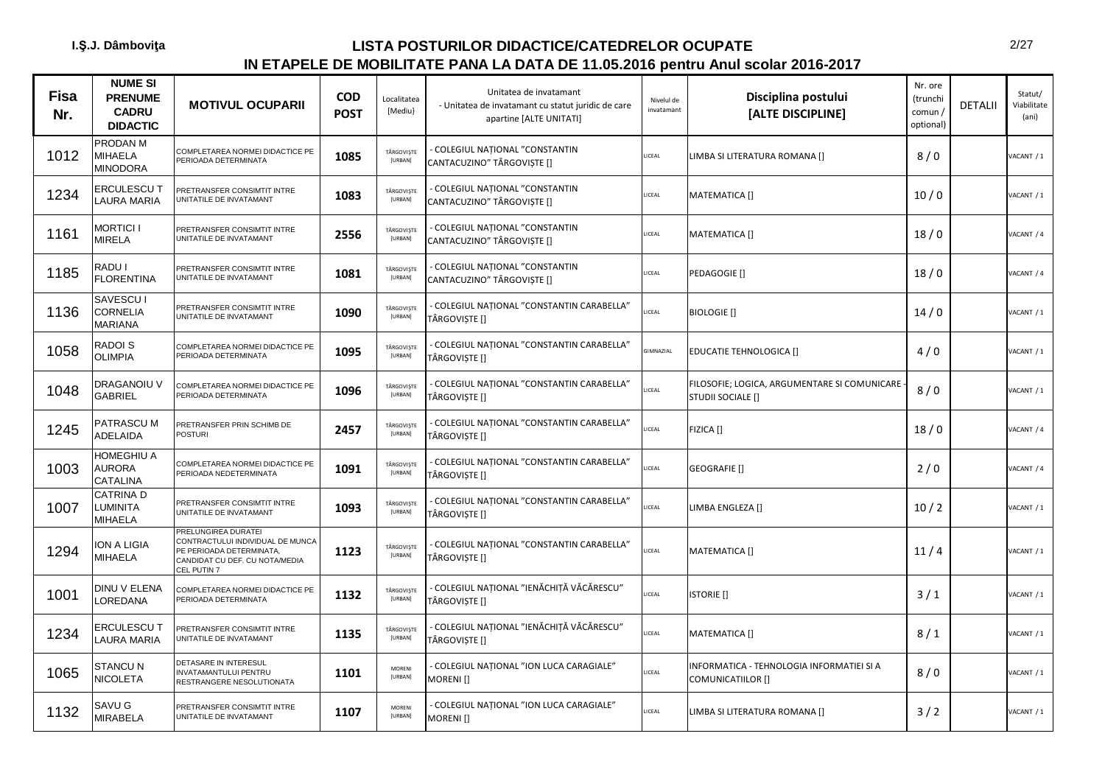| <b>Fisa</b><br>Nr. | <b>NUME SI</b><br><b>PRENUME</b><br><b>CADRU</b><br><b>DIDACTIC</b> | <b>MOTIVUL OCUPARII</b>                                                                                                              | <b>COD</b><br><b>POST</b> | Localitatea<br>[Mediu]       | Unitatea de invatamant<br>- Unitatea de invatamant cu statut juridic de care<br>apartine [ALTE UNITATI] | Nivelul de<br>invatamant | Disciplina postului<br>[ALTE DISCIPLINE]                          | Nr. ore<br>(trunchi<br>comun /<br>optional) | <b>DETALII</b> | Statut/<br>Viabilitate<br>(ani) |
|--------------------|---------------------------------------------------------------------|--------------------------------------------------------------------------------------------------------------------------------------|---------------------------|------------------------------|---------------------------------------------------------------------------------------------------------|--------------------------|-------------------------------------------------------------------|---------------------------------------------|----------------|---------------------------------|
| 1012               | PRODAN M<br>MIHAELA<br><b>MINODORA</b>                              | COMPLETAREA NORMEI DIDACTICE PE<br>PERIOADA DETERMINATA                                                                              | 1085                      | TÂRGOVISTE<br>[URBAN]        | COLEGIUL NATIONAL "CONSTANTIN<br>CANTACUZINO" TÂRGOVIȘTE []                                             | LICEAL                   | LIMBA SI LITERATURA ROMANA []                                     | 8/0                                         |                | ACANT / 1                       |
| 1234               | ERCULESCU T<br>LAURA MARIA                                          | PRETRANSFER CONSIMTIT INTRE<br>UNITATILE DE INVATAMANT                                                                               | 1083                      | TÂRGOVISTE<br>[URBAN]        | COLEGIUL NATIONAL "CONSTANTIN<br>CANTACUZINO" TÂRGOVISTE []                                             | LICEAL                   | MATEMATICA []                                                     | 10/0                                        |                | /ACANT / 1                      |
| 1161               | <b>MORTICI I</b><br><b>MIRELA</b>                                   | PRETRANSFER CONSIMTIT INTRE<br>UNITATILE DE INVATAMANT                                                                               | 2556                      | TÂRGOVISTE<br>[URBAN]        | COLEGIUL NATIONAL "CONSTANTIN<br>CANTACUZINO" TÂRGOVIȘTE []                                             | LICEAL                   | MATEMATICA []                                                     | 18/0                                        |                | /ACANT / 4                      |
| 1185               | RADU I<br><b>FLORENTINA</b>                                         | PRETRANSFER CONSIMTIT INTRE<br>UNITATILE DE INVATAMANT                                                                               | 1081                      | TÂRGOVISTE<br>[URBAN]        | COLEGIUL NATIONAL "CONSTANTIN<br>CANTACUZINO" TÂRGOVIȘTE []                                             | LICEAL                   | PEDAGOGIE []                                                      | 18/0                                        |                | VACANT / 4                      |
| 1136               | SAVESCU I<br><b>CORNELIA</b><br><b>MARIANA</b>                      | PRETRANSFER CONSIMTIT INTRE<br>UNITATILE DE INVATAMANT                                                                               | 1090                      | TÂRGOVIȘTE<br>[URBAN]        | COLEGIUL NATIONAL "CONSTANTIN CARABELLA"<br>TÂRGOVIȘTE []                                               | LICEAL                   | <b>BIOLOGIE</b> []                                                | 14/0                                        |                | /ACANT / 1                      |
| 1058               | RADOI S<br><b>OLIMPIA</b>                                           | COMPLETAREA NORMEI DIDACTICE PE<br>PERIOADA DETERMINATA                                                                              | 1095                      | TÂRGOVISTE<br>[URBAN]        | COLEGIUL NATIONAL "CONSTANTIN CARABELLA"<br>TÂRGOVIȘTE []                                               | GIMNAZIAL                | <b>EDUCATIE TEHNOLOGICA []</b>                                    | 4/0                                         |                | VACANT / 1                      |
| 1048               | DRAGANOIU V<br>GABRIEL                                              | COMPLETAREA NORMEI DIDACTICE PE<br>PERIOADA DETERMINATA                                                                              | 1096                      | TÂRGOVISTE<br>[URBAN]        | COLEGIUL NATIONAL "CONSTANTIN CARABELLA"<br>TÂRGOVIȘTE []                                               | LICEAL                   | FILOSOFIE; LOGICA, ARGUMENTARE SI COMUNICARE<br>STUDII SOCIALE [] | 8/0                                         |                | VACANT / 1                      |
| 1245               | PATRASCUM<br>ADELAIDA                                               | PRETRANSFER PRIN SCHIMB DE<br><b>POSTURI</b>                                                                                         | 2457                      | TÂRGOVISTE<br><b>[URBAN]</b> | COLEGIUL NATIONAL "CONSTANTIN CARABELLA"<br>TÂRGOVIȘTE []                                               | LICEAL                   | FIZICA []                                                         | 18/0                                        |                | VACANT / 4                      |
| 1003               | HOMEGHIU A<br><b>AURORA</b><br>CATALINA                             | COMPLETAREA NORMEI DIDACTICE PE<br>PERIOADA NEDETERMINATA                                                                            | 1091                      | TÂRGOVIȘTE<br>[URBAN]        | COLEGIUL NATIONAL "CONSTANTIN CARABELLA"<br>TÂRGOVISTE []                                               | LICEAL                   | GEOGRAFIE []                                                      | 2/0                                         |                | VACANT / 4                      |
| 1007               | CATRINA D<br>LUMINITA<br>MIHAELA                                    | PRETRANSFER CONSIMTIT INTRE<br>UNITATILE DE INVATAMANT                                                                               | 1093                      | TÂRGOVISTE<br>[URBAN]        | COLEGIUL NATIONAL "CONSTANTIN CARABELLA"<br>TÂRGOVIȘTE []                                               | LICEAL                   | LIMBA ENGLEZA []                                                  | 10/2                                        |                | VACANT / 1                      |
| 1294               | ION A LIGIA<br><b>MIHAELA</b>                                       | PRELUNGIREA DURATEI<br>CONTRACTULUI INDIVIDUAL DE MUNCA<br>PE PERIOADA DETERMINATA,<br>CANDIDAT CU DEF. CU NOTA/MEDIA<br>CEL PUTIN 7 | 1123                      | TÂRGOVISTE<br>[URBAN]        | COLEGIUL NATIONAL "CONSTANTIN CARABELLA"<br>TÂRGOVIȘTE []                                               | LICEAL                   | MATEMATICA []                                                     | 11/4                                        |                | /ACANT / 1                      |
| 1001               | DINU V ELENA<br>LOREDANA                                            | COMPLETAREA NORMEI DIDACTICE PE<br>PERIOADA DETERMINATA                                                                              | 1132                      | TÂRGOVISTE<br>[URBAN]        | · COLEGIUL NAȚIONAL "IENĂCHIȚĂ VĂCĂRESCU"<br>TÂRGOVIȘTE []                                              | LICEAL                   | <b>ISTORIE</b> []                                                 | 3/1                                         |                | /ACANT / 1                      |
| 1234               | ERCULESCU T<br>LAURA MARIA                                          | PRETRANSFER CONSIMTIT INTRE<br>UNITATILE DE INVATAMANT                                                                               | 1135                      | TÂRGOVISTE<br>[URBAN]        | COLEGIUL NAȚIONAL "IENĂCHIȚĂ VĂCĂRESCU"<br>TÂRGOVISTE []                                                | LICEAL                   | MATEMATICA []                                                     | 8/1                                         |                | VACANT / 1                      |
| 1065               | <b>STANCU N</b><br>NICOLETA                                         | DETASARE IN INTERESUL<br>INVATAMANTULUI PENTRU<br>RESTRANGERE NESOLUTIONATA                                                          | 1101                      | <b>MORENI</b><br>[URBAN]     | COLEGIUL NAȚIONAL "ION LUCA CARAGIALE"<br>MORENI []                                                     | LICEAL                   | INFORMATICA - TEHNOLOGIA INFORMATIEI SI A<br>COMUNICATIILOR []    | 8/0                                         |                | VACANT / 1                      |
| 1132               | SAVU G<br>MIRABELA                                                  | PRETRANSFER CONSIMTIT INTRE<br>UNITATILE DE INVATAMANT                                                                               | 1107                      | MORENI<br><b>[URBAN]</b>     | COLEGIUL NATIONAL "ION LUCA CARAGIALE"<br>MORENI []                                                     | LICEAL                   | LIMBA SI LITERATURA ROMANA []                                     | 3/2                                         |                | VACANT / 1                      |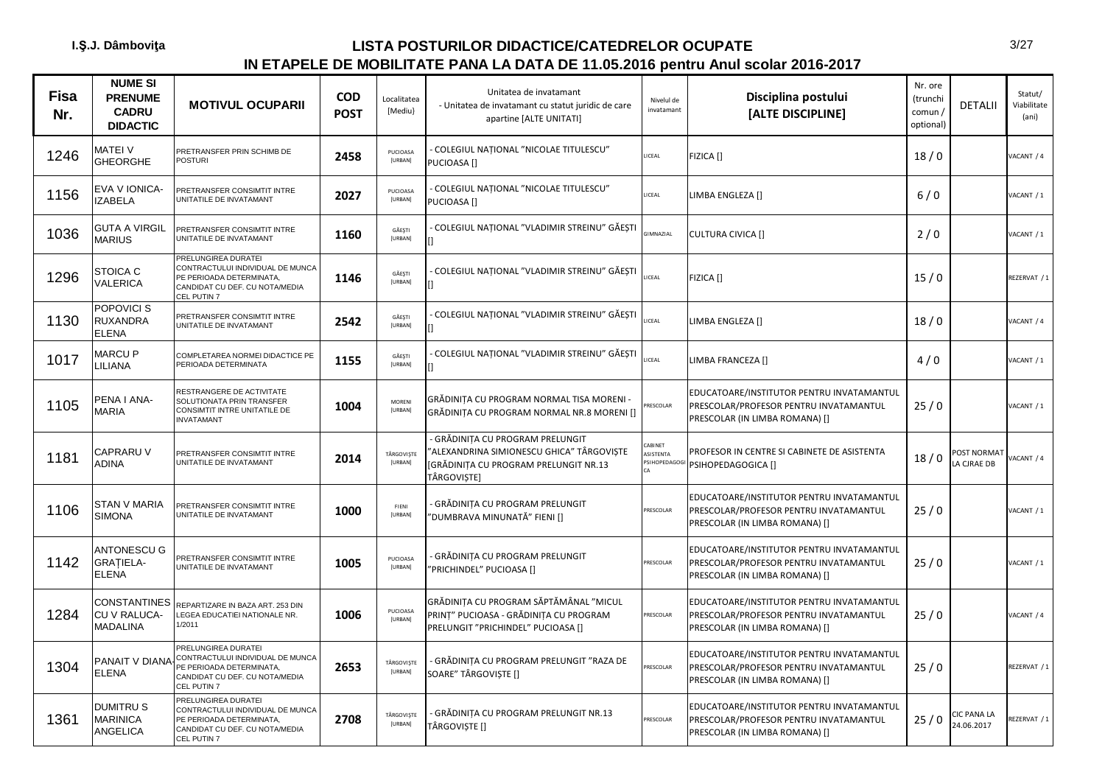| Fisa<br>Nr. | <b>NUME SI</b><br><b>PRENUME</b><br><b>CADRU</b><br><b>DIDACTIC</b> | <b>MOTIVUL OCUPARII</b>                                                                                                                         | <b>COD</b><br><b>POST</b> | Localitatea<br>[Mediu}     | Unitatea de invatamant<br>- Unitatea de invatamant cu statut juridic de care<br>apartine [ALTE UNITATI]                             | Nivelul de<br>invatamant              | Disciplina postului<br>[ALTE DISCIPLINE]                                                                              | Nr. ore<br>(trunchi<br>comun /<br>optional) | <b>DETALII</b>           | Statut/<br>Viabilitate<br>(ani) |
|-------------|---------------------------------------------------------------------|-------------------------------------------------------------------------------------------------------------------------------------------------|---------------------------|----------------------------|-------------------------------------------------------------------------------------------------------------------------------------|---------------------------------------|-----------------------------------------------------------------------------------------------------------------------|---------------------------------------------|--------------------------|---------------------------------|
| 1246        | MATEI V<br><b>GHEORGHE</b>                                          | PRETRANSFER PRIN SCHIMB DE<br>POSTURI                                                                                                           | 2458                      | PUCIOASA<br>[URBAN]        | COLEGIUL NATIONAL "NICOLAE TITULESCU"<br>PUCIOASA []                                                                                | LICEAL                                | FIZICA []                                                                                                             | 18/0                                        |                          | VACANT / 4                      |
| 1156        | EVA V IONICA-<br><b>IZABELA</b>                                     | PRETRANSFER CONSIMTIT INTRE<br>UNITATILE DE INVATAMANT                                                                                          | 2027                      | PUCIOASA<br>[URBAN]        | COLEGIUL NATIONAL "NICOLAE TITULESCU"<br>PUCIOASA <sup>[]</sup>                                                                     | <b>ICEAL</b>                          | LIMBA ENGLEZA []                                                                                                      | $6/0$                                       |                          | VACANT / 1                      |
| 1036        | <b>GUTA A VIRGIL</b><br><b>MARIUS</b>                               | PRETRANSFER CONSIMTIT INTRE<br>UNITATILE DE INVATAMANT                                                                                          | 1160                      | GĂEȘTI<br>[URBAN]          | COLEGIUL NAȚIONAL "VLADIMIR STREINU" GĂEȘTI                                                                                         | <b>GIMNAZIAL</b>                      | <b>CULTURA CIVICA []</b>                                                                                              | 2/0                                         |                          | VACANT / 1                      |
| 1296        | <b>STOICA C</b><br><b>VALERICA</b>                                  | PRELUNGIREA DURATEI<br>CONTRACTULUI INDIVIDUAL DE MUNCA<br>PE PERIOADA DETERMINATA,<br>CANDIDAT CU DEF. CU NOTA/MEDIA<br>CEL PUTIN <sub>7</sub> | 1146                      | GĂEȘTI<br>[URBAN]          | COLEGIUL NATIONAL "VLADIMIR STREINU" GĂESTI                                                                                         | <b>ICEAL</b>                          | FIZICA []                                                                                                             | 15/0                                        |                          | REZERVAT / 1                    |
| 1130        | POPOVICI S<br><b>RUXANDRA</b><br><b>ELENA</b>                       | PRETRANSFER CONSIMTIT INTRE<br>UNITATILE DE INVATAMANT                                                                                          | 2542                      | GĂESTI<br>[URBAN]          | COLEGIUL NATIONAL "VLADIMIR STREINU" GĂESTI                                                                                         | LICEAL                                | LIMBA ENGLEZA []                                                                                                      | 18/0                                        |                          | VACANT / 4                      |
| 1017        | MARCU P<br>LILIANA                                                  | COMPLETAREA NORMEI DIDACTICE PE<br>PERIOADA DETERMINATA                                                                                         | 1155                      | GĂEȘTI<br>[URBAN]          | COLEGIUL NAȚIONAL "VLADIMIR STREINU" GĂEȘTI                                                                                         | <b>ICEAL</b>                          | LIMBA FRANCEZA []                                                                                                     | 4/0                                         |                          | VACANT / 1                      |
| 1105        | PENA I ANA-<br><b>MARIA</b>                                         | RESTRANGERE DE ACTIVITATE<br>SOLUTIONATA PRIN TRANSFER<br>CONSIMTIT INTRE UNITATILE DE<br><b>INVATAMANT</b>                                     | 1004                      | <b>MORENI</b><br>[URBAN]   | GRĂDINIȚA CU PROGRAM NORMAL TISA MORENI -<br>GRĂDINITA CU PROGRAM NORMAL NR.8 MORENI []                                             | <b>RESCOLAR</b>                       | EDUCATOARE/INSTITUTOR PENTRU INVATAMANTUL<br>PRESCOLAR/PROFESOR PENTRU INVATAMANTUL<br>PRESCOLAR (IN LIMBA ROMANA) [] | 25/0                                        |                          | VACANT / 1                      |
| 1181        | CAPRARU V<br><b>ADINA</b>                                           | PRETRANSFER CONSIMTIT INTRE<br>UNITATILE DE INVATAMANT                                                                                          | 2014                      | TÂRGOVIȘTE<br>[URBAN]      | GRĂDINIȚA CU PROGRAM PRELUNGIT<br>'ALEXANDRINA SIMIONESCU GHICA" TÂRGOVIȘTE<br>[GRĂDINIȚA CU PROGRAM PRELUNGIT NR.13<br>TÂRGOVIȘTE] | CABINET<br>ASISTENTA<br>PSIHOPEDAGOGI | PROFESOR IN CENTRE SI CABINETE DE ASISTENTA<br>PSIHOPEDAGOGICA []                                                     | 18/0                                        | OST NORMAT<br>A CJRAE DB | ACANT / 4                       |
| 1106        | <b>STAN V MARIA</b><br><b>SIMONA</b>                                | PRETRANSFER CONSIMTIT INTRE<br>UNITATILE DE INVATAMANT                                                                                          | 1000                      | FIENI<br>[URBAN]           | GRĂDINIȚA CU PROGRAM PRELUNGIT<br>"DUMBRAVA MINUNATĂ" FIENI []                                                                      | PRESCOLAR                             | EDUCATOARE/INSTITUTOR PENTRU INVATAMANTUL<br>PRESCOLAR/PROFESOR PENTRU INVATAMANTUL<br>PRESCOLAR (IN LIMBA ROMANA) [] | 25/0                                        |                          | VACANT / 1                      |
| 1142        | <b>ANTONESCU G</b><br><b>GRATIELA-</b><br><b>ELENA</b>              | PRETRANSFER CONSIMTIT INTRE<br>UNITATILE DE INVATAMANT                                                                                          | 1005                      | <b>PUCIOASA</b><br>[URBAN] | GRĂDINIȚA CU PROGRAM PRELUNGIT<br>'PRICHINDEL" PUCIOASA []                                                                          | PRESCOLAR                             | EDUCATOARE/INSTITUTOR PENTRU INVATAMANTUL<br>PRESCOLAR/PROFESOR PENTRU INVATAMANTUL<br>PRESCOLAR (IN LIMBA ROMANA) [] | 25/0                                        |                          | VACANT / 1                      |
| 1284        | <b>CONSTANTINES</b><br><b>CU V RALUCA-</b><br><b>MADALINA</b>       | REPARTIZARE IN BAZA ART. 253 DIN<br>LEGEA EDUCATIEI NATIONALE NR.<br>1/2011                                                                     | 1006                      | PUCIOASA<br>[URBAN]        | GRĂDINIȚA CU PROGRAM SĂPTĂMÂNAL "MICUL<br>PRINT" PUCIOASA - GRĂDINITA CU PROGRAM<br>PRELUNGIT "PRICHINDEL" PUCIOASA []              | PRESCOLAR                             | EDUCATOARE/INSTITUTOR PENTRU INVATAMANTUL<br>PRESCOLAR/PROFESOR PENTRU INVATAMANTUL<br>PRESCOLAR (IN LIMBA ROMANA) [] | 25/0                                        |                          | VACANT / 4                      |
| 1304        | PANAIT V DIANA<br><b>ELENA</b>                                      | PRELUNGIREA DURATEI<br>CONTRACTULUI INDIVIDUAL DE MUNCA<br>PE PERIOADA DETERMINATA,<br>CANDIDAT CU DEF. CU NOTA/MEDIA<br>CEL PUTIN 7            | 2653                      | TÂRGOVIȘTE<br>[URBAN]      | GRĂDINIȚA CU PROGRAM PRELUNGIT "RAZA DE<br>SOARE" TÂRGOVIȘTE []                                                                     | <b>RESCOLAR</b>                       | EDUCATOARE/INSTITUTOR PENTRU INVATAMANTUL<br>PRESCOLAR/PROFESOR PENTRU INVATAMANTUL<br>PRESCOLAR (IN LIMBA ROMANA) [] | 25/0                                        |                          | REZERVAT / 1                    |
| 1361        | <b>DUMITRUS</b><br><b>MARINICA</b><br><b>ANGELICA</b>               | PRELUNGIREA DURATEI<br>CONTRACTULUI INDIVIDUAL DE MUNCA<br>PE PERIOADA DETERMINATA,<br>CANDIDAT CU DEF. CU NOTA/MEDIA<br>CEL PUTIN 7            | 2708                      | TÂRGOVIȘTE<br>[URBAN]      | GRĂDINITA CU PROGRAM PRELUNGIT NR.13<br>TÂRGOVIȘTE []                                                                               | PRESCOLAR                             | EDUCATOARE/INSTITUTOR PENTRU INVATAMANTUL<br>PRESCOLAR/PROFESOR PENTRU INVATAMANTUL<br>PRESCOLAR (IN LIMBA ROMANA) [] | 25/0                                        | IC PANA LA<br>24.06.2017 | REZERVAT / 1                    |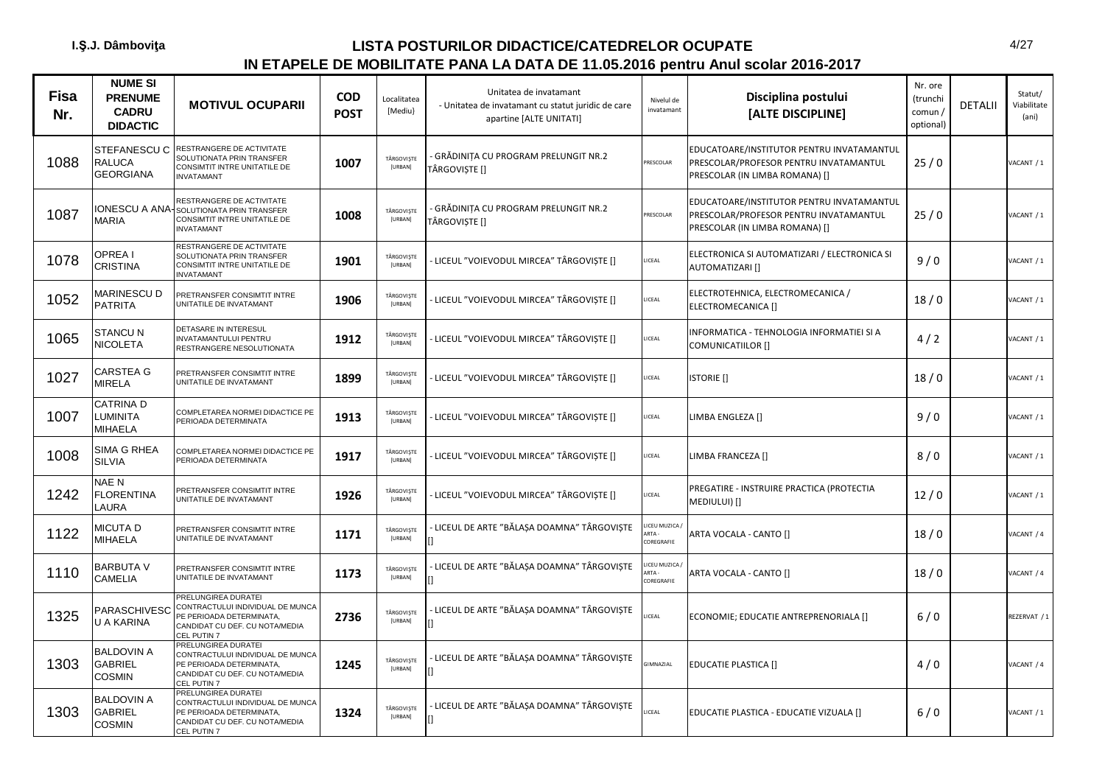| <b>Fisa</b><br>Nr. | <b>NUME SI</b><br><b>PRENUME</b><br><b>CADRU</b><br><b>DIDACTIC</b> | <b>MOTIVUL OCUPARII</b>                                                                                                                         | <b>COD</b><br><b>POST</b> | Localitatea<br>[Mediu}       | Unitatea de invatamant<br>- Unitatea de invatamant cu statut juridic de care<br>apartine [ALTE UNITATI] | Nivelul de<br>invatamant           | Disciplina postului<br>[ALTE DISCIPLINE]                                                                              | Nr. ore<br>(trunchi<br>comun/<br>optional) | <b>DETALII</b> | Statut/<br>Viabilitate<br>(ani) |
|--------------------|---------------------------------------------------------------------|-------------------------------------------------------------------------------------------------------------------------------------------------|---------------------------|------------------------------|---------------------------------------------------------------------------------------------------------|------------------------------------|-----------------------------------------------------------------------------------------------------------------------|--------------------------------------------|----------------|---------------------------------|
| 1088               | STEFANESCU C<br><b>RALUCA</b><br><b>GEORGIANA</b>                   | RESTRANGERE DE ACTIVITATE<br>SOLUTIONATA PRIN TRANSFER<br>CONSIMTIT INTRE UNITATILE DE<br><b>INVATAMANT</b>                                     | 1007                      | TÂRGOVISTE<br>[URBAN]        | GRĂDINIȚA CU PROGRAM PRELUNGIT NR.2<br>TÂRGOVISTE []                                                    | <b>RESCOLAR</b>                    | EDUCATOARE/INSTITUTOR PENTRU INVATAMANTUL<br>PRESCOLAR/PROFESOR PENTRU INVATAMANTUL<br>PRESCOLAR (IN LIMBA ROMANA) [] | 25/0                                       |                | VACANT / 1                      |
| 1087               | <b>MARIA</b>                                                        | RESTRANGERE DE ACTIVITATE<br><b>ONESCU A ANA-SOLUTIONATA PRIN TRANSFER</b><br>CONSIMTIT INTRE UNITATILE DE<br><b>INVATAMANT</b>                 | 1008                      | TÂRGOVIȘTE<br>[URBAN]        | - GRĂDINIȚA CU PROGRAM PRELUNGIT NR.2<br>TÂRGOVIȘTE []                                                  | RESCOLAR                           | EDUCATOARE/INSTITUTOR PENTRU INVATAMANTUL<br>PRESCOLAR/PROFESOR PENTRU INVATAMANTUL<br>PRESCOLAR (IN LIMBA ROMANA) [] | 25/0                                       |                | VACANT / 1                      |
| 1078               | OPREA I<br><b>CRISTINA</b>                                          | RESTRANGERE DE ACTIVITATE<br>SOLUTIONATA PRIN TRANSFER<br>CONSIMTIT INTRE UNITATILE DE<br><b>INVATAMANT</b>                                     | 1901                      | TÂRGOVIȘTE<br>[URBAN]        | LICEUL "VOIEVODUL MIRCEA" TÂRGOVIȘTE []                                                                 | LICEAL                             | ELECTRONICA SI AUTOMATIZARI / ELECTRONICA SI<br>AUTOMATIZARI []                                                       | 9/0                                        |                | VACANT / 1                      |
| 1052               | <b>MARINESCU D</b><br><b>PATRITA</b>                                | PRETRANSFER CONSIMTIT INTRE<br>UNITATILE DE INVATAMANT                                                                                          | 1906                      | TÂRGOVIȘTE<br>[URBAN]        | LICEUL "VOIEVODUL MIRCEA" TÂRGOVIȘTE []                                                                 | LICEAL                             | ELECTROTEHNICA, ELECTROMECANICA /<br>ELECTROMECANICA []                                                               | 18/0                                       |                | VACANT / 1                      |
| 1065               | <b>STANCU N</b><br><b>NICOLETA</b>                                  | DETASARE IN INTERESUL<br>INVATAMANTULUI PENTRU<br>RESTRANGERE NESOLUTIONATA                                                                     | 1912                      | TÂRGOVIȘTE<br><b>[URBAN]</b> | LICEUL "VOIEVODUL MIRCEA" TÂRGOVIȘTE []                                                                 | LICEAL                             | INFORMATICA - TEHNOLOGIA INFORMATIEI SI A<br><b>COMUNICATIILOR []</b>                                                 | 4/2                                        |                | VACANT / 1                      |
| 1027               | <b>CARSTEA G</b><br><b>MIRELA</b>                                   | PRETRANSFER CONSIMTIT INTRE<br>UNITATILE DE INVATAMANT                                                                                          | 1899                      | TÂRGOVIȘTE<br>[URBAN]        | LICEUL "VOIEVODUL MIRCEA" TÂRGOVIȘTE []                                                                 | ICEAL                              | <b>ISTORIE</b> []                                                                                                     | 18/0                                       |                | VACANT / 1                      |
| 1007               | <b>CATRINAD</b><br>LUMINITA<br>MIHAELA                              | COMPLETAREA NORMEI DIDACTICE PE<br>PERIOADA DETERMINATA                                                                                         | 1913                      | TÂRGOVISTE<br>[URBAN]        | LICEUL "VOIEVODUL MIRCEA" TÂRGOVIȘTE []                                                                 | LICEAL                             | LIMBA ENGLEZA []                                                                                                      | 9/0                                        |                | VACANT / 1                      |
| 1008               | SIMA G RHEA<br><b>SILVIA</b>                                        | COMPLETAREA NORMEI DIDACTICE PE<br>PERIOADA DETERMINATA                                                                                         | 1917                      | TÂRGOVIȘTE<br>[URBAN]        | LICEUL "VOIEVODUL MIRCEA" TÂRGOVIȘTE []                                                                 | LICEAL                             | LIMBA FRANCEZA []                                                                                                     | 8/0                                        |                | VACANT / 1                      |
| 1242               | NAE N<br><b>FLORENTINA</b><br>LAURA                                 | PRETRANSFER CONSIMTIT INTRE<br>UNITATILE DE INVATAMANT                                                                                          | 1926                      | TÂRGOVISTE<br>[URBAN]        | LICEUL "VOIEVODUL MIRCEA" TÂRGOVIȘTE []                                                                 | LICEAL                             | PREGATIRE - INSTRUIRE PRACTICA (PROTECTIA<br>MEDIULUI) []                                                             | 12/0                                       |                | /ACANT / 1                      |
| 1122               | MICUTA D<br><b>MIHAELA</b>                                          | PRETRANSFER CONSIMTIT INTRE<br>UNITATILE DE INVATAMANT                                                                                          | 1171                      | TÂRGOVIȘTE<br>[URBAN]        | LICEUL DE ARTE "BĂLAȘA DOAMNA" TÂRGOVIȘTE                                                               | ICEU MUZICA<br>ARTA-<br>COREGRAFIE | ARTA VOCALA - CANTO []                                                                                                | 18/0                                       |                | VACANT / 4                      |
| 1110               | <b>BARBUTA V</b><br>CAMELIA                                         | PRETRANSFER CONSIMTIT INTRE<br>UNITATILE DE INVATAMANT                                                                                          | 1173                      | TÂRGOVIȘTE<br><b>[URBAN]</b> | - LICEUL DE ARTE "BĂLAȘA DOAMNA" TÂRGOVIȘTE                                                             | ICEU MUZICA<br>ARTA-<br>COREGRAFIE | ARTA VOCALA - CANTO []                                                                                                | 18/0                                       |                | VACANT / 4                      |
| 1325               | PARASCHIVESC<br>U A KARINA                                          | PRELUNGIREA DURATEI<br>CONTRACTULUI INDIVIDUAL DE MUNCA<br>PE PERIOADA DETERMINATA,<br>CANDIDAT CU DEF. CU NOTA/MEDIA<br><b>CEL PUTIN7</b>      | 2736                      | TÂRGOVIȘTE<br>[URBAN]        | - LICEUL DE ARTE "BĂLAȘA DOAMNA" TÂRGOVIȘTE<br>$\mathsf{I}$                                             | ICEAL                              | ECONOMIE; EDUCATIE ANTREPRENORIALA []                                                                                 | 6/0                                        |                | REZERVAT / 1                    |
| 1303               | <b>BALDOVIN A</b><br>GABRIEL<br>COSMIN                              | PRELUNGIREA DURATEI<br>CONTRACTULUI INDIVIDUAL DE MUNCA<br>PE PERIOADA DETERMINATA,<br>CANDIDAT CU DEF. CU NOTA/MEDIA<br>CEL PUTIN <sub>7</sub> | 1245                      | TÂRGOVIȘTE<br>[URBAN]        | LICEUL DE ARTE "BĂLAȘA DOAMNA" TÂRGOVIȘTE                                                               | GIMNAZIAL                          | <b>EDUCATIE PLASTICA []</b>                                                                                           | 4/0                                        |                | VACANT / 4                      |
| 1303               | <b>BALDOVIN A</b><br>GABRIEL<br><b>COSMIN</b>                       | PRELUNGIREA DURATEI<br>CONTRACTULUI INDIVIDUAL DE MUNCA<br>PE PERIOADA DETERMINATA,<br>CANDIDAT CU DEF. CU NOTA/MEDIA<br>CEL PUTIN 7            | 1324                      | TÂRGOVIȘTE<br>[URBAN]        | - LICEUL DE ARTE "BĂLASA DOAMNA" TÂRGOVISTE                                                             | ICEAL                              | EDUCATIE PLASTICA - EDUCATIE VIZUALA []                                                                               | 6/0                                        |                | VACANT / 1                      |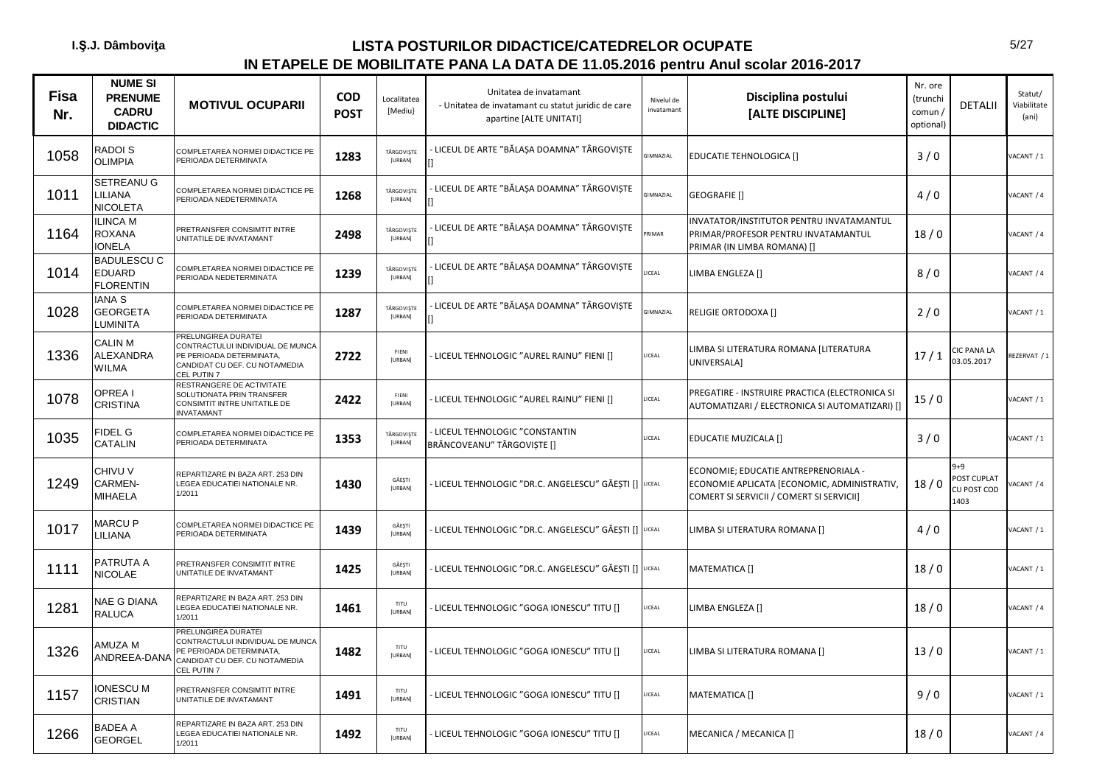| <b>Fisa</b><br>Nr. | <b>NUME SI</b><br><b>PRENUME</b><br><b>CADRU</b><br><b>DIDACTIC</b> | <b>MOTIVUL OCUPARII</b>                                                                                                              | <b>COD</b><br><b>POST</b> | Localitatea<br>[Mediu}   | Unitatea de invatamant<br>- Unitatea de invatamant cu statut juridic de care<br>apartine [ALTE UNITATI] | Nivelul de<br>invatamant | Disciplina postului<br>[ALTE DISCIPLINE]                                                                                        | Nr. ore<br>(trunchi<br>comun /<br>optional) | <b>DETALII</b>                           | Statut/<br>Viabilitate<br>(ani) |
|--------------------|---------------------------------------------------------------------|--------------------------------------------------------------------------------------------------------------------------------------|---------------------------|--------------------------|---------------------------------------------------------------------------------------------------------|--------------------------|---------------------------------------------------------------------------------------------------------------------------------|---------------------------------------------|------------------------------------------|---------------------------------|
| 1058               | RADOI S<br><b>OLIMPIA</b>                                           | COMPLETAREA NORMEI DIDACTICE PE<br>PERIOADA DETERMINATA                                                                              | 1283                      | TÂRGOVIȘTE<br>[URBAN]    | LICEUL DE ARTE "BĂLAȘA DOAMNA" TÂRGOVIȘTE                                                               | <b>GIMNAZIAL</b>         | EDUCATIE TEHNOLOGICA []                                                                                                         | 3/0                                         |                                          | /ACANT / 1                      |
| 1011               | SETREANU G<br>LILIANA<br><b>NICOLETA</b>                            | COMPLETAREA NORMEI DIDACTICE PE<br>PERIOADA NEDETERMINATA                                                                            | 1268                      | TÂRGOVIȘTE<br>[URBAN]    | LICEUL DE ARTE "BĂLAȘA DOAMNA" TÂRGOVIȘTE<br>n                                                          | GIMNAZIAL                | GEOGRAFIE []                                                                                                                    | 4/0                                         |                                          | <b>JACANT / 4</b>               |
| 1164               | <b>ILINCA M</b><br>ROXANA<br><b>IONELA</b>                          | PRETRANSFER CONSIMTIT INTRE<br>UNITATILE DE INVATAMANT                                                                               | 2498                      | TÂRGOVIȘTE<br>[URBAN]    | LICEUL DE ARTE "BĂLAȘA DOAMNA" TÂRGOVIȘTE                                                               | RIMAR                    | INVATATOR/INSTITUTOR PENTRU INVATAMANTUL<br>PRIMAR/PROFESOR PENTRU INVATAMANTUL<br>PRIMAR (IN LIMBA ROMANA) []                  | 18/0                                        |                                          | ACANT / 4                       |
| 1014               | <b>BADULESCU C</b><br><b>EDUARD</b><br><b>FLORENTIN</b>             | COMPLETAREA NORMEI DIDACTICE PE<br>PERIOADA NEDETERMINATA                                                                            | 1239                      | TÂRGOVIȘTE<br>[URBAN]    | · LICEUL DE ARTE "BĂLAȘA DOAMNA" TÂRGOVIȘTE                                                             | LICEAL                   | LIMBA ENGLEZA []                                                                                                                | 8/0                                         |                                          | VACANT / 4                      |
| 1028               | <b>IANA S</b><br>GEORGETA<br>LUMINITA                               | COMPLETAREA NORMEI DIDACTICE PE<br>PERIOADA DETERMINATA                                                                              | 1287                      | TÂRGOVISTE<br>[URBAN]    | - LICEUL DE ARTE "BĂLAȘA DOAMNA" TÂRGOVIȘTE                                                             | <b>GIMNAZIAL</b>         | <b>RELIGIE ORTODOXA []</b>                                                                                                      | 2/0                                         |                                          | /ACANT / 1                      |
| 1336               | CALIN M<br>ALEXANDRA<br><b>WILMA</b>                                | PRELUNGIREA DURATEI<br>CONTRACTULUI INDIVIDUAL DE MUNCA<br>PE PERIOADA DETERMINATA,<br>CANDIDAT CU DEF. CU NOTA/MEDIA<br>CEL PUTIN 7 | 2722                      | FIENI<br>[URBAN]         | LICEUL TEHNOLOGIC "AUREL RAINU" FIENI []                                                                | LICEAL                   | LIMBA SI LITERATURA ROMANA [LITERATURA<br>UNIVERSALA]                                                                           | 17/1                                        | CIC PANA LA<br>03.05.2017                | EZERVAT / 1                     |
| 1078               | <b>OPREAI</b><br><b>CRISTINA</b>                                    | RESTRANGERE DE ACTIVITATE<br>SOLUTIONATA PRIN TRANSFER<br>CONSIMTIT INTRE UNITATILE DE<br><b>INVATAMANT</b>                          | 2422                      | FIENI<br>[URBAN]         | LICEUL TEHNOLOGIC "AUREL RAINU" FIENI []                                                                | LICEAL                   | PREGATIRE - INSTRUIRE PRACTICA (ELECTRONICA SI<br>AUTOMATIZARI / ELECTRONICA SI AUTOMATIZARI) []                                | 15/0                                        |                                          | /ACANT / 1                      |
| 1035               | FIDEL G<br>CATALIN                                                  | COMPLETAREA NORMEI DIDACTICE PE<br>PERIOADA DETERMINATA                                                                              | 1353                      | TÂRGOVIȘTE<br>[URBAN]    | LICEUL TEHNOLOGIC "CONSTANTIN<br>BRÂNCOVEANU" TÂRGOVIȘTE []                                             | LICEAL                   | EDUCATIE MUZICALA []                                                                                                            | 3/0                                         |                                          | ACANT / 1                       |
| 1249               | CHIVU V<br>CARMEN-<br>MIHAELA                                       | REPARTIZARE IN BAZA ART. 253 DIN<br>LEGEA EDUCATIEI NATIONALE NR.<br>1/2011                                                          | 1430                      | GĂEȘTI<br><b>[URBAN]</b> | LICEUL TEHNOLOGIC "DR.C. ANGELESCU" GĂEȘTI [] UCEAL                                                     |                          | ECONOMIE; EDUCATIE ANTREPRENORIALA -<br>ECONOMIE APLICATA [ECONOMIC, ADMINISTRATIV,<br>COMERT SI SERVICII / COMERT SI SERVICII] | 18/0                                        | 9+9<br>OST CUPLAT<br>CU POST COD<br>1403 | ACANT / 4                       |
| 1017               | <b>MARCUP</b><br><b>ILIANA</b>                                      | COMPLETAREA NORMEI DIDACTICE PE<br>PERIOADA DETERMINATA                                                                              | 1439                      | GĂEȘTI<br>[URBAN]        | LICEUL TEHNOLOGIC "DR.C. ANGELESCU" GĂEȘTI [] LICEAL                                                    |                          | LIMBA SI LITERATURA ROMANA []                                                                                                   | 4/0                                         |                                          | /ACANT / 1                      |
| 1111               | PATRUTA A<br>NICOLAE                                                | PRETRANSFER CONSIMTIT INTRE<br>UNITATILE DE INVATAMANT                                                                               | 1425                      | GĂEȘTI<br>[URBAN]        | LICEUL TEHNOLOGIC "DR.C. ANGELESCU" GĂEȘTI [] LICEAL                                                    |                          | MATEMATICA []                                                                                                                   | 18/0                                        |                                          | VACANT / 1                      |
| 1281               | NAE G DIANA<br><b>RALUCA</b>                                        | REPARTIZARE IN BAZA ART. 253 DIN<br>LEGEA EDUCATIEI NATIONALE NR.<br>1/2011                                                          | 1461                      | TITU<br>[URBAN]          | LICEUL TEHNOLOGIC "GOGA IONESCU" TITU []                                                                | LICEAL                   | LIMBA ENGLEZA []                                                                                                                | 18/0                                        |                                          | VACANT / 4                      |
| 1326               | AMUZA M<br>ANDREEA-DANA                                             | PRELUNGIREA DURATEI<br>CONTRACTULUI INDIVIDUAL DE MUNCA<br>PE PERIOADA DETERMINATA,<br>CANDIDAT CU DEF. CU NOTA/MEDIA<br>CEL PUTIN 7 | 1482                      | TITU<br>[URBAN]          | · LICEUL TEHNOLOGIC "GOGA IONESCU" TITU []                                                              | LICEAL                   | LIMBA SI LITERATURA ROMANA []                                                                                                   | 13/0                                        |                                          | VACANT / 1                      |
| 1157               | <b>ONESCU M</b><br>CRISTIAN                                         | PRETRANSFER CONSIMTIT INTRE<br>UNITATILE DE INVATAMANT                                                                               | 1491                      | TITU<br>[URBAN]          | LICEUL TEHNOLOGIC "GOGA IONESCU" TITU []                                                                | LICEAL                   | MATEMATICA []                                                                                                                   | 9/0                                         |                                          | /ACANT / 1                      |
| 1266               | BADEA A<br><b>GEORGEL</b>                                           | REPARTIZARE IN BAZA ART. 253 DIN<br>LEGEA EDUCATIEI NATIONALE NR.<br>1/2011                                                          | 1492                      | TITU<br>[URBAN]          | LICEUL TEHNOLOGIC "GOGA IONESCU" TITU []                                                                | LICEAL                   | MECANICA / MECANICA []                                                                                                          | 18/0                                        |                                          | ACANT / 4                       |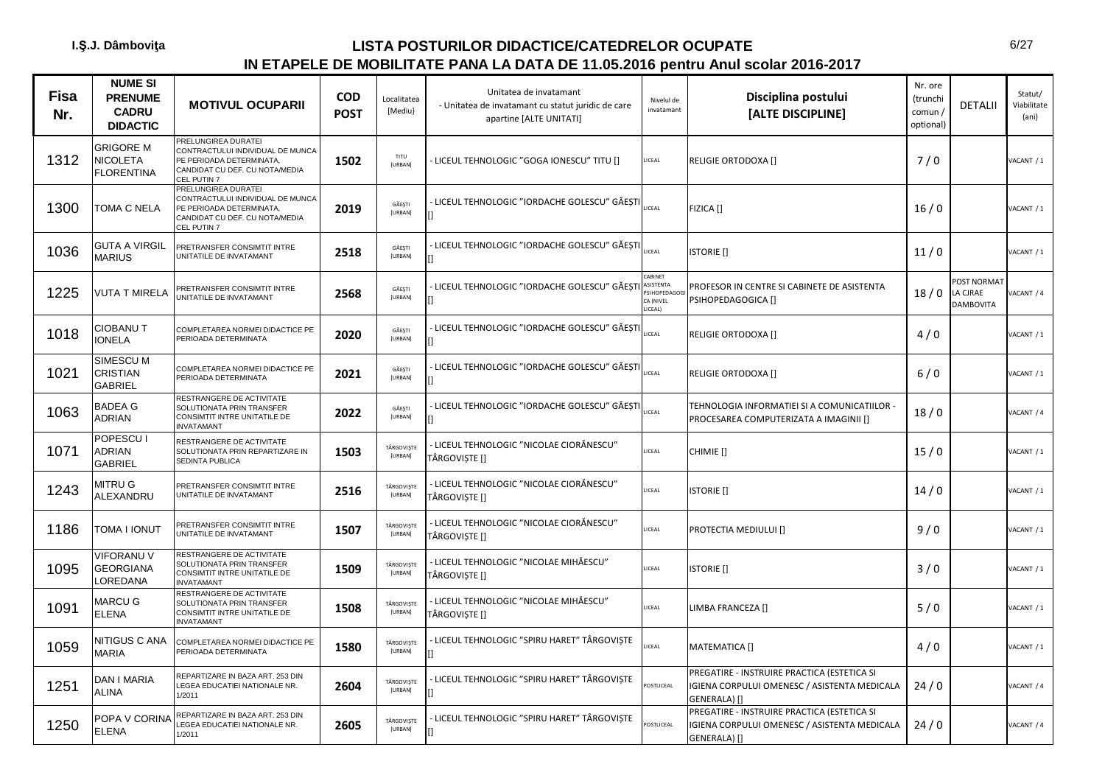| <b>Fisa</b><br>Nr. | <b>NUME SI</b><br><b>PRENUME</b><br><b>CADRU</b><br><b>DIDACTIC</b> | <b>MOTIVUL OCUPARII</b>                                                                                                              | <b>COD</b><br><b>POST</b> | Localitatea<br>[Mediu] | Unitatea de invatamant<br>- Unitatea de invatamant cu statut juridic de care<br>apartine [ALTE UNITATI] | Nivelul de<br>invatamant                                  | Disciplina postului<br>[ALTE DISCIPLINE]                                                                    | Nr. ore<br>(trunchi<br>comun/<br>optional) | <b>DETALII</b>                                     | Statut/<br>Viabilitate<br>(ani) |
|--------------------|---------------------------------------------------------------------|--------------------------------------------------------------------------------------------------------------------------------------|---------------------------|------------------------|---------------------------------------------------------------------------------------------------------|-----------------------------------------------------------|-------------------------------------------------------------------------------------------------------------|--------------------------------------------|----------------------------------------------------|---------------------------------|
| 1312               | GRIGORE M<br><b>NICOLETA</b><br><b>FLORENTINA</b>                   | PRELUNGIREA DURATEI<br>CONTRACTULUI INDIVIDUAL DE MUNCA<br>PE PERIOADA DETERMINATA,<br>CANDIDAT CU DEF. CU NOTA/MEDIA<br>CEL PUTIN 7 | 1502                      | TITU<br>[URBAN]        | LICEUL TEHNOLOGIC "GOGA IONESCU" TITU []                                                                | LICEAL                                                    | <b>RELIGIE ORTODOXA []</b>                                                                                  | 7/0                                        |                                                    | VACANT / 1                      |
| 1300               | TOMA C NELA                                                         | PRELUNGIREA DURATEI<br>CONTRACTULUI INDIVIDUAL DE MUNCA<br>PE PERIOADA DETERMINATA,<br>CANDIDAT CU DEF. CU NOTA/MEDIA<br>CEL PUTIN 7 | 2019                      | GĂESTI<br>[URBAN]      | LICEUL TEHNOLOGIC "IORDACHE GOLESCU" GĂEȘT                                                              | <b>ICEAL</b>                                              | FIZICA []                                                                                                   | 16/0                                       |                                                    | VACANT / 1                      |
| 1036               | GUTA A VIRGIL<br><b>MARIUS</b>                                      | PRETRANSFER CONSIMTIT INTRE<br>UNITATILE DE INVATAMANT                                                                               | 2518                      | GĂEȘTI<br>[URBAN]      | LICEUL TEHNOLOGIC "IORDACHE GOLESCU" GĂESTI                                                             | <b>ICEAL</b>                                              | <b>ISTORIE</b> []                                                                                           | 11/0                                       |                                                    | VACANT / 1                      |
| 1225               | <b>VUTA T MIRELA</b>                                                | PRETRANSFER CONSIMTIT INTRE<br>UNITATILE DE INVATAMANT                                                                               | 2568                      | GĂESTI<br>[URBAN]      | LICEUL TEHNOLOGIC "IORDACHE GOLESCU" GĂEȘTI                                                             | CABINET<br>ASISTENTA<br>SIHOPEDAG<br>CA (NIVEL<br>LICEAL) | PROFESOR IN CENTRE SI CABINETE DE ASISTENTA<br>PSIHOPEDAGOGICA []                                           | 18/0                                       | <b>POST NORMAT</b><br>LA CJRAE<br><b>DAMBOVITA</b> | ACANT / 4                       |
| 1018               | CIOBANU T<br><b>IONELA</b>                                          | COMPLETAREA NORMEI DIDACTICE PE<br>PERIOADA DETERMINATA                                                                              | 2020                      | GĂEȘTI<br>[URBAN]      | LICEUL TEHNOLOGIC "IORDACHE GOLESCU" GĂEȘT                                                              | ICEAL                                                     | <b>RELIGIE ORTODOXA []</b>                                                                                  | 4/0                                        |                                                    | VACANT / 1                      |
| 1021               | SIMESCU M<br>CRISTIAN<br><b>GABRIEL</b>                             | COMPLETAREA NORMEI DIDACTICE PE<br>PERIOADA DETERMINATA                                                                              | 2021                      | GĂEȘTI<br>[URBAN]      | - LICEUL TEHNOLOGIC "IORDACHE GOLESCU" GĂEȘTI                                                           | ICEAL                                                     | RELIGIE ORTODOXA []                                                                                         | $6/0$                                      |                                                    | VACANT / 1                      |
| 1063               | <b>BADEA G</b><br>ADRIAN                                            | RESTRANGERE DE ACTIVITATE<br>SOLUTIONATA PRIN TRANSFER<br>CONSIMTIT INTRE UNITATILE DE<br><b>INVATAMANT</b>                          | 2022                      | GĂEȘTI<br>[URBAN]      | LICEUL TEHNOLOGIC "IORDACHE GOLESCU" GĂEȘT                                                              | ICEAL                                                     | TEHNOLOGIA INFORMATIEI SI A COMUNICATIILOR -<br>PROCESAREA COMPUTERIZATA A IMAGINII []                      | 18/0                                       |                                                    | VACANT / 4                      |
| 1071               | POPESCU I<br>ADRIAN<br><b>GABRIEL</b>                               | RESTRANGERE DE ACTIVITATE<br>SOLUTIONATA PRIN REPARTIZARE IN<br>SEDINTA PUBLICA                                                      | 1503                      | TÂRGOVIȘTE<br>[URBAN]  | - LICEUL TEHNOLOGIC "NICOLAE CIORĂNESCU"<br>TÂRGOVIȘTE []                                               | ICEAL                                                     | CHIMIE []                                                                                                   | 15/0                                       |                                                    | VACANT / 1                      |
| 1243               | MITRU G<br>ALEXANDRU                                                | PRETRANSFER CONSIMTIT INTRE<br>UNITATILE DE INVATAMANT                                                                               | 2516                      | TÂRGOVISTE<br>[URBAN]  | - LICEUL TEHNOLOGIC "NICOLAE CIORĂNESCU"<br>TÂRGOVIȘTE []                                               | ICEAL                                                     | <b>ISTORIE</b> []                                                                                           | 14/0                                       |                                                    | VACANT / 1                      |
| 1186               | TOMA I IONUT                                                        | PRETRANSFER CONSIMTIT INTRE<br>UNITATILE DE INVATAMANT                                                                               | 1507                      | TÂRGOVISTE<br>[URBAN]  | · LICEUL TEHNOLOGIC "NICOLAE CIORĂNESCU"<br>TÂRGOVIȘTE []                                               | ICEAL                                                     | PROTECTIA MEDIULUI []                                                                                       | 9/0                                        |                                                    | VACANT / 1                      |
| 1095               | VIFORANU V<br><b>GEORGIANA</b><br><b>OREDANA</b>                    | RESTRANGERE DE ACTIVITATE<br>SOLUTIONATA PRIN TRANSFER<br>CONSIMTIT INTRE UNITATILE DE<br><b>INVATAMANT</b>                          | 1509                      | TÂRGOVIȘTE<br>[URBAN]  | - LICEUL TEHNOLOGIC "NICOLAE MIHĂESCU"<br>TÂRGOVIȘTE []                                                 | ICEAL                                                     | <b>ISTORIE</b> []                                                                                           | 3/0                                        |                                                    | VACANT / 1                      |
| 1091               | MARCU G<br><b>ELENA</b>                                             | RESTRANGERE DE ACTIVITATE<br>SOLUTIONATA PRIN TRANSFER<br>CONSIMTIT INTRE UNITATILE DE<br><b>INVATAMANT</b>                          | 1508                      | TÂRGOVIȘTE<br>[URBAN]  | - LICEUL TEHNOLOGIC "NICOLAE MIHĂESCU"<br>TÂRGOVISTE []                                                 | ICEAL                                                     | LIMBA FRANCEZA []                                                                                           | 5/0                                        |                                                    | VACANT / 1                      |
| 1059               | <b>NITIGUS C ANA</b><br><b>MARIA</b>                                | COMPLETAREA NORMEI DIDACTICE PE<br>PERIOADA DETERMINATA                                                                              | 1580                      | TÂRGOVIȘTE<br>[URBAN]  | LICEUL TEHNOLOGIC "SPIRU HARET" TÂRGOVISTE                                                              | ICEAL                                                     | MATEMATICA []                                                                                               | 4/0                                        |                                                    | VACANT / 1                      |
| 1251               | DAN I MARIA<br>ALINA                                                | REPARTIZARE IN BAZA ART. 253 DIN<br>LEGEA EDUCATIEI NATIONALE NR.<br>1/2011                                                          | 2604                      | TÂRGOVIȘTE<br>[URBAN]  | - LICEUL TEHNOLOGIC "SPIRU HARET" TÂRGOVIȘTE                                                            | OSTLICEAL                                                 | PREGATIRE - INSTRUIRE PRACTICA (ESTETICA SI<br>IGIENA CORPULUI OMENESC / ASISTENTA MEDICALA<br>GENERALA) [] | 24/0                                       |                                                    | VACANT / 4                      |
| 1250               | POPA V CORINA<br><b>ELENA</b>                                       | REPARTIZARE IN BAZA ART. 253 DIN<br>LEGEA EDUCATIEI NATIONALE NR.<br>1/2011                                                          | 2605                      | TÂRGOVISTE<br>[URBAN]  | LICEUL TEHNOLOGIC "SPIRU HARET" TÂRGOVISTE                                                              | OSTLICEAL                                                 | PREGATIRE - INSTRUIRE PRACTICA (ESTETICA SI<br>IGIENA CORPULUI OMENESC / ASISTENTA MEDICALA<br>GENERALA) [] | 24/0                                       |                                                    | VACANT / 4                      |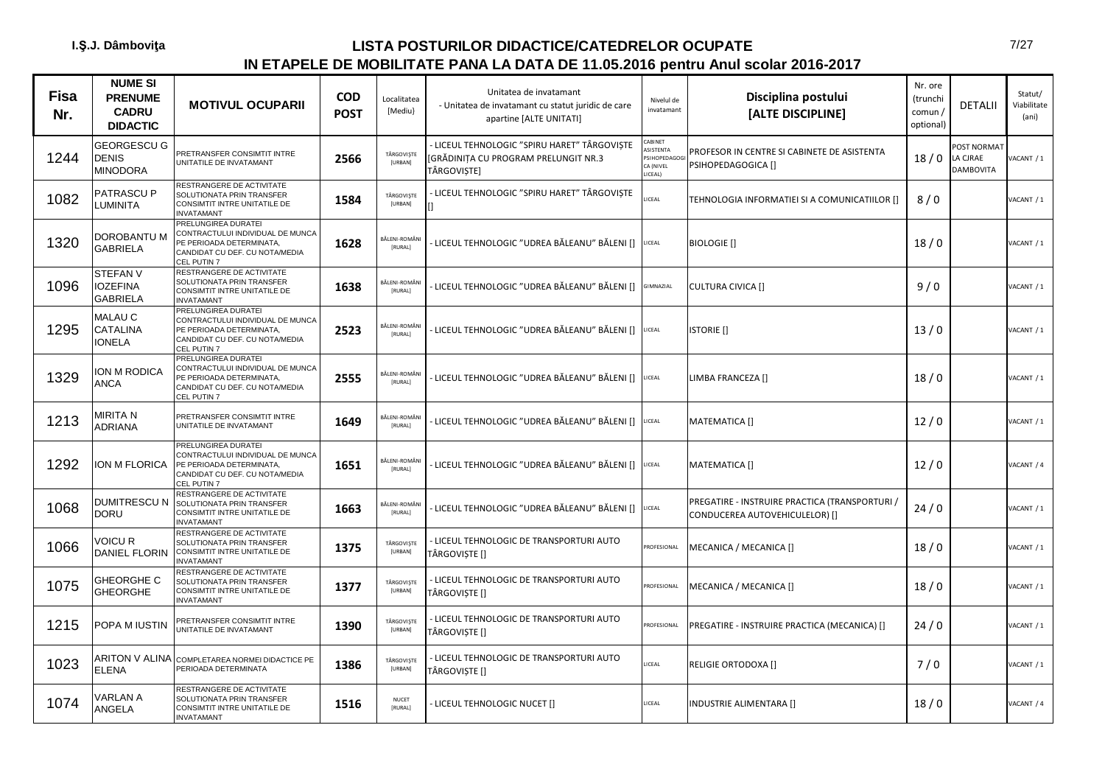| <b>Fisa</b><br>Nr. | <b>NUME SI</b><br><b>PRENUME</b><br><b>CADRU</b><br><b>DIDACTIC</b> | <b>MOTIVUL OCUPARII</b>                                                                                                              | <b>COD</b><br><b>POST</b> | Localitatea<br>[Mediu]          | Unitatea de invatamant<br>- Unitatea de invatamant cu statut juridic de care<br>apartine [ALTE UNITATI] | Nivelul de<br>invatamant                                    | Disciplina postului<br>[ALTE DISCIPLINE]                                         | Nr. ore<br>(trunchi<br>comun /<br>optional) | <b>DETALII</b>                              | Statut/<br>Viabilitate<br>(ani) |
|--------------------|---------------------------------------------------------------------|--------------------------------------------------------------------------------------------------------------------------------------|---------------------------|---------------------------------|---------------------------------------------------------------------------------------------------------|-------------------------------------------------------------|----------------------------------------------------------------------------------|---------------------------------------------|---------------------------------------------|---------------------------------|
| 1244               | <b>GEORGESCU G</b><br>DENIS<br><b>MINODORA</b>                      | PRETRANSFER CONSIMTIT INTRE<br>UNITATILE DE INVATAMANT                                                                               | 2566                      | TÂRGOVIȘTE<br>[URBAN]           | LICEUL TEHNOLOGIC "SPIRU HARET" TÂRGOVISTE<br>[GRĂDINIȚA CU PROGRAM PRELUNGIT NR.3<br>TÂRGOVISTE]       | CABINET<br>ASISTENTA<br>PSIHOPEDAGO<br>CA (NIVEL<br>LICEAL) | PROFESOR IN CENTRE SI CABINETE DE ASISTENTA<br>PSIHOPEDAGOGICA []                | 18/0                                        | <b>POST NORMAT</b><br>LA CJRAE<br>DAMBOVITA | ACANT / 1                       |
| 1082               | PATRASCU P<br>UMINITA.                                              | RESTRANGERE DE ACTIVITATE<br>SOLUTIONATA PRIN TRANSFER<br>CONSIMTIT INTRE UNITATILE DE<br>NVATAMANT                                  | 1584                      | TÂRGOVISTE<br>[URBAN]           | - LICEUL TEHNOLOGIC "SPIRU HARET" TÂRGOVIȘTE                                                            | <b>LICEAL</b>                                               | TEHNOLOGIA INFORMATIEI SI A COMUNICATIILOR []                                    | 8/0                                         |                                             | VACANT / 1                      |
| 1320               | DOROBANTU M<br><b>GABRIELA</b>                                      | PRELUNGIREA DURATEI<br>CONTRACTULUI INDIVIDUAL DE MUNCA<br>PE PERIOADA DETERMINATA,<br>CANDIDAT CU DEF. CU NOTA/MEDIA<br>CEL PUTIN 7 | 1628                      | <b>BĂLENI-ROMÂN</b><br>[RURAL]  | LICEUL TEHNOLOGIC "UDREA BĂLEANU" BĂLENI []                                                             | <b>ICEAL</b>                                                | <b>BIOLOGIE</b> []                                                               | 18/0                                        |                                             | VACANT / 1                      |
| 1096               | <b>STEFANV</b><br><b>IOZEFINA</b><br><b>GABRIELA</b>                | RESTRANGERE DE ACTIVITATE<br>SOLUTIONATA PRIN TRANSFER<br>CONSIMTIT INTRE UNITATILE DE<br><b>INVATAMANT</b>                          | 1638                      | BĂLENI-ROMÂN<br>[RURAL]         | LICEUL TEHNOLOGIC "UDREA BĂLEANU" BĂLENI []                                                             | GIMNAZIAL                                                   | <b>CULTURA CIVICA []</b>                                                         | 9/0                                         |                                             | VACANT / 1                      |
| 1295               | MALAU C<br>CATALINA<br><b>IONELA</b>                                | PRELUNGIREA DURATEI<br>CONTRACTULUI INDIVIDUAL DE MUNCA<br>PE PERIOADA DETERMINATA,<br>CANDIDAT CU DEF. CU NOTA/MEDIA<br>CEL PUTIN 7 | 2523                      | <b>BĂLENI-ROMÂN</b><br>[RURAL]  | ·LICEUL TEHNOLOGIC "UDREA BĂLEANU" BĂLENI []                                                            | LICEAL                                                      | <b>ISTORIE</b> []                                                                | 13/0                                        |                                             | VACANT / 1                      |
| 1329               | ION M RODICA<br><b>ANCA</b>                                         | PRELUNGIREA DURATEI<br>CONTRACTULUI INDIVIDUAL DE MUNCA<br>PE PERIOADA DETERMINATA,<br>CANDIDAT CU DEF. CU NOTA/MEDIA<br>CEL PUTIN 7 | 2555                      | <b>BĂLENI-ROMÂN</b><br>[RURAL]  | LICEUL TEHNOLOGIC "UDREA BĂLEANU" BĂLENI []                                                             | LICEAL                                                      | LIMBA FRANCEZA []                                                                | 18/0                                        |                                             | VACANT / 1                      |
| 1213               | MIRITA N<br>ADRIANA                                                 | PRETRANSFER CONSIMTIT INTRE<br>UNITATILE DE INVATAMANT                                                                               | 1649                      | <b>BĂLENI-ROMÂNI</b><br>[RURAL] | LICEUL TEHNOLOGIC "UDREA BĂLEANU" BĂLENI []                                                             | <b>ICEAL</b>                                                | MATEMATICA []                                                                    | 12/0                                        |                                             | VACANT / 1                      |
| 1292               | ON M FLORICA                                                        | PRELUNGIREA DURATEI<br>CONTRACTULUI INDIVIDUAL DE MUNCA<br>PE PERIOADA DETERMINATA,<br>CANDIDAT CU DEF. CU NOTA/MEDIA<br>CEL PUTIN 7 | 1651                      | BĂLENI-ROMÂN<br>[RURAL]         | LICEUL TEHNOLOGIC "UDREA BĂLEANU" BĂLENI []                                                             | LICEAL                                                      | MATEMATICA []                                                                    | 12/0                                        |                                             | VACANT / 4                      |
| 1068               | <b>DUMITRESCU N</b><br><b>DORU</b>                                  | RESTRANGERE DE ACTIVITATE<br>SOLUTIONATA PRIN TRANSFER<br>CONSIMTIT INTRE UNITATILE DE<br><b>INVATAMANT</b>                          | 1663                      | 3ĂLENI-ROMÂNI<br>[RURAL]        | LICEUL TEHNOLOGIC "UDREA BĂLEANU" BĂLENI []                                                             | <b>ICEAL</b>                                                | PREGATIRE - INSTRUIRE PRACTICA (TRANSPORTURI /<br>CONDUCEREA AUTOVEHICULELOR) [] | 24/0                                        |                                             | VACANT / 1                      |
| 1066               | VOICU R<br>DANIEL FLORIN                                            | RESTRANGERE DE ACTIVITATE<br>SOLUTIONATA PRIN TRANSFER<br>CONSIMTIT INTRE UNITATILE DE<br><b>INVATAMANT</b>                          | 1375                      | TÂRGOVISTE<br>[URBAN]           | LICEUL TEHNOLOGIC DE TRANSPORTURI AUTO<br>TÂRGOVISTE []                                                 | ROFESIONAL                                                  | MECANICA / MECANICA []                                                           | 18/0                                        |                                             | VACANT / 1                      |
| 1075               | <b>GHEORGHE C</b><br><b>GHEORGHE</b>                                | RESTRANGERE DE ACTIVITATE<br>SOLUTIONATA PRIN TRANSFER<br>CONSIMTIT INTRE UNITATILE DE<br><b>INVATAMANT</b>                          | 1377                      | TÂRGOVIȘTE<br>[URBAN]           | - LICEUL TEHNOLOGIC DE TRANSPORTURI AUTO<br>TÂRGOVIȘTE []                                               | ROFESIONAL                                                  | MECANICA / MECANICA []                                                           | 18/0                                        |                                             | VACANT / 1                      |
| 1215               | POPA M IUSTIN                                                       | PRETRANSFER CONSIMTIT INTRE<br>JNITATILE DE INVATAMANT                                                                               | 1390                      | TÂRGOVIȘTE<br>[URBAN]           | LICEUL TEHNOLOGIC DE TRANSPORTURI AUTO<br>TÂRGOVIȘTE []                                                 | ROFESIONAL                                                  | PREGATIRE - INSTRUIRE PRACTICA (MECANICA) []                                     | 24/0                                        |                                             | VACANT / 1                      |
| 1023               | ARITON V ALINA<br><b>ELENA</b>                                      | COMPLETAREA NORMEI DIDACTICE PE<br>PERIOADA DETERMINATA                                                                              | 1386                      | TÂRGOVIȘTE<br>[URBAN]           | - LICEUL TEHNOLOGIC DE TRANSPORTURI AUTO<br>TÂRGOVIȘTE []                                               | ICEAL                                                       | <b>RELIGIE ORTODOXA []</b>                                                       | 7/0                                         |                                             | VACANT / 1                      |
| 1074               | VARLAN A<br>ANGELA                                                  | RESTRANGERE DE ACTIVITATE<br>SOLUTIONATA PRIN TRANSFER<br>CONSIMTIT INTRE UNITATILE DE<br><b>INVATAMANT</b>                          | 1516                      | <b>NUCET</b><br>[RURAL]         | LICEUL TEHNOLOGIC NUCET []                                                                              | LICEAL                                                      | <b>INDUSTRIE ALIMENTARA []</b>                                                   | 18/0                                        |                                             | VACANT / 4                      |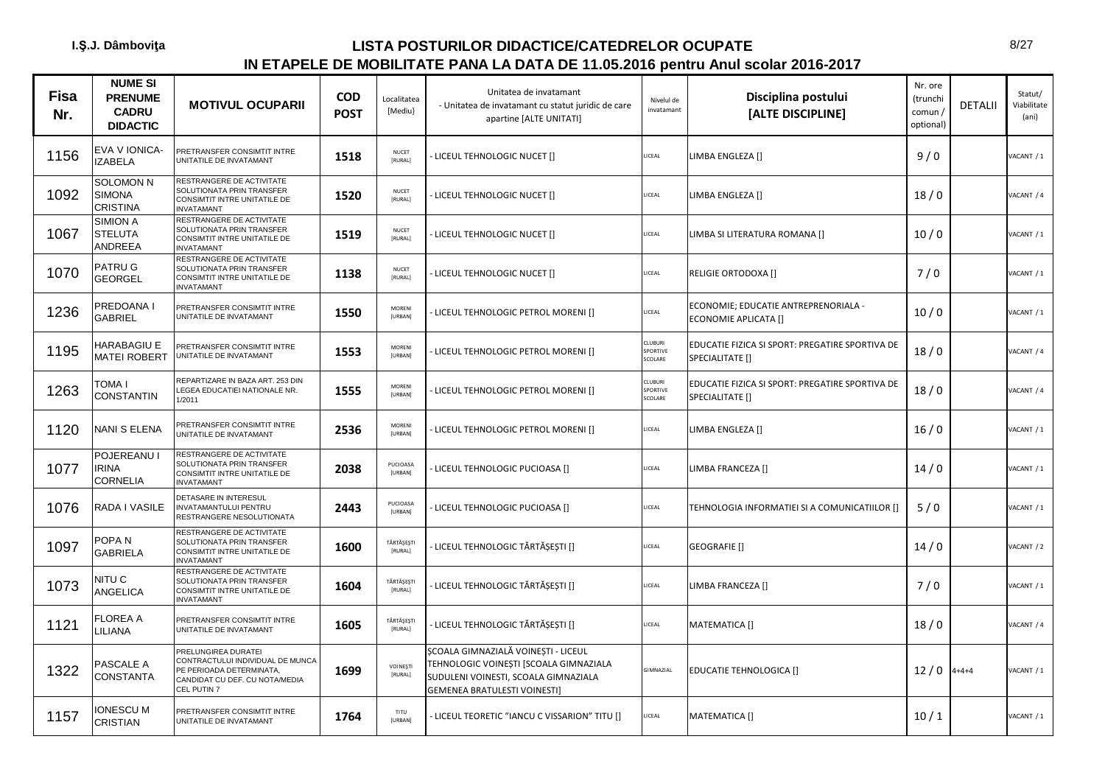| <b>Fisa</b><br>Nr. | <b>NUME SI</b><br><b>PRENUME</b><br><b>CADRU</b><br><b>DIDACTIC</b> | <b>MOTIVUL OCUPARII</b>                                                                                                              | <b>COD</b><br><b>POST</b> | Localitatea<br>[Mediu]          | Unitatea de invatamant<br>- Unitatea de invatamant cu statut juridic de care<br>apartine [ALTE UNITATI]                                               | Nivelul de<br>invatamant       | Disciplina postului<br>[ALTE DISCIPLINE]                           | Nr. ore<br>(trunchi<br>comun /<br>optional) | <b>DETALII</b> | Statut/<br>Viabilitate<br>(ani) |
|--------------------|---------------------------------------------------------------------|--------------------------------------------------------------------------------------------------------------------------------------|---------------------------|---------------------------------|-------------------------------------------------------------------------------------------------------------------------------------------------------|--------------------------------|--------------------------------------------------------------------|---------------------------------------------|----------------|---------------------------------|
| 1156               | EVA V IONICA-<br><b>IZABELA</b>                                     | PRETRANSFER CONSIMTIT INTRE<br>UNITATILE DE INVATAMANT                                                                               | 1518                      | NUCET<br>[RURAL]                | LICEUL TEHNOLOGIC NUCET []                                                                                                                            | ICEAL                          | LIMBA ENGLEZA []                                                   | 9/0                                         |                | VACANT / 1                      |
| 1092               | SOLOMON N<br><b>SIMONA</b><br><b>CRISTINA</b>                       | RESTRANGERE DE ACTIVITATE<br>SOLUTIONATA PRIN TRANSFER<br>CONSIMTIT INTRE UNITATILE DE<br><b>INVATAMANT</b>                          | 1520                      | <b>NUCET</b><br>[RURAL]         | LICEUL TEHNOLOGIC NUCET []                                                                                                                            | <b>ICEAL</b>                   | LIMBA ENGLEZA []                                                   | 18/0                                        |                | VACANT / 4                      |
| 1067               | <b>SIMION A</b><br><b>STELUTA</b><br>ANDREEA                        | RESTRANGERE DE ACTIVITATE<br>SOLUTIONATA PRIN TRANSFER<br>CONSIMTIT INTRE UNITATILE DE<br><b>INVATAMANT</b>                          | 1519                      | NUCET<br>[RURAL]                | LICEUL TEHNOLOGIC NUCET []                                                                                                                            | <b>ICEAL</b>                   | LIMBA SI LITERATURA ROMANA []                                      | 10/0                                        |                | VACANT / 1                      |
| 1070               | PATRU G<br><b>GEORGEL</b>                                           | RESTRANGERE DE ACTIVITATE<br>SOLUTIONATA PRIN TRANSFER<br>CONSIMTIT INTRE UNITATILE DE<br><b>INVATAMANT</b>                          | 1138                      | <b>NUCET</b><br><b>IRURALI</b>  | LICEUL TEHNOLOGIC NUCET []                                                                                                                            | <b>ICEAL</b>                   | RELIGIE ORTODOXA []                                                | 7/0                                         |                | VACANT / 1                      |
| 1236               | PREDOANA I<br><b>GABRIEL</b>                                        | PRETRANSFER CONSIMTIT INTRE<br>UNITATILE DE INVATAMANT                                                                               | 1550                      | MORENI<br><b>[URBAN]</b>        | LICEUL TEHNOLOGIC PETROL MORENI []                                                                                                                    | LICEAL                         | ECONOMIE; EDUCATIE ANTREPRENORIALA -<br>ECONOMIE APLICATA []       | 10/0                                        |                | VACANT / 1                      |
| 1195               | HARABAGIU E<br><b>MATEI ROBERT</b>                                  | PRETRANSFER CONSIMTIT INTRE<br>UNITATILE DE INVATAMANT                                                                               | 1553                      | <b>MORFNI</b><br><b>[URBAN]</b> | LICEUL TEHNOLOGIC PETROL MORENI []                                                                                                                    | CLUBURI<br>SPORTIVE<br>SCOLARE | EDUCATIE FIZICA SI SPORT: PREGATIRE SPORTIVA DE<br>SPECIALITATE [] | 18/0                                        |                | VACANT / 4                      |
| 1263               | toma i<br><b>CONSTANTIN</b>                                         | REPARTIZARE IN BAZA ART. 253 DIN<br>LEGEA EDUCATIEI NATIONALE NR.<br>1/2011                                                          | 1555                      | MORENI<br>[URBAN]               | LICEUL TEHNOLOGIC PETROL MORENI []                                                                                                                    | CLUBURI<br>SPORTIVE<br>SCOLARE | EDUCATIE FIZICA SI SPORT: PREGATIRE SPORTIVA DE<br>SPECIALITATE [] | 18/0                                        |                | VACANT / 4                      |
| 1120               | NANI S ELENA                                                        | PRETRANSFER CONSIMTIT INTRE<br>UNITATILE DE INVATAMANT                                                                               | 2536                      | MORENI<br>[URBAN]               | LICEUL TEHNOLOGIC PETROL MORENI []                                                                                                                    | LICEAL                         | LIMBA ENGLEZA []                                                   | 16/0                                        |                | VACANT / 1                      |
| 1077               | POJEREANU I<br><b>IRINA</b><br>CORNELIA                             | RESTRANGERE DE ACTIVITATE<br>SOLUTIONATA PRIN TRANSFER<br>CONSIMTIT INTRE UNITATILE DE<br><b>INVATAMANT</b>                          | 2038                      | PUCIOASA<br>[URBAN]             | LICEUL TEHNOLOGIC PUCIOASA []                                                                                                                         | ICEAL                          | LIMBA FRANCEZA []                                                  | 14/0                                        |                | VACANT / 1                      |
| 1076               | RADA I VASILE                                                       | DETASARE IN INTERESUL<br>INVATAMANTULUI PENTRU<br>RESTRANGERE NESOLUTIONATA                                                          | 2443                      | PUCIOASA<br>[URBAN]             | LICEUL TEHNOLOGIC PUCIOASA []                                                                                                                         | LICEAL                         | TEHNOLOGIA INFORMATIEI SI A COMUNICATIILOR []                      | 5/0                                         |                | VACANT / 1                      |
| 1097               | POPA N<br><b>GABRIELA</b>                                           | RESTRANGERE DE ACTIVITATE<br>SOLUTIONATA PRIN TRANSFER<br>CONSIMTIT INTRE UNITATILE DE<br><b>INVATAMANT</b>                          | 1600                      | TĂRTĂȘEȘTI<br><b>IRURALI</b>    | LICEUL TEHNOLOGIC TĂRTĂȘEȘTI []                                                                                                                       | LICEAL                         | <b>GEOGRAFIE</b> []                                                | 14/0                                        |                | VACANT / 2                      |
| 1073               | NITU C<br><b>ANGELICA</b>                                           | RESTRANGERE DE ACTIVITATE<br>SOLUTIONATA PRIN TRANSFER<br>CONSIMTIT INTRE UNITATILE DE<br><b>INVATAMANT</b>                          | 1604                      | TĂRTĂȘEȘTI<br>[RURAL]           | LICEUL TEHNOLOGIC TĂRTĂȘEȘTI []                                                                                                                       | LICEAL                         | LIMBA FRANCEZA []                                                  | 7/0                                         |                | VACANT / 1                      |
| 1121               | FLOREA A<br><b>ILIANA</b>                                           | PRETRANSFER CONSIMTIT INTRE<br>UNITATILE DE INVATAMANT                                                                               | 1605                      | TĂRTĂȘEȘTI<br>[RURAL]           | · LICEUL TEHNOLOGIC TĂRTĂȘEȘTI []                                                                                                                     | ICEAL                          | MATEMATICA []                                                      | 18/0                                        |                | VACANT / 4                      |
| 1322               | PASCALE A<br><b>CONSTANTA</b>                                       | PRELUNGIREA DURATEI<br>CONTRACTULUI INDIVIDUAL DE MUNCA<br>PE PERIOADA DETERMINATA,<br>CANDIDAT CU DEF. CU NOTA/MEDIA<br>CEL PUTIN 7 | 1699                      | <b>VOINESTI</b><br>[RURAL]      | ȘCOALA GIMNAZIALĂ VOINEȘTI - LICEUL<br>TEHNOLOGIC VOINEȘTI [SCOALA GIMNAZIALA<br>SUDULENI VOINESTI, SCOALA GIMNAZIALA<br>GEMENEA BRATULESTI VOINESTI] | GIMNAZIAL                      | EDUCATIE TEHNOLOGICA []                                            | $12/0$ 4+4+4                                |                | VACANT / 1                      |
| 1157               | <b>IONESCU M</b><br>CRISTIAN                                        | PRETRANSFER CONSIMTIT INTRE<br>UNITATILE DE INVATAMANT                                                                               | 1764                      | TITU<br>[URBAN]                 | - LICEUL TEORETIC "IANCU C VISSARION" TITU []                                                                                                         | ICEAL                          | <b>MATEMATICA []</b>                                               | 10/1                                        |                | VACANT / 1                      |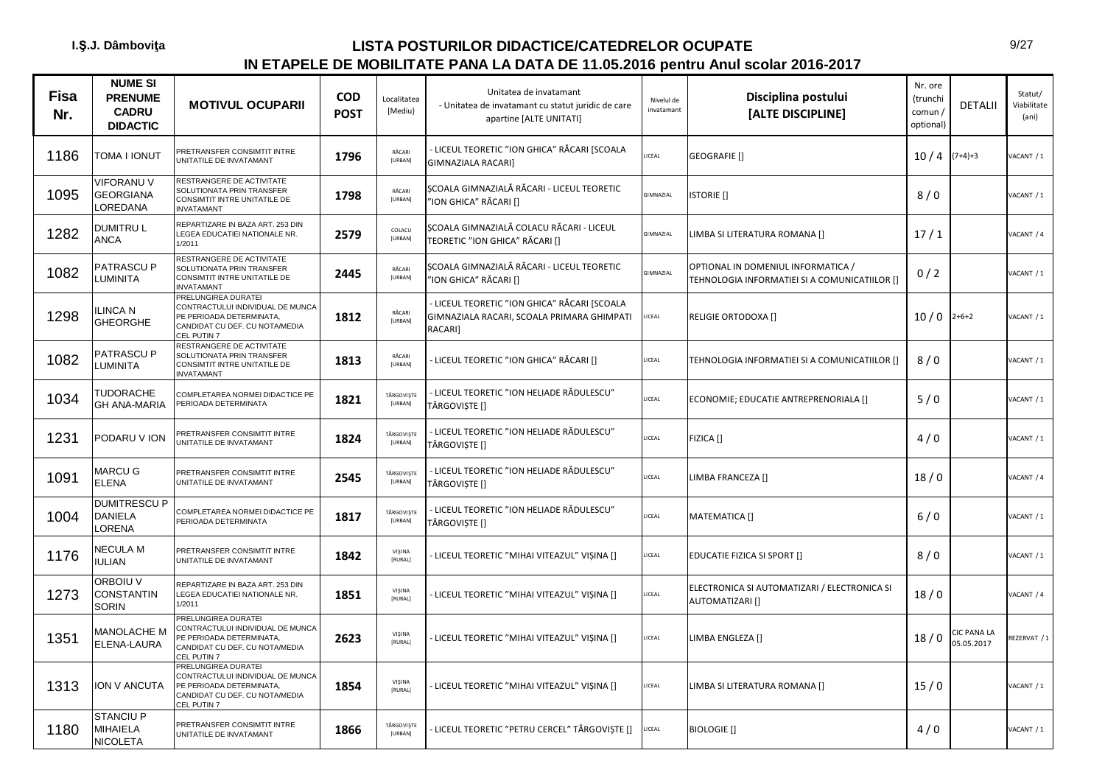| <b>Fisa</b><br>Nr. | <b>NUME SI</b><br><b>PRENUME</b><br><b>CADRU</b><br><b>DIDACTIC</b> | <b>MOTIVUL OCUPARII</b>                                                                                                                     | <b>COD</b><br><b>POST</b> | Localitatea<br>[Mediu}   | Unitatea de invatamant<br>- Unitatea de invatamant cu statut juridic de care<br>apartine [ALTE UNITATI] | Nivelul de<br>invatamant | Disciplina postului<br>[ALTE DISCIPLINE]                                            | Nr. ore<br>(trunchi<br>comun/<br>optional) | <b>DETALII</b>                   | Statut/<br>Viabilitate<br>(ani) |
|--------------------|---------------------------------------------------------------------|---------------------------------------------------------------------------------------------------------------------------------------------|---------------------------|--------------------------|---------------------------------------------------------------------------------------------------------|--------------------------|-------------------------------------------------------------------------------------|--------------------------------------------|----------------------------------|---------------------------------|
| 1186               | TOMA I IONUT                                                        | PRETRANSFER CONSIMTIT INTRE<br>UNITATILE DE INVATAMANT                                                                                      | 1796                      | RĂCARI<br>[URBAN]        | LICEUL TEORETIC "ION GHICA" RĂCARI [SCOALA<br>GIMNAZIALA RACARI]                                        | LICEAL                   | GEOGRAFIE []                                                                        | 10/4                                       | $(7+4)+3$                        | /ACANT / 1                      |
| 1095               | VIFORANU V<br><b>GEORGIANA</b><br><b>OREDANA</b>                    | RESTRANGERE DE ACTIVITATE<br>SOLUTIONATA PRIN TRANSFER<br>CONSIMTIT INTRE UNITATILE DE<br><b>INVATAMANT</b>                                 | 1798                      | RĂCARI<br>[URBAN]        | SCOALA GIMNAZIALĂ RĂCARI - LICEUL TEORETIC<br>'ION GHICA" RĂCARI []                                     | <b>GIMNAZIAL</b>         | <b>ISTORIE</b> []                                                                   | 8/0                                        |                                  | /ACANT / 1                      |
| 1282               | DUMITRU L<br>ANCA                                                   | REPARTIZARE IN BAZA ART. 253 DIN<br>LEGEA EDUCATIEI NATIONALE NR.<br>1/2011                                                                 | 2579                      | COLACU<br>[URBAN]        | SCOALA GIMNAZIALĂ COLACU RĂCARI - LICEUL<br>TEORETIC "ION GHICA" RĂCARI []                              | <b>GIMNAZIAL</b>         | LIMBA SI LITERATURA ROMANA []                                                       | 17/1                                       |                                  | VACANT / 4                      |
| 1082               | PATRASCU P<br>LUMINITA                                              | RESTRANGERE DE ACTIVITATE<br>SOLUTIONATA PRIN TRANSFER<br>CONSIMTIT INTRE UNITATILE DE<br><b>INVATAMANT</b>                                 | 2445                      | RĂCARI<br>[URBAN]        | SCOALA GIMNAZIALĂ RĂCARI - LICEUL TEORETIC<br>"ION GHICA" RĂCARI []                                     | <b>GIMNAZIAL</b>         | OPTIONAL IN DOMENIUL INFORMATICA /<br>TEHNOLOGIA INFORMATIEI SI A COMUNICATIILOR [] | 0/2                                        |                                  | VACANT / 1                      |
| 1298               | LINCA N<br><b>GHEORGHE</b>                                          | PRELUNGIREA DURATEI<br>CONTRACTULUI INDIVIDUAL DE MUNCA<br>PE PERIOADA DETERMINATA,<br>CANDIDAT CU DEF. CU NOTA/MEDIA<br>CEL PUTIN 7        | 1812                      | RĂCARI<br><b>[URBAN]</b> | - LICEUL TEORETIC "ION GHICA" RĂCARI [SCOALA<br>GIMNAZIALA RACARI, SCOALA PRIMARA GHIMPATI<br>RACARI]   | LICEAL                   | RELIGIE ORTODOXA []                                                                 | 10/0                                       | $2+6+2$                          | ACANT / 1                       |
| 1082               | PATRASCU P<br><b>LUMINITA</b>                                       | RESTRANGERE DE ACTIVITATE<br>SOLUTIONATA PRIN TRANSFER<br>CONSIMTIT INTRE UNITATILE DE<br><b>INVATAMANT</b>                                 | 1813                      | RĂCARI<br><b>[URBAN]</b> | LICEUL TEORETIC "ION GHICA" RĂCARI []                                                                   | LICEAL                   | TEHNOLOGIA INFORMATIEI SI A COMUNICATIILOR []                                       | 8/0                                        |                                  | VACANT / 1                      |
| 1034               | TUDORACHE<br><b>GH ANA-MARIA</b>                                    | COMPLETAREA NORMEI DIDACTICE PE<br>PERIOADA DETERMINATA                                                                                     | 1821                      | TÂRGOVIȘTE<br>[URBAN]    | - LICEUL TEORETIC "ION HELIADE RĂDULESCU"<br>TÂRGOVIȘTE []                                              | LICEAL                   | ECONOMIE; EDUCATIE ANTREPRENORIALA []                                               | 5/0                                        |                                  | VACANT / 1                      |
| 1231               | PODARU V ION                                                        | PRETRANSFER CONSIMTIT INTRE<br>UNITATILE DE INVATAMANT                                                                                      | 1824                      | TÂRGOVISTE<br>[URBAN]    | - LICEUL TEORETIC "ION HELIADE RĂDULESCU"<br>TÂRGOVISTE []                                              | ICEAL                    | FIZICA []                                                                           | 4/0                                        |                                  | /ACANT / 1                      |
| 1091               | MARCU G<br>ELENA                                                    | PRETRANSFER CONSIMTIT INTRE<br>UNITATILE DE INVATAMANT                                                                                      | 2545                      | TÂRGOVISTE<br>[URBAN]    | - LICEUL TEORETIC "ION HELIADE RĂDULESCU"<br>TÂRGOVIȘTE []                                              | LICEAL                   | LIMBA FRANCEZA []                                                                   | 18/0                                       |                                  | VACANT / 4                      |
| 1004               | <b>DUMITRESCU P</b><br><b>DANIELA</b><br>LORENA                     | COMPLETAREA NORMEI DIDACTICE PE<br>PERIOADA DETERMINATA                                                                                     | 1817                      | TÂRGOVIȘTE<br>[URBAN]    | - LICEUL TEORETIC "ION HELIADE RĂDULESCU"<br>TÂRGOVIȘTE []                                              | LICEAL                   | MATEMATICA []                                                                       | 6/0                                        |                                  | ACANT / 1                       |
| 1176               | NECULA M<br>IULIAN                                                  | PRETRANSFER CONSIMTIT INTRE<br>UNITATILE DE INVATAMANT                                                                                      | 1842                      | VISINA<br>[RURAL]        | LICEUL TEORETIC "MIHAI VITEAZUL" VIȘINA []                                                              | LICEAL                   | <b>EDUCATIE FIZICA SI SPORT []</b>                                                  | 8/0                                        |                                  | VACANT / 1                      |
| 1273               | ORBOIU V<br><b>CONSTANTIN</b><br><b>SORIN</b>                       | REPARTIZARE IN BAZA ART. 253 DIN<br>LEGEA EDUCATIEI NATIONALE NR.<br>1/2011                                                                 | 1851                      | VIŞINA<br>[RURAL]        | LICEUL TEORETIC "MIHAI VITEAZUL" VIȘINA []                                                              | LICEAL                   | ELECTRONICA SI AUTOMATIZARI / ELECTRONICA SI<br>AUTOMATIZARI []                     | 18/0                                       |                                  | VACANT / 4                      |
| 1351               | <b>MANOLACHE M</b><br>ELENA-LAURA                                   | <b>PRELUNGIREA DURATEI</b><br>CONTRACTULUI INDIVIDUAL DE MUNCA<br>PE PERIOADA DETERMINATA,<br>CANDIDAT CU DEF. CU NOTA/MEDIA<br>CEL PUTIN 7 | 2623                      | VIŞINA<br>[RURAL]        | LICEUL TEORETIC "MIHAI VITEAZUL" VIȘINA []                                                              | LICEAL                   | LIMBA ENGLEZA []                                                                    | 18/0                                       | <b>CIC PANA LA</b><br>05.05.2017 | EZERVAT / 1                     |
| 1313               | ION V ANCUTA                                                        | PRELUNGIREA DURATEI<br>CONTRACTULUI INDIVIDUAL DE MUNCA<br>PE PERIOADA DETERMINATA,<br>CANDIDAT CU DEF. CU NOTA/MEDIA<br>CEL PUTIN 7        | 1854                      | VIŞINA<br>[RURAL]        | LICEUL TEORETIC "MIHAI VITEAZUL" VIȘINA []                                                              | LICEAL                   | LIMBA SI LITERATURA ROMANA []                                                       | 15/0                                       |                                  | VACANT / 1                      |
| 1180               | <b>STANCIU P</b><br>MIHAIELA<br><b>NICOLETA</b>                     | PRETRANSFER CONSIMTIT INTRE<br>UNITATILE DE INVATAMANT                                                                                      | 1866                      | TÂRGOVISTE<br>[URBAN]    | LICEUL TEORETIC "PETRU CERCEL" TÂRGOVISTE []                                                            | LICEAL                   | <b>BIOLOGIE</b> []                                                                  | 4/0                                        |                                  | VACANT / 1                      |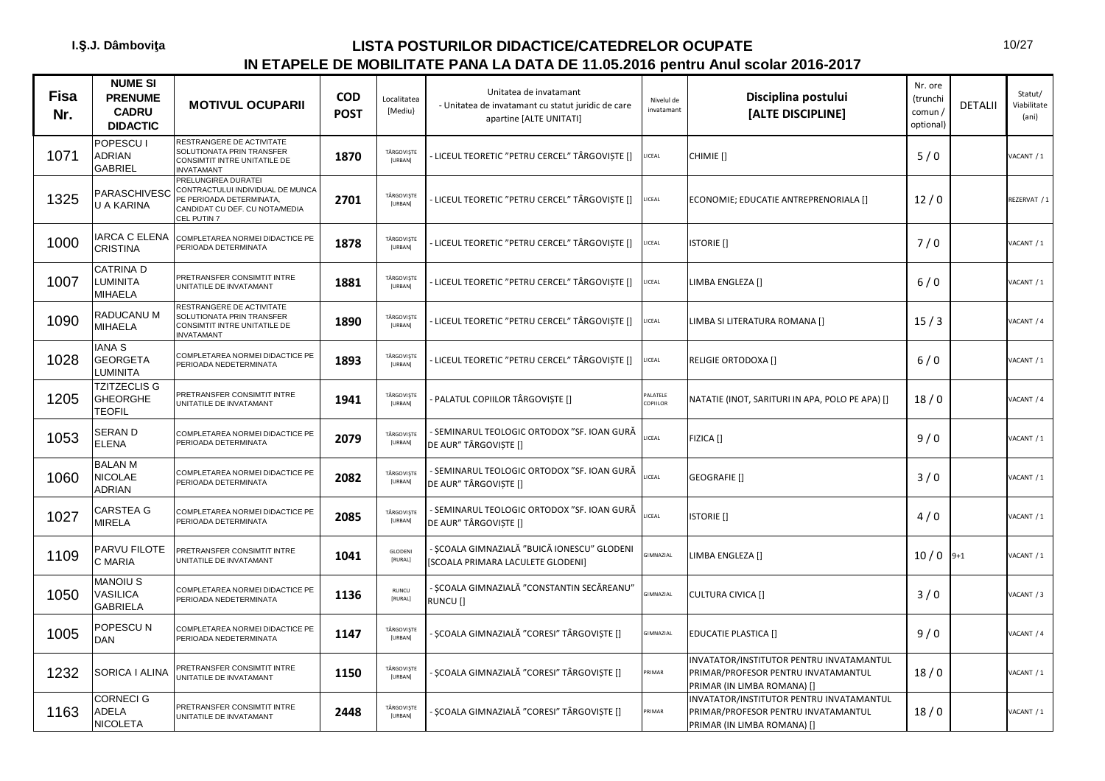| <b>Fisa</b><br>Nr. | <b>NUME SI</b><br><b>PRENUME</b><br><b>CADRU</b><br><b>DIDACTIC</b> | <b>MOTIVUL OCUPARII</b>                                                                                                              | <b>COD</b><br><b>POST</b> | Localitatea<br>[Mediu}       | Unitatea de invatamant<br>- Unitatea de invatamant cu statut juridic de care<br>apartine [ALTE UNITATI] | Nivelul de<br>invatamant | Disciplina postului<br>[ALTE DISCIPLINE]                                                                       | Nr. ore<br>(trunchi<br>comun/<br>optional) | <b>DETALII</b> | Statut/<br>Viabilitate<br>(ani) |
|--------------------|---------------------------------------------------------------------|--------------------------------------------------------------------------------------------------------------------------------------|---------------------------|------------------------------|---------------------------------------------------------------------------------------------------------|--------------------------|----------------------------------------------------------------------------------------------------------------|--------------------------------------------|----------------|---------------------------------|
| 1071               | POPESCU I<br>ADRIAN<br>GABRIEL                                      | RESTRANGERE DE ACTIVITATE<br>SOLUTIONATA PRIN TRANSFER<br>CONSIMTIT INTRE UNITATILE DE<br><b>INVATAMANT</b>                          | 1870                      | TÂRGOVIȘTE<br>[URBAN]        | LICEUL TEORETIC "PETRU CERCEL" TÂRGOVIȘTE []                                                            | LICEAL                   | CHIMIE []                                                                                                      | 5/0                                        |                | VACANT / 1                      |
| 1325               | PARASCHIVESC<br><b>J A KARINA</b>                                   | PRELUNGIREA DURATEI<br>CONTRACTULUI INDIVIDUAL DE MUNCA<br>PE PERIOADA DETERMINATA,<br>CANDIDAT CU DEF. CU NOTA/MEDIA<br>CEL PUTIN 7 | 2701                      | TÂRGOVIȘTE<br>[URBAN]        | LICEUL TEORETIC "PETRU CERCEL" TÂRGOVIȘTE []                                                            | ICEAL                    | ECONOMIE; EDUCATIE ANTREPRENORIALA []                                                                          | 12/0                                       |                | REZERVAT / 1                    |
| 1000               | ARCA C ELENA<br>CRISTINA                                            | COMPLETAREA NORMEI DIDACTICE PE<br>PERIOADA DETERMINATA                                                                              | 1878                      | TÂRGOVIȘTE<br>[URBAN]        | LICEUL TEORETIC "PETRU CERCEL" TÂRGOVIȘTE []                                                            | LICEAL                   | <b>ISTORIE</b> []                                                                                              | 7/0                                        |                | VACANT / 1                      |
| 1007               | CATRINA D<br><b>LUMINITA</b><br>MIHAELA                             | PRETRANSFER CONSIMTIT INTRE<br>UNITATILE DE INVATAMANT                                                                               | 1881                      | TÂRGOVIȘTE<br>[URBAN]        | LICEUL TEORETIC "PETRU CERCEL" TÂRGOVIȘTE []                                                            | LICEAL                   | LIMBA ENGLEZA []                                                                                               | $6/0$                                      |                | VACANT / 1                      |
| 1090               | RADUCANU M<br><b>MIHAELA</b>                                        | RESTRANGERE DE ACTIVITATE<br>SOLUTIONATA PRIN TRANSFER<br>CONSIMTIT INTRE UNITATILE DE<br><b>INVATAMANT</b>                          | 1890                      | TÂRGOVIȘTE<br>[URBAN]        | LICEUL TEORETIC "PETRU CERCEL" TÂRGOVIȘTE []                                                            | ICEAL                    | LIMBA SI LITERATURA ROMANA []                                                                                  | 15/3                                       |                | VACANT / 4                      |
| 1028               | ANA <sub>S</sub><br><b>GEORGETA</b><br>LUMINITA                     | COMPLETAREA NORMEI DIDACTICE PE<br>PERIOADA NEDETERMINATA                                                                            | 1893                      | TÂRGOVIȘTE<br>[URBAN]        | LICEUL TEORETIC "PETRU CERCEL" TÂRGOVIȘTE []                                                            | ICEAL                    | RELIGIE ORTODOXA []                                                                                            | 6/0                                        |                | VACANT / 1                      |
| 1205               | <b>TZITZECLIS G</b><br><b>GHEORGHE</b><br><b>TEOFIL</b>             | PRETRANSFER CONSIMTIT INTRE<br>UNITATILE DE INVATAMANT                                                                               | 1941                      | TÂRGOVIȘTE<br>[URBAN]        | PALATUL COPIILOR TÂRGOVIȘTE []                                                                          | ALATELE<br>COPIILOR      | NATATIE (INOT, SARITURI IN APA, POLO PE APA) []                                                                | 18/0                                       |                | VACANT / 4                      |
| 1053               | <b>SERAND</b><br>ELENA                                              | COMPLETAREA NORMEI DIDACTICE PE<br>PERIOADA DETERMINATA                                                                              | 2079                      | TÂRGOVIȘTE<br>[URBAN]        | - SEMINARUL TEOLOGIC ORTODOX "SF. IOAN GURĂ<br>DE AUR" TÂRGOVIȘTE []                                    | ICEAL                    | FIZICA []                                                                                                      | 9/0                                        |                | VACANT / 1                      |
| 1060               | <b>BALAN M</b><br>NICOLAE<br>ADRIAN                                 | COMPLETAREA NORMEI DIDACTICE PE<br>PERIOADA DETERMINATA                                                                              | 2082                      | TÂRGOVIȘTE<br>[URBAN]        | SEMINARUL TEOLOGIC ORTODOX "SF. IOAN GURĂ<br>DE AUR" TÂRGOVIȘTE []                                      | ICEAL                    | GEOGRAFIE []                                                                                                   | 3/0                                        |                | VACANT / 1                      |
| 1027               | CARSTEA G<br><b>MIRELA</b>                                          | COMPLETAREA NORMEI DIDACTICE PE<br>PERIOADA DETERMINATA                                                                              | 2085                      | TÂRGOVIȘTE<br>[URBAN]        | - SEMINARUL TEOLOGIC ORTODOX "SF. IOAN GURĂ<br>DE AUR" TÂRGOVIȘTE []                                    | ICEAL                    | <b>ISTORIE</b> []                                                                                              | 4/0                                        |                | VACANT / 1                      |
| 1109               | PARVU FILOTE<br>C MARIA                                             | PRETRANSFER CONSIMTIT INTRE<br>UNITATILE DE INVATAMANT                                                                               | 1041                      | GLODENI<br>[RURAL]           | ȘCOALA GIMNAZIALĂ "BUICĂ IONESCU" GLODENI<br>SCOALA PRIMARA LACULETE GLODENI]                           | <b>GIMNAZIAL</b>         | LIMBA ENGLEZA []                                                                                               | $10/0$ 9+1                                 |                | VACANT / 1                      |
| 1050               | <b>MANOIUS</b><br>VASILICA<br><b>GABRIELA</b>                       | COMPLETAREA NORMEI DIDACTICE PE<br>PERIOADA NEDETERMINATA                                                                            | 1136                      | RUNCU<br>[RURAL]             | - SCOALA GIMNAZIALĂ "CONSTANTIN SECĂREANU"<br>RUNCU []                                                  | GIMNAZIAL                | <b>CULTURA CIVICA []</b>                                                                                       | 3/0                                        |                | VACANT / 3                      |
| 1005               | POPESCU N<br>DAN                                                    | COMPLETAREA NORMEI DIDACTICE PE<br>PERIOADA NEDETERMINATA                                                                            | 1147                      | TÂRGOVIȘTE<br>[URBAN]        | ȘCOALA GIMNAZIALĂ "CORESI" TÂRGOVIȘTE []                                                                | GIMNAZIAL                | EDUCATIE PLASTICA []                                                                                           | 9/0                                        |                | VACANT / 4                      |
| 1232               | SORICA I ALINA                                                      | PRETRANSFER CONSIMTIT INTRE<br>UNITATILE DE INVATAMANT                                                                               | 1150                      | TÂRGOVIȘTE<br>[URBAN]        | ȘCOALA GIMNAZIALĂ "CORESI" TÂRGOVIȘTE []                                                                | <b>RIMAR</b>             | INVATATOR/INSTITUTOR PENTRU INVATAMANTUL<br>PRIMAR/PROFESOR PENTRU INVATAMANTUL<br>PRIMAR (IN LIMBA ROMANA) [] | 18/0                                       |                | VACANT / 1                      |
| 1163               | CORNECI G<br>ADELA<br>NICOLETA                                      | PRETRANSFER CONSIMTIT INTRE<br>UNITATILE DE INVATAMANT                                                                               | 2448                      | TÂRGOVIȘTE<br><b>[URBAN]</b> | ȘCOALA GIMNAZIALĂ "CORESI" TÂRGOVIȘTE []                                                                | <b>RIMAR</b>             | INVATATOR/INSTITUTOR PENTRU INVATAMANTUL<br>PRIMAR/PROFESOR PENTRU INVATAMANTUL<br>PRIMAR (IN LIMBA ROMANA) [] | 18/0                                       |                | VACANT / 1                      |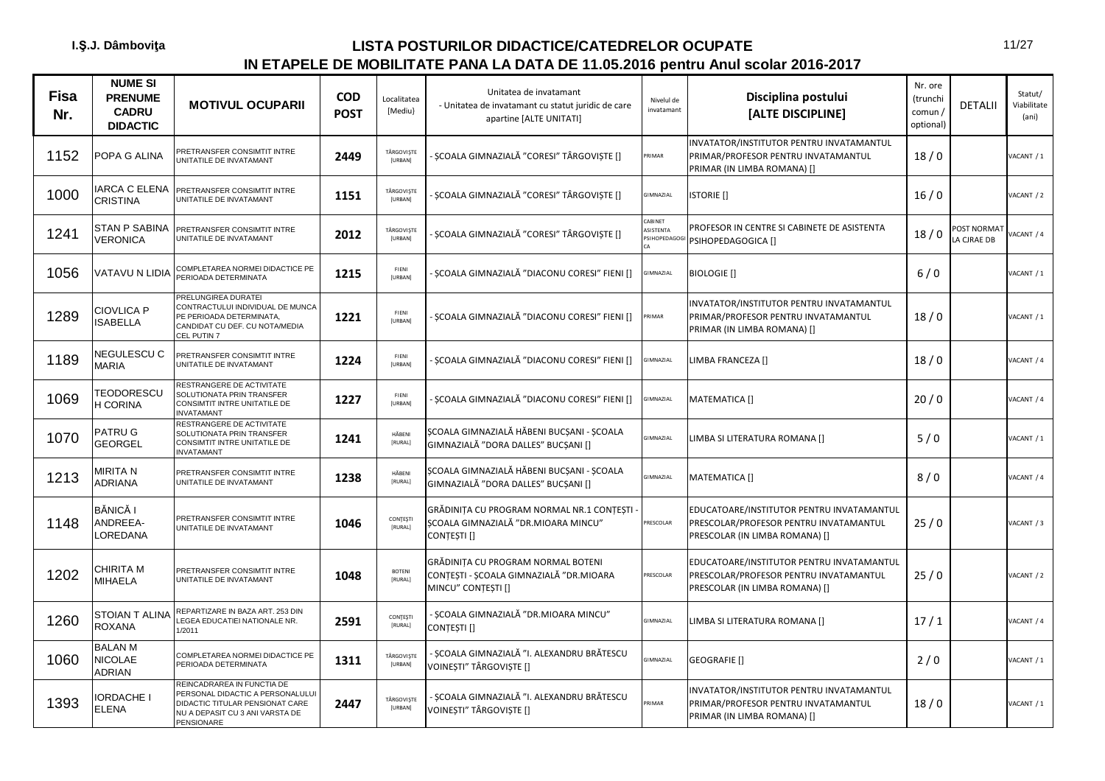| <b>Fisa</b><br>Nr. | <b>NUME SI</b><br><b>PRENUME</b><br><b>CADRU</b><br><b>DIDACTIC</b> | <b>MOTIVUL OCUPARII</b>                                                                                                                            | <b>COD</b><br><b>POST</b> | Localitatea<br>[Mediu]          | Unitatea de invatamant<br>- Unitatea de invatamant cu statut juridic de care<br>apartine [ALTE UNITATI] | Nivelul de<br>invatamant              | Disciplina postului<br>[ALTE DISCIPLINE]                                                                              | Nr. ore<br>(trunchi<br>comun /<br>optional) | <b>DETALII</b>             | Statut/<br>Viabilitate<br>(ani) |
|--------------------|---------------------------------------------------------------------|----------------------------------------------------------------------------------------------------------------------------------------------------|---------------------------|---------------------------------|---------------------------------------------------------------------------------------------------------|---------------------------------------|-----------------------------------------------------------------------------------------------------------------------|---------------------------------------------|----------------------------|---------------------------------|
| 1152               | POPA G ALINA                                                        | PRETRANSFER CONSIMTIT INTRE<br>UNITATILE DE INVATAMANT                                                                                             | 2449                      | TÂRGOVIȘTE<br>[URBAN]           | ȘCOALA GIMNAZIALĂ "CORESI" TÂRGOVIȘTE []                                                                | PRIMAR                                | INVATATOR/INSTITUTOR PENTRU INVATAMANTUL<br>PRIMAR/PROFESOR PENTRU INVATAMANTUL<br>PRIMAR (IN LIMBA ROMANA) []        | 18/0                                        |                            | VACANT / 1                      |
| 1000               | <b>IARCA C ELENA</b><br><b>CRISTINA</b>                             | PRETRANSFER CONSIMTIT INTRE<br>UNITATILE DE INVATAMANT                                                                                             | 1151                      | TÂRGOVIȘTE<br>[URBAN]           | SCOALA GIMNAZIALĂ "CORESI" TÂRGOVISTE []                                                                | GIMNAZIAL                             | <b>ISTORIE</b> []                                                                                                     | 16/0                                        |                            | VACANT / 2                      |
| 1241               | <b>STAN P SABINA</b><br><b>VERONICA</b>                             | PRETRANSFER CONSIMTIT INTRE<br>JNITATILE DE INVATAMANT                                                                                             | 2012                      | TÂRGOVIȘTE<br>[URBAN]           | SCOALA GIMNAZIALĂ "CORESI" TÂRGOVISTE []                                                                | CABINET<br>ASISTENTA<br>PSIHOPEDAGOGI | PROFESOR IN CENTRE SI CABINETE DE ASISTENTA<br>PSIHOPEDAGOGICA []                                                     | 18/0                                        | POST NORMAT<br>LA CJRAE DB | ACANT / 4                       |
| 1056               | VATAVU N LIDIA                                                      | COMPLETAREA NORMEI DIDACTICE PE<br>PERIOADA DETERMINATA                                                                                            | 1215                      | FIENI<br><b>IURBANI</b>         | ȘCOALA GIMNAZIALĂ "DIACONU CORESI" FIENI []                                                             | GIMNAZIAL                             | <b>BIOLOGIE</b> []                                                                                                    | 6/0                                         |                            | ACANT / 1                       |
| 1289               | <b>CIOVLICA P</b><br><b>ISABELLA</b>                                | PRELUNGIREA DURATEI<br>CONTRACTULUI INDIVIDUAL DE MUNCA<br>PE PERIOADA DETERMINATA,<br>CANDIDAT CU DEF. CU NOTA/MEDIA<br>CEL PUTIN 7               | 1221                      | FIENI<br>[URBAN]                | ȘCOALA GIMNAZIALĂ "DIACONU CORESI" FIENI []                                                             | PRIMAR                                | INVATATOR/INSTITUTOR PENTRU INVATAMANTUL<br>PRIMAR/PROFESOR PENTRU INVATAMANTUL<br>PRIMAR (IN LIMBA ROMANA) []        | 18/0                                        |                            | VACANT / 1                      |
| 1189               | NEGULESCU C<br><b>MARIA</b>                                         | PRETRANSFER CONSIMTIT INTRE<br>UNITATILE DE INVATAMANT                                                                                             | 1224                      | FIENI<br>[URBAN]                | SCOALA GIMNAZIALĂ "DIACONU CORESI" FIENI []                                                             | GIMNAZIAL                             | LIMBA FRANCEZA []                                                                                                     | 18/0                                        |                            | VACANT / 4                      |
| 1069               | TEODORESCU<br>H CORINA                                              | RESTRANGERE DE ACTIVITATE<br>SOLUTIONATA PRIN TRANSFER<br>CONSIMTIT INTRE UNITATILE DE<br><b>NVATAMANT</b>                                         | 1227                      | FIENI<br>[URBAN]                | ȘCOALA GIMNAZIALĂ "DIACONU CORESI" FIENI []                                                             | GIMNAZIAL                             | <b>MATEMATICA []</b>                                                                                                  | 20/0                                        |                            | ACANT / 4                       |
| 1070               | PATRU G<br><b>GEORGEL</b>                                           | RESTRANGERE DE ACTIVITATE<br>SOLUTIONATA PRIN TRANSFER<br><b>CONSIMTIT INTRE UNITATILE DE</b><br><b>INVATAMANT</b>                                 | 1241                      | HĂBENI<br>[RURAL]               | SCOALA GIMNAZIALĂ HĂBENI BUCȘANI - ȘCOALA<br>GIMNAZIALĂ "DORA DALLES" BUCSANI []                        | GIMNAZIAL                             | LIMBA SI LITERATURA ROMANA []                                                                                         | 5/0                                         |                            | ACANT / 1                       |
| 1213               | MIRITA N<br><b>ADRIANA</b>                                          | PRETRANSFER CONSIMTIT INTRE<br>UNITATILE DE INVATAMANT                                                                                             | 1238                      | HĂBENI<br>[RURAL]               | ȘCOALA GIMNAZIALĂ HĂBENI BUCȘANI - ȘCOALA<br>GIMNAZIALĂ "DORA DALLES" BUCȘANI []                        | <b>SIMNAZIAL</b>                      | <b>MATEMATICA []</b>                                                                                                  | 8/0                                         |                            | ACANT / 4                       |
| 1148               | <b>BĂNICĂ I</b><br>ANDREEA-<br>LOREDANA                             | PRETRANSFER CONSIMTIT INTRE<br>UNITATILE DE INVATAMANT                                                                                             | 1046                      | CONTESTI<br>[RURAL]             | GRĂDINIȚA CU PROGRAM NORMAL NR.1 CONȚEȘTI<br>SCOALA GIMNAZIALĂ "DR.MIOARA MINCU"<br>CONTESTI []         | PRESCOLAR                             | EDUCATOARE/INSTITUTOR PENTRU INVATAMANTUL<br>PRESCOLAR/PROFESOR PENTRU INVATAMANTUL<br>PRESCOLAR (IN LIMBA ROMANA) [] | 25/0                                        |                            | VACANT / 3                      |
| 1202               | <b>CHIRITA M</b><br><b>MIHAELA</b>                                  | PRETRANSFER CONSIMTIT INTRE<br>UNITATILE DE INVATAMANT                                                                                             | 1048                      | <b>BOTENI</b><br><b>IRURALI</b> | GRĂDINITA CU PROGRAM NORMAL BOTENI<br>CONTESTI - SCOALA GIMNAZIALĂ "DR.MIOARA<br>MINCU" CONȚEȘTI []     | PRESCOLAR                             | EDUCATOARE/INSTITUTOR PENTRU INVATAMANTUL<br>PRESCOLAR/PROFESOR PENTRU INVATAMANTUL<br>PRESCOLAR (IN LIMBA ROMANA) [] | 25/0                                        |                            | VACANT / 2                      |
| 1260               | <b>STOIAN T ALINA</b><br><b>ROXANA</b>                              | REPARTIZARE IN BAZA ART. 253 DIN<br>EGEA EDUCATIEI NATIONALE NR.<br>1/2011                                                                         | 2591                      | CONTESTI<br>[RURAL]             | SCOALA GIMNAZIALĂ "DR.MIOARA MINCU"<br>CONTEȘTI []                                                      | GIMNAZIAL                             | LIMBA SI LITERATURA ROMANA []                                                                                         | 17/1                                        |                            | VACANT / 4                      |
| 1060               | <b>BALAN M</b><br><b>NICOLAE</b><br><b>ADRIAN</b>                   | COMPLETAREA NORMEI DIDACTICE PE<br>PERIOADA DETERMINATA                                                                                            | 1311                      | TÂRGOVIȘTE<br>[URBAN]           | - SCOALA GIMNAZIALĂ "I. ALEXANDRU BRĂTESCU<br>VOINESTI" TÂRGOVISTE []                                   | GIMNAZIAL                             | GEOGRAFIE []                                                                                                          | 2/0                                         |                            | VACANT / 1                      |
| 1393               | <b>IORDACHE I</b><br><b>ELENA</b>                                   | REINCADRAREA IN FUNCTIA DE<br>PERSONAL DIDACTIC A PERSONALULUI<br>DIDACTIC TITULAR PENSIONAT CARE<br>NU A DEPASIT CU 3 ANI VARSTA DE<br>PENSIONARE | 2447                      | TÂRGOVIȘTE<br>[URBAN]           | - SCOALA GIMNAZIALĂ "I. ALEXANDRU BRĂTESCU<br>VOINEȘTI" TÂRGOVIȘTE []                                   | <b>RIMAR</b>                          | INVATATOR/INSTITUTOR PENTRU INVATAMANTUL<br>PRIMAR/PROFESOR PENTRU INVATAMANTUL<br>PRIMAR (IN LIMBA ROMANA) []        | 18/0                                        |                            | VACANT / 1                      |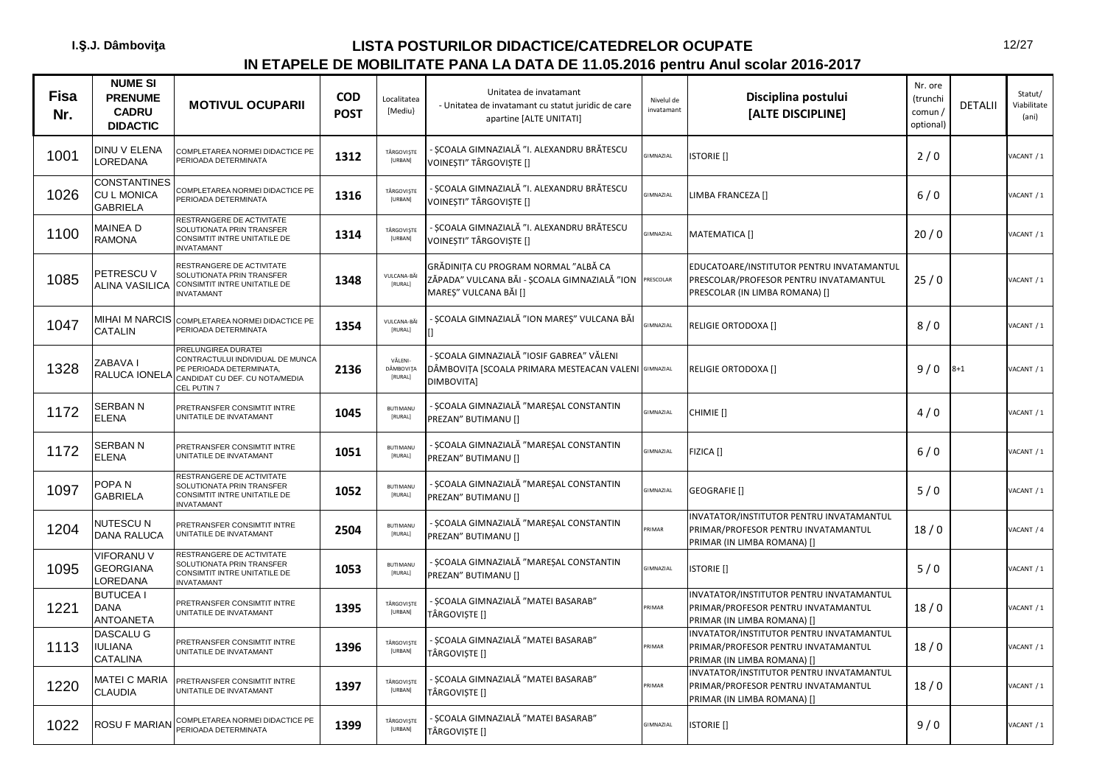| <b>Fisa</b><br>Nr. | <b>NUME SI</b><br><b>PRENUME</b><br><b>CADRU</b><br><b>DIDACTIC</b> | <b>MOTIVUL OCUPARII</b>                                                                                                                    | <b>COD</b><br><b>POST</b> | Localitatea<br>[Mediu}          | Unitatea de invatamant<br>- Unitatea de invatamant cu statut juridic de care<br>apartine [ALTE UNITATI]         | Nivelul de<br>invatamant | Disciplina postului<br>[ALTE DISCIPLINE]                                                                              | Nr. ore<br>(trunchi<br>comun /<br>optional) | <b>DETALII</b> | Statut/<br>Viabilitate<br>(ani) |
|--------------------|---------------------------------------------------------------------|--------------------------------------------------------------------------------------------------------------------------------------------|---------------------------|---------------------------------|-----------------------------------------------------------------------------------------------------------------|--------------------------|-----------------------------------------------------------------------------------------------------------------------|---------------------------------------------|----------------|---------------------------------|
| 1001               | DINU V ELENA<br>LOREDANA                                            | COMPLETAREA NORMEI DIDACTICE PE<br>PERIOADA DETERMINATA                                                                                    | 1312                      | TÂRGOVIȘTE<br>[URBAN]           | - SCOALA GIMNAZIALĂ "I. ALEXANDRU BRĂTESCU<br>VOINEȘTI" TÂRGOVIȘTE []                                           | <b>GIMNAZIAL</b>         | <b>ISTORIE</b> []                                                                                                     | 2/0                                         |                | VACANT / 1                      |
| 1026               | <b>CONSTANTINES</b><br><b>CUL MONICA</b><br><b>GABRIELA</b>         | COMPLETAREA NORMEI DIDACTICE PE<br>PERIOADA DETERMINATA                                                                                    | 1316                      | TÂRGOVISTE<br><b>[URBAN]</b>    | - SCOALA GIMNAZIALĂ "I. ALEXANDRU BRĂTESCU<br>VOINEȘTI" TÂRGOVIȘTE []                                           | GIMNAZIAL                | LIMBA FRANCEZA []                                                                                                     | 6/0                                         |                | VACANT / 1                      |
| 1100               | MAINEA D<br><b>RAMONA</b>                                           | RESTRANGERE DE ACTIVITATE<br>SOLUTIONATA PRIN TRANSFER<br>CONSIMTIT INTRE UNITATILE DE<br><b>INVATAMANT</b>                                | 1314                      | TÂRGOVISTE<br>[URBAN]           | - SCOALA GIMNAZIALĂ "I. ALEXANDRU BRĂTESCU<br>VOINESTI" TÂRGOVISTE []                                           | <b>GIMNAZIAL</b>         | MATEMATICA []                                                                                                         | 20/0                                        |                | VACANT / 1                      |
| 1085               | PETRESCU V<br>ALINA VASILICA                                        | RESTRANGERE DE ACTIVITATE<br>SOLUTIONATA PRIN TRANSFER<br>CONSIMTIT INTRE UNITATILE DE<br>NVATAMANT                                        | 1348                      | VULCANA-BĂI<br>[RURAL]          | GRĂDINITA CU PROGRAM NORMAL "ALBĂ CA<br>ZĂPADA" VULCANA BĂI - ȘCOALA GIMNAZIALĂ "ION<br>MAREȘ" VULCANA BĂI []   | PRESCOLAR                | EDUCATOARE/INSTITUTOR PENTRU INVATAMANTUL<br>PRESCOLAR/PROFESOR PENTRU INVATAMANTUL<br>PRESCOLAR (IN LIMBA ROMANA) [] | 25/0                                        |                | VACANT / 1                      |
| 1047               | CATALIN                                                             | MIHAI M NARCIS COMPLETAREA NORMEI DIDACTICE PE<br>PERIOADA DETERMINATA                                                                     | 1354                      | VULCANA-BĂI<br>[RURAL]          | ȘCOALA GIMNAZIALĂ "ION MAREȘ" VULCANA BĂI                                                                       | <b>GIMNAZIAL</b>         | RELIGIE ORTODOXA []                                                                                                   | 8/0                                         |                | VACANT / 1                      |
| 1328               | ZABAVA I<br>RALUCA IONELA                                           | PRELUNGIREA DURATEI<br>CONTRACTULUI INDIVIDUAL DE MUNCA<br>PE PERIOADA DETERMINATA,<br>CANDIDAT CU DEF. CU NOTA/MEDIA<br><b>EL PUTIN 7</b> | 2136                      | VĂLENI-<br>DÂMBOVITA<br>[RURAL] | - SCOALA GIMNAZIALĂ "IOSIF GABREA" VĂLENI<br>DÂMBOVIȚA [SCOALA PRIMARA MESTEACAN VALENI GIMNAZIAL<br>DIMBOVITA] |                          | RELIGIE ORTODOXA []                                                                                                   | 9/0                                         | $8 + 1$        | VACANT / 1                      |
| 1172               | <b>SERBAN N</b><br><b>ELENA</b>                                     | PRETRANSFER CONSIMTIT INTRE<br>JNITATILE DE INVATAMANT                                                                                     | 1045                      | <b>BUTIMANU</b><br>[RURAL]      | SCOALA GIMNAZIALĂ "MARESAL CONSTANTIN<br>PREZAN" BUTIMANU []                                                    | <b>GIMNAZIAL</b>         | CHIMIE []                                                                                                             | 4/0                                         |                | VACANT / 1                      |
| 1172               | SERBAN N<br><b>ELENA</b>                                            | PRETRANSFER CONSIMTIT INTRE<br>UNITATILE DE INVATAMANT                                                                                     | 1051                      | <b>BUTIMANU</b><br>[RURAL]      | SCOALA GIMNAZIALĂ "MAREȘAL CONSTANTIN<br>PREZAN" BUTIMANU []                                                    | <b>GIMNAZIAL</b>         | FIZICA []                                                                                                             | 6/0                                         |                | VACANT / 1                      |
| 1097               | POPA <sub>N</sub><br><b>GABRIELA</b>                                | RESTRANGERE DE ACTIVITATE<br>SOLUTIONATA PRIN TRANSFER<br>CONSIMTIT INTRE UNITATILE DE<br><b>INVATAMANT</b>                                | 1052                      | <b>BUTIMANU</b><br>[RURAL]      | - ȘCOALA GIMNAZIALĂ "MAREȘAL CONSTANTIN<br>PREZAN" BUTIMANU []                                                  | <b>GIMNAZIAL</b>         | <b>GEOGRAFIE</b> []                                                                                                   | 5/0                                         |                | VACANT / 1                      |
| 1204               | NUTESCU N<br><b>DANA RALUCA</b>                                     | PRETRANSFER CONSIMTIT INTRE<br>JNITATILE DE INVATAMANT                                                                                     | 2504                      | <b>BUTIMANU</b><br>[RURAL]      | - ȘCOALA GIMNAZIALĂ "MAREȘAL CONSTANTIN<br>PREZAN" BUTIMANU []                                                  | RIMAR                    | INVATATOR/INSTITUTOR PENTRU INVATAMANTUL<br>PRIMAR/PROFESOR PENTRU INVATAMANTUL<br>PRIMAR (IN LIMBA ROMANA) []        | 18/0                                        |                | VACANT / 4                      |
| 1095               | <b>VIFORANU V</b><br><b>GEORGIANA</b><br>LOREDANA                   | RESTRANGERE DE ACTIVITATE<br>SOLUTIONATA PRIN TRANSFER<br>CONSIMTIT INTRE UNITATILE DE<br><b>INVATAMANT</b>                                | 1053                      | <b>BUTIMANU</b><br>[RURAL]      | - SCOALA GIMNAZIALĂ "MARESAL CONSTANTIN<br>PREZAN" BUTIMANU []                                                  | <b>GIMNAZIAL</b>         | <b>ISTORIE</b> []                                                                                                     | 5/0                                         |                | VACANT / 1                      |
| 1221               | <b>BUTUCEA I</b><br><b>DANA</b><br><b>ANTOANETA</b>                 | PRETRANSFER CONSIMTIT INTRE<br>UNITATILE DE INVATAMANT                                                                                     | 1395                      | TÂRGOVIȘTE<br>[URBAN]           | - ȘCOALA GIMNAZIALĂ "MATEI BASARAB"<br>TÂRGOVISTE []                                                            | <b>RIMAR</b>             | INVATATOR/INSTITUTOR PENTRU INVATAMANTUL<br>PRIMAR/PROFESOR PENTRU INVATAMANTUL<br>PRIMAR (IN LIMBA ROMANA) []        | 18/0                                        |                | VACANT / 1                      |
| 1113               | DASCALU G<br>IULIANA<br><b>CATALINA</b>                             | PRETRANSFER CONSIMTIT INTRE<br>JNITATILE DE INVATAMANT                                                                                     | 1396                      | TÂRGOVIȘTE<br>[URBAN]           | - ȘCOALA GIMNAZIALĂ "MATEI BASARAB"<br>TÂRGOVISTE []                                                            | RIMAR                    | INVATATOR/INSTITUTOR PENTRU INVATAMANTUL<br>PRIMAR/PROFESOR PENTRU INVATAMANTUL<br>PRIMAR (IN LIMBA ROMANA) []        | 18/0                                        |                | VACANT / 1                      |
| 1220               | MATEI C MARIA<br><b>CLAUDIA</b>                                     | PRETRANSFER CONSIMTIT INTRE<br>UNITATILE DE INVATAMANT                                                                                     | 1397                      | TÂRGOVIȘTE<br>[URBAN]           | - ȘCOALA GIMNAZIALĂ "MATEI BASARAB"<br>TÂRGOVIȘTE []                                                            | RIMAR                    | INVATATOR/INSTITUTOR PENTRU INVATAMANTUL<br>PRIMAR/PROFESOR PENTRU INVATAMANTUL<br>PRIMAR (IN LIMBA ROMANA) []        | 18/0                                        |                | VACANT / 1                      |
| 1022               | ROSU F MARIAN                                                       | COMPLETAREA NORMEI DIDACTICE PE<br>PERIOADA DETERMINATA                                                                                    | 1399                      | TÂRGOVIȘTE<br><b>[URBAN]</b>    | - SCOALA GIMNAZIALĂ "MATEI BASARAB"<br>TÂRGOVIȘTE []                                                            | GIMNAZIAL                | <b>ISTORIE</b> []                                                                                                     | 9/0                                         |                | VACANT / 1                      |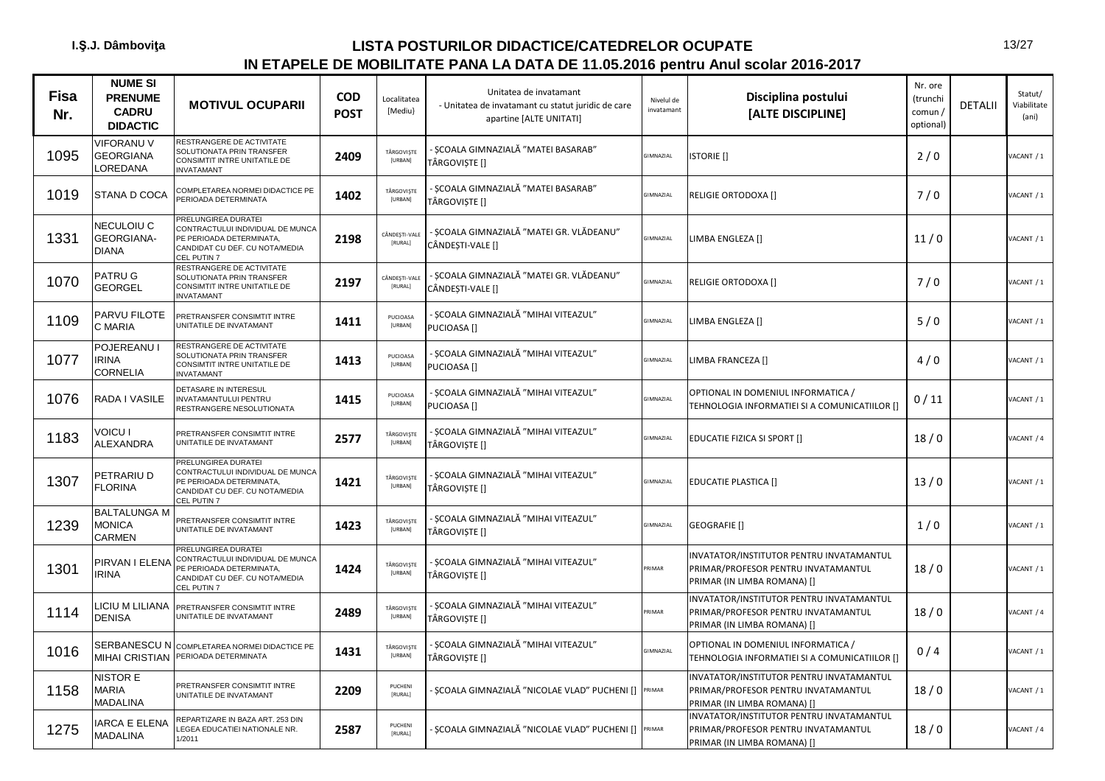| <b>Fisa</b><br>Nr. | <b>NUME SI</b><br><b>PRENUME</b><br><b>CADRU</b><br><b>DIDACTIC</b> | <b>MOTIVUL OCUPARII</b>                                                                                                              | <b>COD</b><br><b>POST</b> | Localitatea<br>[Mediu}       | Unitatea de invatamant<br>- Unitatea de invatamant cu statut juridic de care<br>apartine [ALTE UNITATI] | Nivelul de<br>invatamant | Disciplina postului<br>[ALTE DISCIPLINE]                                                                       | Nr. ore<br>(trunchi<br>comun /<br>optional) | <b>DETALII</b> | Statut/<br>Viabilitate<br>(ani) |
|--------------------|---------------------------------------------------------------------|--------------------------------------------------------------------------------------------------------------------------------------|---------------------------|------------------------------|---------------------------------------------------------------------------------------------------------|--------------------------|----------------------------------------------------------------------------------------------------------------|---------------------------------------------|----------------|---------------------------------|
| 1095               | <b>VIFORANU V</b><br><b>GEORGIANA</b><br>LOREDANA                   | RESTRANGERE DE ACTIVITATE<br>SOLUTIONATA PRIN TRANSFER<br><b>CONSIMTIT INTRE UNITATILE DE</b><br><b>INVATAMANT</b>                   | 2409                      | TÂRGOVISTE<br>[URBAN]        | SCOALA GIMNAZIALĂ "MATEI BASARAB"<br>TÂRGOVISTE []                                                      | <b>GIMNAZIAL</b>         | <b>ISTORIE</b> []                                                                                              | 2/0                                         |                | ACANT / 1                       |
| 1019               | STANA D COCA                                                        | COMPLETAREA NORMEI DIDACTICE PE<br>PERIOADA DETERMINATA                                                                              | 1402                      | TÂRGOVIȘTE<br>[URBAN]        | SCOALA GIMNAZIALĂ "MATEI BASARAB"<br>TÂRGOVIȘTE []                                                      | GIMNAZIAL                | RELIGIE ORTODOXA []                                                                                            | 7/0                                         |                | VACANT / 1                      |
| 1331               | <b>NECULOIU C</b><br>GEORGIANA-<br><b>DIANA</b>                     | PRELUNGIREA DURATEI<br>CONTRACTULUI INDIVIDUAL DE MUNCA<br>PE PERIOADA DETERMINATA,<br>CANDIDAT CU DEF. CU NOTA/MEDIA<br>CEL PUTIN 7 | 2198                      | CÂNDEȘTI-VALE<br>[RURAL]     | SCOALA GIMNAZIALĂ "MATEI GR. VLĂDEANU"<br>CÂNDESTI-VALE []                                              | <b>GIMNAZIAL</b>         | LIMBA ENGLEZA []                                                                                               | 11/0                                        |                | VACANT / 1                      |
| 1070               | PATRU G<br><b>GEORGEL</b>                                           | RESTRANGERE DE ACTIVITATE<br>SOLUTIONATA PRIN TRANSFER<br>CONSIMTIT INTRE UNITATILE DE<br><b>INVATAMANT</b>                          | 2197                      | CÂNDEȘTI-VALI<br>[RURAL]     | SCOALA GIMNAZIALĂ "MATEI GR. VLĂDEANU"<br>CÂNDESTI-VALE []                                              | <b>GIMNAZIAL</b>         | <b>RELIGIE ORTODOXA []</b>                                                                                     | 7/0                                         |                | VACANT / 1                      |
| 1109               | PARVU FILOTE<br>C MARIA                                             | PRETRANSFER CONSIMTIT INTRE<br>UNITATILE DE INVATAMANT                                                                               | 1411                      | PUCIOASA<br>[URBAN]          | SCOALA GIMNAZIALĂ "MIHAI VITEAZUL"<br>PUCIOASA <sup>[]</sup>                                            | GIMNAZIAL                | LIMBA ENGLEZA []                                                                                               | 5/0                                         |                | VACANT / 1                      |
| 1077               | POJEREANU I<br><b>IRINA</b><br>CORNELIA                             | RESTRANGERE DE ACTIVITATE<br>SOLUTIONATA PRIN TRANSFER<br>CONSIMTIT INTRE UNITATILE DE<br><b>INVATAMANT</b>                          | 1413                      | PUCIOASA<br>[URBAN]          | ȘCOALA GIMNAZIALĂ "MIHAI VITEAZUL"<br>PUCIOASA <sup>[]</sup>                                            | <b>GIMNAZIAL</b>         | LIMBA FRANCEZA []                                                                                              | 4/0                                         |                | VACANT / 1                      |
| 1076               | RADA I VASILE                                                       | DETASARE IN INTERESUL<br>INVATAMANTULUI PENTRU<br>RESTRANGERE NESOLUTIONATA                                                          | 1415                      | PUCIOASA<br>[URBAN]          | ŞCOALA GIMNAZIALĂ "MIHAI VITEAZUL"<br>PUCIOASA <sup>[]</sup>                                            | <b>GIMNAZIAL</b>         | OPTIONAL IN DOMENIUL INFORMATICA /<br>TEHNOLOGIA INFORMATIEI SI A COMUNICATIILOR []                            | 0/11                                        |                | VACANT / 1                      |
| 1183               | <b>VOICU I</b><br>ALEXANDRA                                         | PRETRANSFER CONSIMTIT INTRE<br>UNITATILE DE INVATAMANT                                                                               | 2577                      | TÂRGOVISTE<br><b>[URBAN]</b> | - ȘCOALA GIMNAZIALĂ "MIHAI VITEAZUL"<br>TÂRGOVISTE []                                                   | <b>GIMNAZIAL</b>         | EDUCATIE FIZICA SI SPORT []                                                                                    | 18/0                                        |                | VACANT / 4                      |
| 1307               | PETRARIU D<br><b>FLORINA</b>                                        | PRELUNGIREA DURATEI<br>CONTRACTULUI INDIVIDUAL DE MUNCA<br>PE PERIOADA DETERMINATA,<br>CANDIDAT CU DEF. CU NOTA/MEDIA<br>CEL PUTIN 7 | 1421                      | TÂRGOVISTE<br>[URBAN]        | SCOALA GIMNAZIALĂ "MIHAI VITEAZUL"<br>TÂRGOVIȘTE []                                                     | <b>GIMNAZIAL</b>         | <b>EDUCATIE PLASTICA []</b>                                                                                    | 13/0                                        |                | VACANT / 1                      |
| 1239               | <b>BALTALUNGA M</b><br><b>MONICA</b><br>CARMEN                      | PRETRANSFER CONSIMTIT INTRE<br>UNITATILE DE INVATAMANT                                                                               | 1423                      | TÂRGOVIȘTE<br>[URBAN]        | - ȘCOALA GIMNAZIALĂ "MIHAI VITEAZUL"<br>TÂRGOVISTE []                                                   | <b>GIMNAZIAL</b>         | GEOGRAFIE []                                                                                                   | 1/0                                         |                | VACANT / 1                      |
| 1301               | PIRVAN I ELENA<br><b>RINA</b>                                       | PRELUNGIREA DURATEI<br>CONTRACTULUI INDIVIDUAL DE MUNCA<br>PE PERIOADA DETERMINATA,<br>CANDIDAT CU DEF. CU NOTA/MEDIA<br>CEL PUTIN 7 | 1424                      | TÂRGOVISTE<br>[URBAN]        | - SCOALA GIMNAZIALĂ "MIHAI VITEAZUL"<br>TÂRGOVISTE []                                                   | RIMAR                    | INVATATOR/INSTITUTOR PENTRU INVATAMANTUL<br>PRIMAR/PROFESOR PENTRU INVATAMANTUL<br>PRIMAR (IN LIMBA ROMANA) [] | 18/0                                        |                | VACANT / 1                      |
| 1114               | <b>ICIU M LILIANA</b><br><b>DENISA</b>                              | PRETRANSFER CONSIMTIT INTRE<br>UNITATILE DE INVATAMANT                                                                               | 2489                      | TÂRGOVIȘTE<br>[URBAN]        | ŞCOALA GIMNAZIALĂ "MIHAI VITEAZUL"<br>TÂRGOVISTE []                                                     | <b>RIMAR</b>             | INVATATOR/INSTITUTOR PENTRU INVATAMANTUL<br>PRIMAR/PROFESOR PENTRU INVATAMANTUL<br>PRIMAR (IN LIMBA ROMANA) [] | 18/0                                        |                | VACANT / 4                      |
| 1016               | SERBANESCU N<br><b>MIHAI CRISTIAN</b>                               | COMPLETAREA NORMEI DIDACTICE PE<br>PERIOADA DETERMINATA                                                                              | 1431                      | TÂRGOVIȘTE<br>[URBAN]        | - ȘCOALA GIMNAZIALĂ "MIHAI VITEAZUL"<br>TÂRGOVISTE []                                                   | <b>GIMNAZIAL</b>         | OPTIONAL IN DOMENIUL INFORMATICA /<br>TEHNOLOGIA INFORMATIEI SI A COMUNICATIILOR []                            | 0/4                                         |                | VACANT / 1                      |
| 1158               | NISTOR E<br><b>MARIA</b><br>MADALINA                                | PRETRANSFER CONSIMTIT INTRE<br>UNITATILE DE INVATAMANT                                                                               | 2209                      | PUCHENI<br>[RURAL]           | SCOALA GIMNAZIALĂ "NICOLAE VLAD" PUCHENI [] PRIMAR                                                      |                          | INVATATOR/INSTITUTOR PENTRU INVATAMANTUL<br>PRIMAR/PROFESOR PENTRU INVATAMANTUL<br>PRIMAR (IN LIMBA ROMANA) [] | 18/0                                        |                | VACANT / 1                      |
| 1275               | <b>ARCA E ELENA</b><br>MADALINA                                     | REPARTIZARE IN BAZA ART. 253 DIN<br><b>LEGEA EDUCATIEI NATIONALE NR.</b><br>1/2011                                                   | 2587                      | PUCHENI<br>[RURAL]           | SCOALA GIMNAZIALĂ "NICOLAE VLAD" PUCHENI [] PRIMAR                                                      |                          | INVATATOR/INSTITUTOR PENTRU INVATAMANTUL<br>PRIMAR/PROFESOR PENTRU INVATAMANTUL<br>PRIMAR (IN LIMBA ROMANA) [] | 18/0                                        |                | VACANT / 4                      |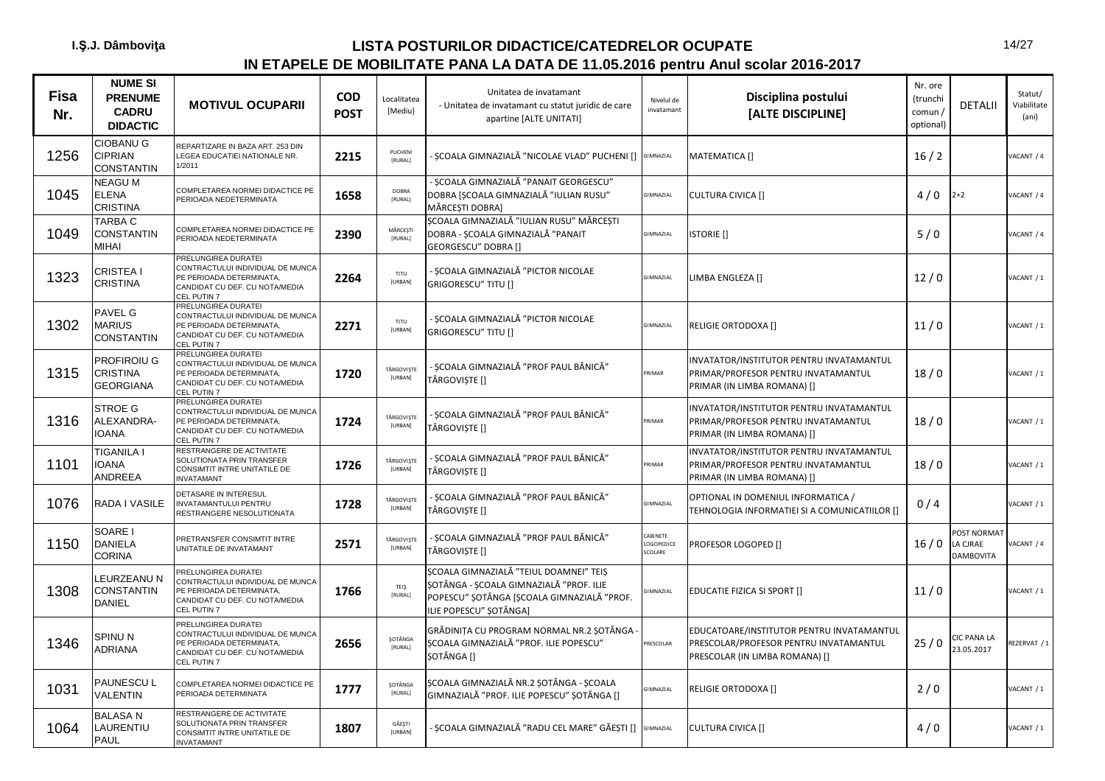| <b>Fisa</b><br>Nr. | <b>NUME SI</b><br><b>PRENUME</b><br><b>CADRU</b><br><b>DIDACTIC</b> | <b>MOTIVUL OCUPARII</b>                                                                                                                           | <b>COD</b><br><b>POST</b> | Localitatea<br>[Mediu} | Unitatea de invatamant<br>- Unitatea de invatamant cu statut juridic de care<br>apartine [ALTE UNITATI]                                                   | Nivelul de<br>invatamant          | Disciplina postului<br>[ALTE DISCIPLINE]                                                                              | Nr. ore<br>(trunchi<br>comun /<br>optional) | <b>DETALII</b>                                     | Statut/<br>Viabilitate<br>(ani) |
|--------------------|---------------------------------------------------------------------|---------------------------------------------------------------------------------------------------------------------------------------------------|---------------------------|------------------------|-----------------------------------------------------------------------------------------------------------------------------------------------------------|-----------------------------------|-----------------------------------------------------------------------------------------------------------------------|---------------------------------------------|----------------------------------------------------|---------------------------------|
| 1256               | <b>CIOBANU G</b><br><b>CIPRIAN</b><br><b>CONSTANTIN</b>             | REPARTIZARE IN BAZA ART. 253 DIN<br>LEGEA EDUCATIEI NATIONALE NR.<br>1/2011                                                                       | 2215                      | PUCHENI<br>[RURAL]     | SCOALA GIMNAZIALĂ "NICOLAE VLAD" PUCHENI [] GIMNAZIAL                                                                                                     |                                   | MATEMATICA []                                                                                                         | 16/2                                        |                                                    | VACANT / 4                      |
| 1045               | NEAGU M<br><b>ELENA</b><br><b>CRISTINA</b>                          | COMPLETAREA NORMEI DIDACTICE PE<br>PERIOADA NEDETERMINATA                                                                                         | 1658                      | DOBRA<br>[RURAL]       | - ȘCOALA GIMNAZIALĂ "PANAIT GEORGESCU"<br>DOBRA [ȘCOALA GIMNAZIALĂ "IULIAN RUSU"<br>MĂRCESTI DOBRAI                                                       | GIMNAZIAL                         | <b>CULTURA CIVICA []</b>                                                                                              | 4/0                                         | $2 + 2$                                            | VACANT / 4                      |
| 1049               | TARBA C<br>CONSTANTIN<br>MIHAI                                      | COMPLETAREA NORMEI DIDACTICE PE<br>PERIOADA NEDETERMINATA                                                                                         | 2390                      | MÅRCEŞTI<br>[RURAL]    | ȘCOALA GIMNAZIALĂ "IULIAN RUSU" MĂRCEȘTI<br>DOBRA - ȘCOALA GIMNAZIALĂ "PANAIT<br>GEORGESCU" DOBRA []                                                      | GIMNAZIAL                         | <b>ISTORIE</b> []                                                                                                     | 5/0                                         |                                                    | VACANT / 4                      |
| 1323               | CRISTEA I<br><b>CRISTINA</b>                                        | PRELUNGIREA DURATEI<br>CONTRACTULUI INDIVIDUAL DE MUNCA<br>PE PERIOADA DETERMINATA,<br>CANDIDAT CU DEF. CU NOTA/MEDIA<br><b>CEL PUTIN7</b>        | 2264                      | TITU<br>[URBAN]        | - SCOALA GIMNAZIALĂ "PICTOR NICOLAE<br><b>GRIGORESCU" TITU []</b>                                                                                         | <b>GIMNAZIAL</b>                  | LIMBA ENGLEZA []                                                                                                      | 12/0                                        |                                                    | VACANT / 1                      |
| 1302               | PAVEL G<br>MARIUS<br><b>CONSTANTIN</b>                              | <b>RELUNGIREA DURATEI</b><br>CONTRACTULUI INDIVIDUAL DE MUNCA<br>PE PERIOADA DETERMINATA,<br>CANDIDAT CU DEF. CU NOTA/MEDIA<br><b>CEL PUTIN7</b>  | 2271                      | TITU<br>[URBAN]        | - SCOALA GIMNAZIALĂ "PICTOR NICOLAE<br>GRIGORESCU" TITU []                                                                                                | GIMNAZIAL                         | RELIGIE ORTODOXA []                                                                                                   | 11/0                                        |                                                    | VACANT / 1                      |
| 1315               | PROFIROIU G<br><b>CRISTINA</b><br><b>GEORGIANA</b>                  | PRELUNGIREA DURATEI<br>CONTRACTULUI INDIVIDUAL DE MUNCA<br>PE PERIOADA DETERMINATA,<br>CANDIDAT CU DEF. CU NOTA/MEDIA<br>EL PUTIN 7               | 1720                      | TÂRGOVIȘTE<br>[URBAN]  | - SCOALA GIMNAZIALĂ "PROF PAUL BĂNICĂ"<br>TÂRGOVIȘTE []                                                                                                   | <b>RIMAR</b>                      | INVATATOR/INSTITUTOR PENTRU INVATAMANTUL<br>PRIMAR/PROFESOR PENTRU INVATAMANTUL<br>PRIMAR (IN LIMBA ROMANA) []        | 18/0                                        |                                                    | VACANT / 1                      |
| 1316               | STROE G<br>ALEXANDRA-<br><b>IOANA</b>                               | <b>PRELUNGIREA DURATEI</b><br>CONTRACTULUI INDIVIDUAL DE MUNCA<br>PE PERIOADA DETERMINATA,<br>CANDIDAT CU DEF. CU NOTA/MEDIA<br><b>CEL PUTIN7</b> | 1724                      | TÂRGOVIȘTE<br>[URBAN]  | - ȘCOALA GIMNAZIALĂ "PROF PAUL BĂNICĂ"<br>TÂRGOVIȘTE []                                                                                                   | RIMAR                             | INVATATOR/INSTITUTOR PENTRU INVATAMANTUL<br>PRIMAR/PROFESOR PENTRU INVATAMANTUL<br>PRIMAR (IN LIMBA ROMANA) []        | 18/0                                        |                                                    | VACANT / 1                      |
| 1101               | TIGANILA I<br><b>IOANA</b><br><b>ANDREEA</b>                        | RESTRANGERE DE ACTIVITATE<br>SOLUTIONATA PRIN TRANSFER<br>CONSIMTIT INTRE UNITATILE DE<br><b>INVATAMANT</b>                                       | 1726                      | TÂRGOVIȘTE<br>[URBAN]  | - ȘCOALA GIMNAZIALĂ "PROF PAUL BĂNICĂ"<br>TÂRGOVIȘTE []                                                                                                   | <b>RIMAR</b>                      | INVATATOR/INSTITUTOR PENTRU INVATAMANTUL<br>PRIMAR/PROFESOR PENTRU INVATAMANTUL<br>PRIMAR (IN LIMBA ROMANA) []        | 18/0                                        |                                                    | VACANT / 1                      |
| 1076               | RADA I VASILE                                                       | DETASARE IN INTERESUL<br><b>INVATAMANTULUI PENTRU</b><br>RESTRANGERE NESOLUTIONATA                                                                | 1728                      | TÂRGOVIȘTE<br>[URBAN]  | - ȘCOALA GIMNAZIALĂ "PROF PAUL BĂNICĂ"<br>TÂRGOVIȘTE []                                                                                                   | <b>GIMNAZIAL</b>                  | OPTIONAL IN DOMENIUL INFORMATICA /<br>TEHNOLOGIA INFORMATIEI SI A COMUNICATIILOR []                                   | 0/4                                         |                                                    | VACANT / 1                      |
| 1150               | SOARE I<br>DANIELA<br><b>CORINA</b>                                 | PRETRANSFER CONSIMTIT INTRE<br>UNITATILE DE INVATAMANT                                                                                            | 2571                      | TÂRGOVIȘTE<br>[URBAN]  | - ȘCOALA GIMNAZIALĂ "PROF PAUL BĂNICĂ"<br>TÂRGOVIȘTE []                                                                                                   | CABINETE<br>LOGOPEDICE<br>SCOLARE | PROFESOR LOGOPED []                                                                                                   | 16/0                                        | <b>POST NORMAT</b><br>LA CJRAE<br><b>DAMBOVITA</b> | ACANT / 4                       |
| 1308               | LEURZEANU N<br>CONSTANTIN<br><b>DANIEL</b>                          | PRELUNGIREA DURATEI<br>CONTRACTULUI INDIVIDUAL DE MUNCA<br>PE PERIOADA DETERMINATA,<br>CANDIDAT CU DEF. CU NOTA/MEDIA<br>CEL PUTIN 7              | 1766                      | TEIŞ<br>[RURAL]        | SCOALA GIMNAZIALĂ "TEIUL DOAMNEI" TEIS<br>SOTÂNGA - SCOALA GIMNAZIALĂ "PROF. ILIE<br>POPESCU" ȘOTÂNGA [ȘCOALA GIMNAZIALĂ "PROF.<br>ILIE POPESCU" ȘOTÂNGA] | <b>GIMNAZIAL</b>                  | EDUCATIE FIZICA SI SPORT []                                                                                           | 11/0                                        |                                                    | VACANT / 1                      |
| 1346               | SPINU N<br>ADRIANA                                                  | PRELUNGIREA DURATEI<br>CONTRACTULUI INDIVIDUAL DE MUNCA<br>PE PERIOADA DETERMINATA,<br>CANDIDAT CU DEF. CU NOTA/MEDIA<br>CEL PUTIN 7              | 2656                      | SOTÂNGA<br>[RURAL]     | GRĂDINIȚA CU PROGRAM NORMAL NR.2 ȘOTÂNGA<br>ȘCOALA GIMNAZIALĂ "PROF. ILIE POPESCU"<br>SOTÂNGA II                                                          | PRESCOLAR                         | EDUCATOARE/INSTITUTOR PENTRU INVATAMANTUL<br>PRESCOLAR/PROFESOR PENTRU INVATAMANTUL<br>PRESCOLAR (IN LIMBA ROMANA) [] | 25/0                                        | CIC PANA LA<br>23.05.2017                          | REZERVAT / 1                    |
| 1031               | PAUNESCU L<br><b>VALENTIN</b>                                       | COMPLETAREA NORMEI DIDACTICE PE<br>PERIOADA DETERMINATA                                                                                           | 1777                      | SOTÂNGA<br>[RURAL]     | SCOALA GIMNAZIALĂ NR.2 ȘOTÂNGA - ȘCOALA<br>GIMNAZIALĂ "PROF. ILIE POPESCU" SOTÂNGA []                                                                     | GIMNAZIAL                         | RELIGIE ORTODOXA []                                                                                                   | 2/0                                         |                                                    | VACANT / 1                      |
| 1064               | <b>BALASAN</b><br>LAURENTIU<br><b>PAUL</b>                          | RESTRANGERE DE ACTIVITATE<br>SOLUTIONATA PRIN TRANSFER<br>CONSIMTIT INTRE UNITATILE DE<br><b>INVATAMANT</b>                                       | 1807                      | GĂESTI<br>[URBAN]      | SCOALA GIMNAZIALĂ "RADU CEL MARE" GĂEȘTI [] GIMNAZIAL                                                                                                     |                                   | <b>CULTURA CIVICA []</b>                                                                                              | 4/0                                         |                                                    | VACANT / 1                      |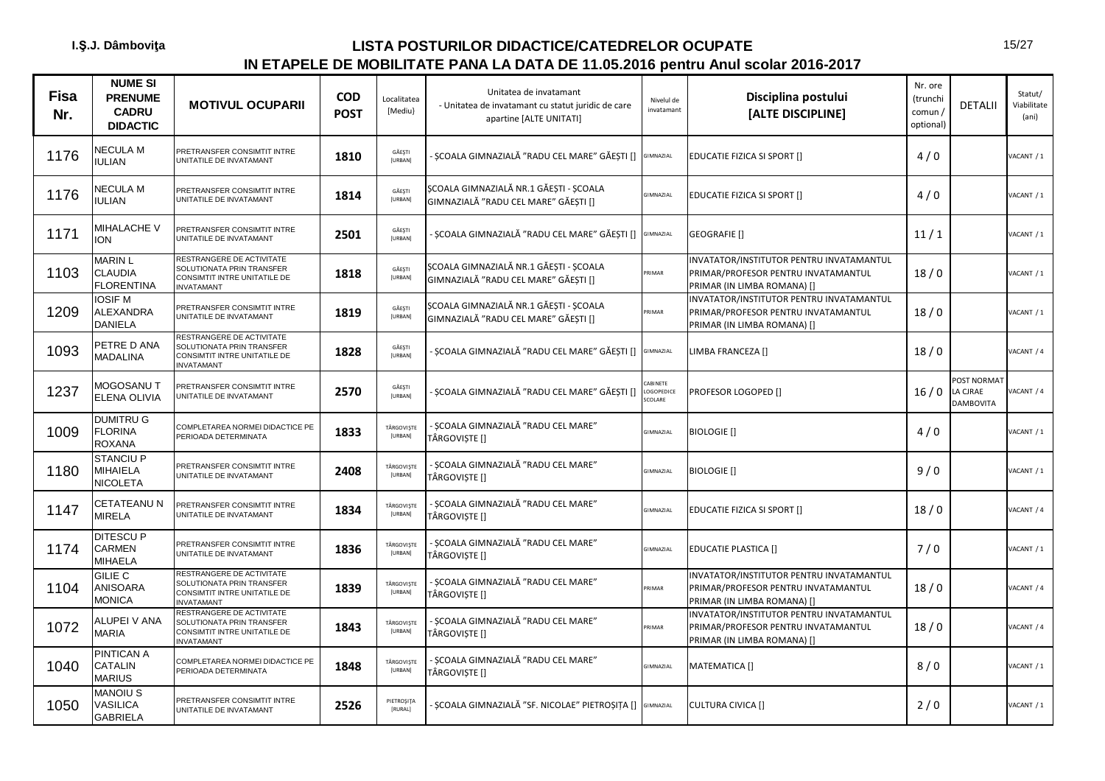| Fisa<br>Nr. | <b>NUME SI</b><br><b>PRENUME</b><br><b>CADRU</b><br><b>DIDACTIC</b> | <b>MOTIVUL OCUPARII</b>                                                                                     | <b>COD</b><br><b>POST</b> | Localitatea<br>[Mediu]   | Unitatea de invatamant<br>- Unitatea de invatamant cu statut juridic de care<br>apartine [ALTE UNITATI] | Nivelul de<br>invatamant          | Disciplina postului<br>[ALTE DISCIPLINE]                                                                       | Nr. ore<br>(trunchi<br>comun /<br>optional) | <b>DETALII</b>                              | Statut/<br>Viabilitate<br>(ani) |
|-------------|---------------------------------------------------------------------|-------------------------------------------------------------------------------------------------------------|---------------------------|--------------------------|---------------------------------------------------------------------------------------------------------|-----------------------------------|----------------------------------------------------------------------------------------------------------------|---------------------------------------------|---------------------------------------------|---------------------------------|
| 1176        | <b>NECULA M</b><br><b>IULIAN</b>                                    | PRETRANSFER CONSIMTIT INTRE<br>UNITATILE DE INVATAMANT                                                      | 1810                      | GĂEȘTI<br>[URBAN]        | · ȘCOALA GIMNAZIALĂ "RADU CEL MARE" GĂEȘTI [] GIMNAZIAL                                                 |                                   | EDUCATIE FIZICA SI SPORT []                                                                                    | 4/0                                         |                                             | VACANT / 1                      |
| 1176        | <b>NECULA M</b><br><b>IULIAN</b>                                    | PRETRANSFER CONSIMTIT INTRE<br>UNITATILE DE INVATAMANT                                                      | 1814                      | GĂEȘTI<br>[URBAN]        | ȘCOALA GIMNAZIALĂ NR.1 GĂEȘTI - ȘCOALA<br>GIMNAZIALĂ "RADU CEL MARE" GĂESTI []                          | GIMNAZIAL                         | EDUCATIE FIZICA SI SPORT []                                                                                    | 4/0                                         |                                             | VACANT / 1                      |
| 1171        | MIHALACHE V<br><b>ION</b>                                           | PRETRANSFER CONSIMTIT INTRE<br>UNITATILE DE INVATAMANT                                                      | 2501                      | GĂEȘTI<br><b>[URBAN]</b> | - ȘCOALA GIMNAZIALĂ "RADU CEL MARE" GĂEȘTI []                                                           | GIMNAZIAL                         | GEOGRAFIE []                                                                                                   | 11/1                                        |                                             | VACANT / 1                      |
| 1103        | <b>MARIN L</b><br><b>CLAUDIA</b><br><b>FLORENTINA</b>               | RESTRANGERE DE ACTIVITATE<br>SOLUTIONATA PRIN TRANSFER<br>CONSIMTIT INTRE UNITATILE DE<br>NVATAMANT         | 1818                      | GĂEȘTI<br>[URBAN]        | ȘCOALA GIMNAZIALĂ NR.1 GĂEȘTI - ȘCOALA<br>GIMNAZIALĂ "RADU CEL MARE" GĂESTI []                          | PRIMAR                            | INVATATOR/INSTITUTOR PENTRU INVATAMANTUL<br>PRIMAR/PROFESOR PENTRU INVATAMANTUL<br>PRIMAR (IN LIMBA ROMANA) [] | 18/0                                        |                                             | VACANT / 1                      |
| 1209        | <b>IOSIF M</b><br><b>ALEXANDRA</b><br><b>DANIELA</b>                | PRETRANSFER CONSIMTIT INTRE<br>UNITATILE DE INVATAMANT                                                      | 1819                      | GĂESTI<br>[URBAN]        | ȘCOALA GIMNAZIALĂ NR.1 GĂEȘTI - ȘCOALA<br>GIMNAZIALĂ "RADU CEL MARE" GĂEȘTI []                          | PRIMAR                            | INVATATOR/INSTITUTOR PENTRU INVATAMANTUL<br>PRIMAR/PROFESOR PENTRU INVATAMANTUL<br>PRIMAR (IN LIMBA ROMANA) [] | 18/0                                        |                                             | VACANT / 1                      |
| 1093        | PETRE D ANA<br><b>MADALINA</b>                                      | RESTRANGERE DE ACTIVITATE<br>SOLUTIONATA PRIN TRANSFER<br>CONSIMTIT INTRE UNITATILE DE<br><b>NVATAMANT</b>  | 1828                      | GĂEȘTI<br>[URBAN]        | · ȘCOALA GIMNAZIALĂ "RADU CEL MARE" GĂEȘTI [] GIMNAZIAL                                                 |                                   | LIMBA FRANCEZA []                                                                                              | 18/0                                        |                                             | VACANT / 4                      |
| 1237        | MOGOSANU T<br>ELENA OLIVIA                                          | PRETRANSFER CONSIMTIT INTRE<br>JNITATILE DE INVATAMANT                                                      | 2570                      | GĂEȘTI<br>[URBAN]        | · SCOALA GIMNAZIALĂ "RADU CEL MARE" GĂESTI []                                                           | CABINETE<br>LOGOPEDICE<br>SCOLARE | <b>PROFESOR LOGOPED []</b>                                                                                     | 16/0                                        | POST NORMAT<br>LA CJRAE<br><b>DAMBOVITA</b> | ACANT / 4                       |
| 1009        | <b>DUMITRU G</b><br><b>FLORINA</b><br><b>ROXANA</b>                 | COMPLETAREA NORMEI DIDACTICE PE<br>PERIOADA DETERMINATA                                                     | 1833                      | TÂRGOVIȘTE<br>[URBAN]    | - SCOALA GIMNAZIALĂ "RADU CEL MARE"<br>TÂRGOVIȘTE []                                                    | GIMNAZIAL                         | <b>BIOLOGIE</b> []                                                                                             | 4/0                                         |                                             | VACANT / 1                      |
| 1180        | <b>STANCIU P</b><br><b>MIHAIELA</b><br><b>NICOLETA</b>              | PRETRANSFER CONSIMTIT INTRE<br>UNITATILE DE INVATAMANT                                                      | 2408                      | TÂRGOVIȘTE<br>[URBAN]    | - ȘCOALA GIMNAZIALĂ "RADU CEL MARE"<br>TÂRGOVISTE []                                                    | GIMNAZIAL                         | <b>BIOLOGIE</b> []                                                                                             | 9/0                                         |                                             | VACANT / 1                      |
| 1147        | CETATEANU N<br><b>MIRELA</b>                                        | PRETRANSFER CONSIMTIT INTRE<br>UNITATILE DE INVATAMANT                                                      | 1834                      | TÂRGOVIȘTE<br>[URBAN]    | - ȘCOALA GIMNAZIALĂ "RADU CEL MARE"<br>TÂRGOVIȘTE []                                                    | GIMNAZIAL                         | EDUCATIE FIZICA SI SPORT []                                                                                    | 18/0                                        |                                             | VACANT / 4                      |
| 1174        | <b>DITESCUP</b><br><b>CARMEN</b><br>MIHAELA                         | PRETRANSFER CONSIMTIT INTRE<br>UNITATILE DE INVATAMANT                                                      | 1836                      | TÂRGOVIȘTE<br>[URBAN]    | - ȘCOALA GIMNAZIALĂ "RADU CEL MARE"<br>TÂRGOVISTE []                                                    | GIMNAZIAL                         | <b>EDUCATIE PLASTICA []</b>                                                                                    | 7/0                                         |                                             | VACANT / 1                      |
| 1104        | <b>GILIE C</b><br><b>ANISOARA</b><br><b>MONICA</b>                  | RESTRANGERE DE ACTIVITATE<br>SOLUTIONATA PRIN TRANSFER<br>CONSIMTIT INTRE UNITATILE DE<br><b>INVATAMANT</b> | 1839                      | TÂRGOVIȘTE<br>[URBAN]    | - SCOALA GIMNAZIALĂ "RADU CEL MARE"<br>TÂRGOVIȘTE []                                                    | PRIMAR                            | INVATATOR/INSTITUTOR PENTRU INVATAMANTUL<br>PRIMAR/PROFESOR PENTRU INVATAMANTUL<br>PRIMAR (IN LIMBA ROMANA) [] | 18/0                                        |                                             | VACANT / 4                      |
| 1072        | ALUPEI V ANA<br><b>MARIA</b>                                        | RESTRANGERE DE ACTIVITATE<br>SOLUTIONATA PRIN TRANSFER<br>CONSIMTIT INTRE UNITATILE DE<br><b>INVATAMANT</b> | 1843                      | TÂRGOVIȘTE<br>[URBAN]    | - ȘCOALA GIMNAZIALĂ "RADU CEL MARE"<br>TÂRGOVISTE []                                                    | PRIMAR                            | INVATATOR/INSTITUTOR PENTRU INVATAMANTUL<br>PRIMAR/PROFESOR PENTRU INVATAMANTUL<br>PRIMAR (IN LIMBA ROMANA) [] | 18/0                                        |                                             | VACANT / 4                      |
| 1040        | PINTICAN A<br><b>CATALIN</b><br><b>MARIUS</b>                       | COMPLETAREA NORMEI DIDACTICE PE<br>PERIOADA DETERMINATA                                                     | 1848                      | TÂRGOVIȘTE<br>[URBAN]    | - ȘCOALA GIMNAZIALĂ "RADU CEL MARE"<br>TÂRGOVISTE []                                                    | GIMNAZIAL                         | MATEMATICA []                                                                                                  | 8/0                                         |                                             | VACANT / 1                      |
| 1050        | <b>MANOIUS</b><br>VASILICA<br><b>GABRIELA</b>                       | PRETRANSFER CONSIMTIT INTRE<br>UNITATILE DE INVATAMANT                                                      | 2526                      | PIETROȘIȚA<br>[RURAL]    | · ȘCOALA GIMNAZIALĂ "SF. NICOLAE" PIETROȘIȚA [] GIMNAZIAL                                               |                                   | <b>CULTURA CIVICA []</b>                                                                                       | 2/0                                         |                                             | VACANT / 1                      |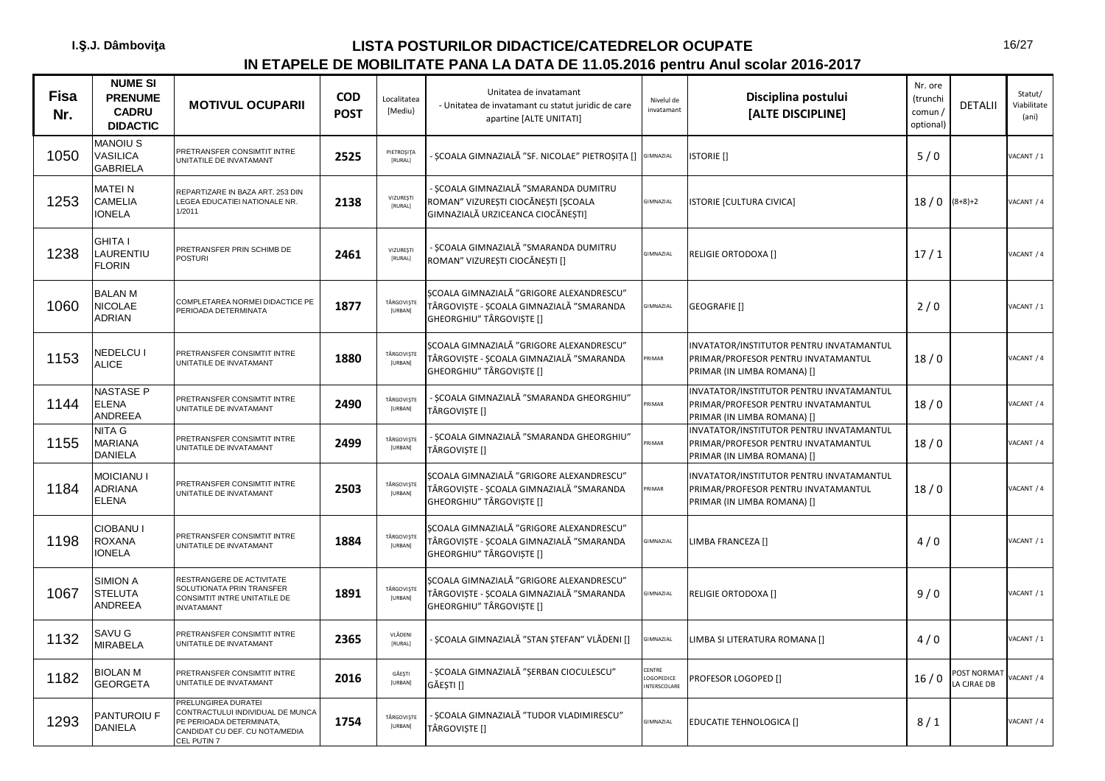| Fisa<br>Nr. | <b>NUME SI</b><br><b>PRENUME</b><br><b>CADRU</b><br><b>DIDACTIC</b> | <b>MOTIVUL OCUPARII</b>                                                                                                                   | <b>COD</b><br><b>POST</b> | Localitatea<br>[Mediu}       | Unitatea de invatamant<br>- Unitatea de invatamant cu statut juridic de care<br>apartine [ALTE UNITATI]           | Nivelul de<br>invatamant            | Disciplina postului<br>[ALTE DISCIPLINE]                                                                       | Nr. ore<br>(trunchi<br>comun/<br>optional) | <b>DETALII</b>           | Statut/<br>Viabilitate<br>(ani) |
|-------------|---------------------------------------------------------------------|-------------------------------------------------------------------------------------------------------------------------------------------|---------------------------|------------------------------|-------------------------------------------------------------------------------------------------------------------|-------------------------------------|----------------------------------------------------------------------------------------------------------------|--------------------------------------------|--------------------------|---------------------------------|
| 1050        | MANOIU S<br>VASILICA<br><b>GABRIELA</b>                             | PRETRANSFER CONSIMTIT INTRE<br>UNITATILE DE INVATAMANT                                                                                    | 2525                      | PIETROȘIȚA<br><b>IRURALI</b> | SCOALA GIMNAZIALĂ "SF. NICOLAE" PIETROȘIȚA [] GIMNAZIAL                                                           |                                     | <b>ISTORIE</b> []                                                                                              | 5/0                                        |                          | VACANT / 1                      |
| 1253        | <b>MATEIN</b><br>CAMELIA<br><b>IONELA</b>                           | REPARTIZARE IN BAZA ART. 253 DIN<br>LEGEA EDUCATIEI NATIONALE NR.<br>1/2011                                                               | 2138                      | VIZUREȘTI<br>[RURAL]         | - SCOALA GIMNAZIALĂ "SMARANDA DUMITRU<br>ROMAN" VIZURESTI CIOCĂNESTI [SCOALA<br>GIMNAZIALĂ URZICEANCA CIOCĂNESTI] | GIMNAZIAL                           | <b>ISTORIE [CULTURA CIVICA]</b>                                                                                | 18/0                                       | $(8+8)+2$                | ACANT / 4                       |
| 1238        | <b>GHITA I</b><br>LAURENTIU<br><b>FLORIN</b>                        | PRETRANSFER PRIN SCHIMB DE<br><b>POSTURI</b>                                                                                              | 2461                      | <b>VIZURESTI</b><br>[RURAL]  | - SCOALA GIMNAZIALĂ "SMARANDA DUMITRU<br>ROMAN" VIZUREȘTI CIOCĂNEȘTI []                                           | <b>GIMNAZIAL</b>                    | RELIGIE ORTODOXA []                                                                                            | 17/1                                       |                          | VACANT / 4                      |
| 1060        | <b>BALAN M</b><br>NICOLAE<br><b>ADRIAN</b>                          | COMPLETAREA NORMEI DIDACTICE PE<br>PERIOADA DETERMINATA                                                                                   | 1877                      | TÂRGOVIȘTE<br><b>[URBAN]</b> | SCOALA GIMNAZIALĂ "GRIGORE ALEXANDRESCU"<br>TÂRGOVIȘTE - ȘCOALA GIMNAZIALĂ "SMARANDA<br>GHEORGHIU" TÂRGOVIȘTE []  | GIMNAZIAL                           | <b>GEOGRAFIE</b> []                                                                                            | 2/0                                        |                          | VACANT / 1                      |
| 1153        | NEDELCU I<br><b>ALICE</b>                                           | PRETRANSFER CONSIMTIT INTRE<br>UNITATILE DE INVATAMANT                                                                                    | 1880                      | TÂRGOVIȘTE<br>[URBAN]        | SCOALA GIMNAZIALĂ "GRIGORE ALEXANDRESCU"<br>TÂRGOVIȘTE - ȘCOALA GIMNAZIALĂ "SMARANDA<br>GHEORGHIU" TÂRGOVIȘTE []  | <b>RIMAR</b>                        | INVATATOR/INSTITUTOR PENTRU INVATAMANTUL<br>PRIMAR/PROFESOR PENTRU INVATAMANTUL<br>PRIMAR (IN LIMBA ROMANA) [] | 18/0                                       |                          | VACANT / 4                      |
| 1144        | NASTASE P<br><b>ELENA</b><br><b>ANDREEA</b>                         | PRETRANSFER CONSIMTIT INTRE<br>UNITATILE DE INVATAMANT                                                                                    | 2490                      | TÂRGOVIȘTE<br>[URBAN]        | - ȘCOALA GIMNAZIALĂ "SMARANDA GHEORGHIU"<br>TÂRGOVIȘTE []                                                         | PRIMAR                              | INVATATOR/INSTITUTOR PENTRU INVATAMANTUL<br>PRIMAR/PROFESOR PENTRU INVATAMANTUL<br>PRIMAR (IN LIMBA ROMANA) [] | 18/0                                       |                          | VACANT / 4                      |
| 1155        | NITA G<br><b>MARIANA</b><br>DANIELA                                 | PRETRANSFER CONSIMTIT INTRE<br>UNITATILE DE INVATAMANT                                                                                    | 2499                      | TÂRGOVIȘTE<br>[URBAN]        | - ȘCOALA GIMNAZIALĂ "SMARANDA GHEORGHIU"<br>TÂRGOVIȘTE []                                                         | PRIMAR                              | INVATATOR/INSTITUTOR PENTRU INVATAMANTUL<br>PRIMAR/PROFESOR PENTRU INVATAMANTUL<br>PRIMAR (IN LIMBA ROMANA) [] | 18/0                                       |                          | VACANT / 4                      |
| 1184        | <b>MOICIANU I</b><br>ADRIANA<br><b>ELENA</b>                        | PRETRANSFER CONSIMTIT INTRE<br>UNITATILE DE INVATAMANT                                                                                    | 2503                      | TÂRGOVIȘTE<br>[URBAN]        | SCOALA GIMNAZIALĂ "GRIGORE ALEXANDRESCU"<br>TÂRGOVIȘTE - ȘCOALA GIMNAZIALĂ "SMARANDA<br>GHEORGHIU" TÂRGOVISTE []  | RIMAR                               | INVATATOR/INSTITUTOR PENTRU INVATAMANTUL<br>PRIMAR/PROFESOR PENTRU INVATAMANTUL<br>PRIMAR (IN LIMBA ROMANA) [] | 18/0                                       |                          | VACANT / 4                      |
| 1198        | CIOBANU I<br>ROXANA<br><b>IONELA</b>                                | PRETRANSFER CONSIMTIT INTRE<br>UNITATILE DE INVATAMANT                                                                                    | 1884                      | TÂRGOVIȘTE<br>[URBAN]        | SCOALA GIMNAZIALĂ "GRIGORE ALEXANDRESCU"<br>TÂRGOVIȘTE - ȘCOALA GIMNAZIALĂ "SMARANDA<br>GHEORGHIU" TÂRGOVIȘTE []  | <b>GIMNAZIAL</b>                    | LIMBA FRANCEZA []                                                                                              | 4/0                                        |                          | VACANT / 1                      |
| 1067        | <b>SIMION A</b><br><b>STELUTA</b><br>ANDREEA                        | RESTRANGERE DE ACTIVITATE<br>SOLUTIONATA PRIN TRANSFER<br>CONSIMTIT INTRE UNITATILE DE<br><b>INVATAMANT</b>                               | 1891                      | TÂRGOVIȘTE<br><b>[URBAN]</b> | SCOALA GIMNAZIALĂ "GRIGORE ALEXANDRESCU"<br>TÂRGOVIȘTE - ȘCOALA GIMNAZIALĂ "SMARANDA<br>GHEORGHIU" TÂRGOVIȘTE []  | GIMNAZIAL                           | RELIGIE ORTODOXA []                                                                                            | 9/0                                        |                          | VACANT / 1                      |
| 1132        | SAVU G<br><b>MIRABELA</b>                                           | PRETRANSFER CONSIMTIT INTRE<br>UNITATILE DE INVATAMANT                                                                                    | 2365                      | VLĂDENI<br>[RURAL]           | - SCOALA GIMNAZIALĂ "STAN STEFAN" VLĂDENI []                                                                      | <b>GIMNAZIAL</b>                    | LIMBA SI LITERATURA ROMANA []                                                                                  | 4/0                                        |                          | VACANT / 1                      |
| 1182        | <b>BIOLAN M</b><br><b>GEORGETA</b>                                  | PRETRANSFER CONSIMTIT INTRE<br>UNITATILE DE INVATAMANT                                                                                    | 2016                      | GĂEȘTI<br>[URBAN]            | - ȘCOALA GIMNAZIALĂ "ȘERBAN CIOCULESCU"<br>GĂESTI []                                                              | CENTRE<br>LOGOPEDICE<br>NTERSCOLARE | PROFESOR LOGOPED []                                                                                            | 16/0                                       | OST NORMAT<br>A CJRAE DB | ACANT / 4                       |
| 1293        | PANTUROIU F<br><b>DANIELA</b>                                       | PRELUNGIREA DURATEI<br>ONTRACTULUI INDIVIDUAL DE MUNCA<br><b>E PERIOADA DETERMINATA,</b><br>CANDIDAT CU DEF. CU NOTA/MEDIA<br>CEL PUTIN 7 | 1754                      | TÂRGOVIȘTE<br><b>[URBAN]</b> | - SCOALA GIMNAZIALĂ "TUDOR VLADIMIRESCU"<br>TÂRGOVIȘTE []                                                         | <b>SIMNAZIAL</b>                    | EDUCATIE TEHNOLOGICA []                                                                                        | 8/1                                        |                          | /ACANT / 4                      |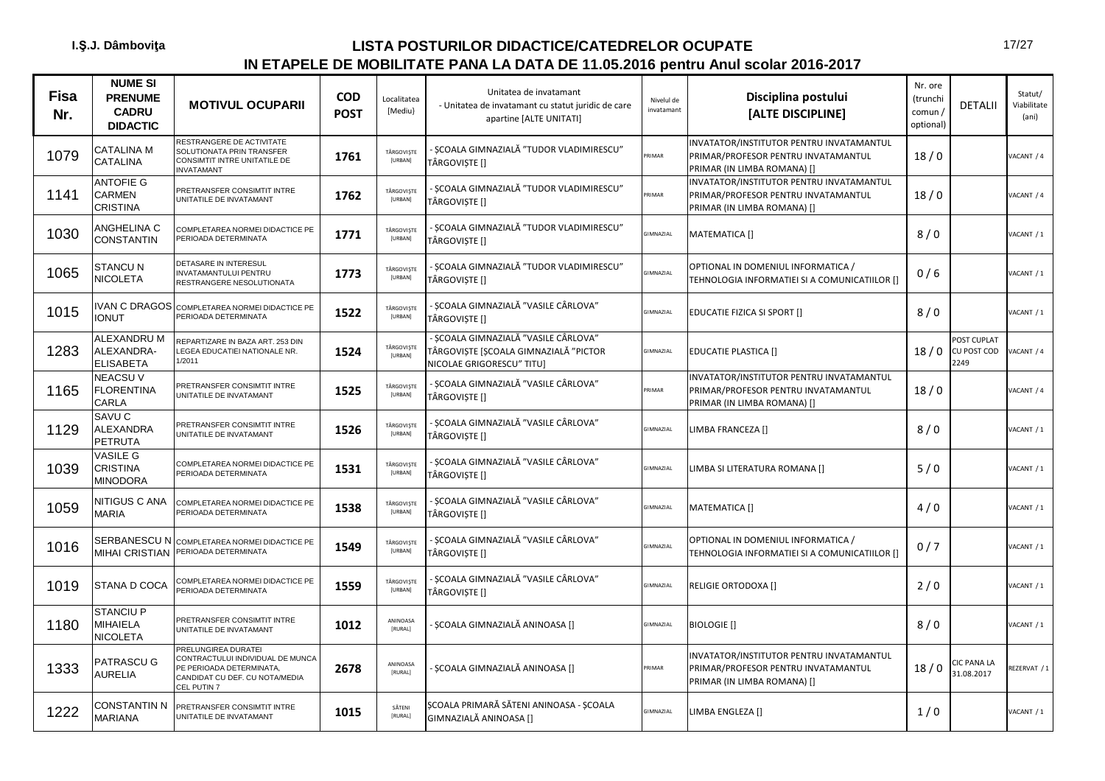| <b>Fisa</b><br>Nr. | <b>NUME SI</b><br><b>PRENUME</b><br><b>CADRU</b><br><b>DIDACTIC</b> | <b>MOTIVUL OCUPARII</b>                                                                                                              | <b>COD</b><br><b>POST</b> | Localitatea<br>[Mediu] | Unitatea de invatamant<br>- Unitatea de invatamant cu statut juridic de care<br>apartine [ALTE UNITATI]    | Nivelul de<br>invatamant | Disciplina postului<br>[ALTE DISCIPLINE]                                                                       | Nr. ore<br>(trunchi<br>comun /<br>optional) | <b>DETALII</b>                    | Statut/<br>Viabilitate<br>(ani) |
|--------------------|---------------------------------------------------------------------|--------------------------------------------------------------------------------------------------------------------------------------|---------------------------|------------------------|------------------------------------------------------------------------------------------------------------|--------------------------|----------------------------------------------------------------------------------------------------------------|---------------------------------------------|-----------------------------------|---------------------------------|
| 1079               | <b>CATALINA M</b><br><b>CATALINA</b>                                | RESTRANGERE DE ACTIVITATE<br>SOLUTIONATA PRIN TRANSFER<br><b>CONSIMTIT INTRE UNITATILE DE</b><br><b>INVATAMANT</b>                   | 1761                      | TÂRGOVISTE<br>[URBAN]  | SCOALA GIMNAZIALĂ "TUDOR VLADIMIRESCU"<br>TÂRGOVIȘTE []                                                    | PRIMAR                   | INVATATOR/INSTITUTOR PENTRU INVATAMANTUL<br>PRIMAR/PROFESOR PENTRU INVATAMANTUL<br>PRIMAR (IN LIMBA ROMANA) [] | 18/0                                        |                                   | ACANT / 4                       |
| 1141               | <b>ANTOFIE G</b><br>CARMEN<br>CRISTINA                              | PRETRANSFER CONSIMTIT INTRE<br>UNITATILE DE INVATAMANT                                                                               | 1762                      | TÂRGOVIȘTE<br>[URBAN]  | - ȘCOALA GIMNAZIALĂ "TUDOR VLADIMIRESCU"<br>TÂRGOVISTE []                                                  | PRIMAR                   | INVATATOR/INSTITUTOR PENTRU INVATAMANTUL<br>PRIMAR/PROFESOR PENTRU INVATAMANTUL<br>PRIMAR (IN LIMBA ROMANA) [] | 18/0                                        |                                   | <b>JACANT / 4</b>               |
| 1030               | ANGHELINA C<br><b>CONSTANTIN</b>                                    | COMPLETAREA NORMEI DIDACTICE PE<br>PERIOADA DETERMINATA                                                                              | 1771                      | TÂRGOVIȘTE<br>[URBAN]  | - ȘCOALA GIMNAZIALĂ "TUDOR VLADIMIRESCU"<br>TÂRGOVISTE []                                                  | GIMNAZIAL                | MATEMATICA []                                                                                                  | 8/0                                         |                                   | ACANT / 1                       |
| 1065               | <b>STANCU N</b><br><b>NICOLETA</b>                                  | DETASARE IN INTERESUL<br>INVATAMANTULUI PENTRU<br>RESTRANGERE NESOLUTIONATA                                                          | 1773                      | TÂRGOVIȘTE<br>[URBAN]  | - ȘCOALA GIMNAZIALĂ "TUDOR VLADIMIRESCU"<br>TÂRGOVISTE []                                                  | <b>GIMNAZIAL</b>         | OPTIONAL IN DOMENIUL INFORMATICA /<br>TEHNOLOGIA INFORMATIEI SI A COMUNICATIILOR []                            | 0/6                                         |                                   | ACANT / 1                       |
| 1015               | <b>IVAN C DRAGOS</b><br><b>TUNOI</b>                                | COMPLETAREA NORMEI DIDACTICE PE<br>PERIOADA DETERMINATA                                                                              | 1522                      | TÂRGOVIȘTE<br>[URBAN]  | - SCOALA GIMNAZIALĂ "VASILE CÂRLOVA"<br>TÂRGOVIȘTE []                                                      | <b>GIMNAZIAL</b>         | <b>EDUCATIE FIZICA SI SPORT []</b>                                                                             | 8/0                                         |                                   | ACANT / 1                       |
| 1283               | ALEXANDRU M<br>ALEXANDRA-<br><b>ELISABETA</b>                       | REPARTIZARE IN BAZA ART. 253 DIN<br>LEGEA EDUCATIEI NATIONALE NR.<br>1/2011                                                          | 1524                      | TÂRGOVISTE<br>[URBAN]  | - SCOALA GIMNAZIALĂ "VASILE CÂRLOVA"<br>TÂRGOVISTE [SCOALA GIMNAZIALĂ "PICTOR<br>NICOLAE GRIGORESCU" TITU] | GIMNAZIAL                | <b>EDUCATIE PLASTICA []</b>                                                                                    | 18/0                                        | OST CUPLAT<br>CU POST COD<br>2249 | ACANT / 4                       |
| 1165               | <b>NEACSUV</b><br><b>FLORENTINA</b><br><b>CARLA</b>                 | PRETRANSFER CONSIMTIT INTRE<br>UNITATILE DE INVATAMANT                                                                               | 1525                      | TÂRGOVIȘTE<br>[URBAN]  | - SCOALA GIMNAZIALĂ "VASILE CÂRLOVA"<br>TÂRGOVIȘTE []                                                      | PRIMAR                   | INVATATOR/INSTITUTOR PENTRU INVATAMANTUL<br>PRIMAR/PROFESOR PENTRU INVATAMANTUL<br>PRIMAR (IN LIMBA ROMANA) [] | 18/0                                        |                                   | <b>JACANT / 4</b>               |
| 1129               | SAVU C<br><b>ALEXANDRA</b><br><b>PETRUTA</b>                        | PRETRANSFER CONSIMTIT INTRE<br>UNITATILE DE INVATAMANT                                                                               | 1526                      | TÂRGOVIȘTE<br>[URBAN]  | - ȘCOALA GIMNAZIALĂ "VASILE CÂRLOVA"<br>TÂRGOVISTE []                                                      | GIMNAZIAL                | LIMBA FRANCEZA []                                                                                              | 8/0                                         |                                   | ACANT / 1                       |
| 1039               | <b>VASILE G</b><br><b>CRISTINA</b><br>MINODORA                      | COMPLETAREA NORMEI DIDACTICE PE<br>PERIOADA DETERMINATA                                                                              | 1531                      | TÂRGOVIȘTE<br>[URBAN]  | - ȘCOALA GIMNAZIALĂ "VASILE CÂRLOVA"<br>TÂRGOVISTE []                                                      | GIMNAZIAL                | LIMBA SI LITERATURA ROMANA []                                                                                  | 5/0                                         |                                   | ACANT / 1                       |
| 1059               | NITIGUS C ANA<br><b>MARIA</b>                                       | COMPLETAREA NORMEI DIDACTICE PE<br>PERIOADA DETERMINATA                                                                              | 1538                      | TÂRGOVISTE<br>[URBAN]  | - SCOALA GIMNAZIALĂ "VASILE CÂRLOVA"<br>TÂRGOVIȘTE []                                                      | <b>GIMNAZIAL</b>         | MATEMATICA []                                                                                                  | 4/0                                         |                                   | ACANT / 1                       |
| 1016               | <b>MIHAI CRISTIAN</b>                                               | SERBANESCU N COMPLETAREA NORMEI DIDACTICE PE<br>PERIOADA DETERMINATA                                                                 | 1549                      | TÂRGOVIȘTE<br>[URBAN]  | - ȘCOALA GIMNAZIALĂ "VASILE CÂRLOVA"<br>TÂRGOVISTE []                                                      | GIMNAZIAL                | OPTIONAL IN DOMENIUL INFORMATICA /<br>TEHNOLOGIA INFORMATIEI SI A COMUNICATIILOR []                            | 0/7                                         |                                   | ACANT / 1                       |
| 1019               | STANA D COCA                                                        | COMPLETAREA NORMEI DIDACTICE PE<br>PERIOADA DETERMINATA                                                                              | 1559                      | TÂRGOVIȘTE<br>[URBAN]  | - SCOALA GIMNAZIALĂ "VASILE CÂRLOVA"<br>TÂRGOVIȘTE []                                                      | GIMNAZIAL                | RELIGIE ORTODOXA []                                                                                            | 2/0                                         |                                   | ACANT / 1                       |
| 1180               | <b>STANCIU P</b><br>MIHAIELA<br>NICOLETA                            | PRETRANSFER CONSIMTIT INTRE<br>UNITATILE DE INVATAMANT                                                                               | 1012                      | ANINOASA<br>[RURAL]    | ȘCOALA GIMNAZIALĂ ANINOASA []                                                                              | GIMNAZIAL                | <b>BIOLOGIE</b> []                                                                                             | 8/0                                         |                                   | ACANT / 1                       |
| 1333               | <b>PATRASCU G</b><br>AURELIA                                        | PRELUNGIREA DURATEI<br>CONTRACTULUI INDIVIDUAL DE MUNCA<br>PE PERIOADA DETERMINATA,<br>CANDIDAT CU DEF. CU NOTA/MEDIA<br>CEL PUTIN 7 | 2678                      | ANINOASA<br>[RURAL]    | ȘCOALA GIMNAZIALĂ ANINOASA []                                                                              | PRIMAR                   | INVATATOR/INSTITUTOR PENTRU INVATAMANTUL<br>PRIMAR/PROFESOR PENTRU INVATAMANTUL<br>PRIMAR (IN LIMBA ROMANA) [] | 18/0                                        | CIC PANA LA<br>31.08.2017         | REZERVAT / 1                    |
| 1222               | CONSTANTIN N<br><b>MARIANA</b>                                      | PRETRANSFER CONSIMTIT INTRE<br>UNITATILE DE INVATAMANT                                                                               | 1015                      | SĂTENI<br>[RURAL]      | ȘCOALA PRIMARĂ SĂTENI ANINOASA - ȘCOALA<br>GIMNAZIALĂ ANINOASA []                                          | GIMNAZIAL                | LIMBA ENGLEZA []                                                                                               | 1/0                                         |                                   | ACANT / 1                       |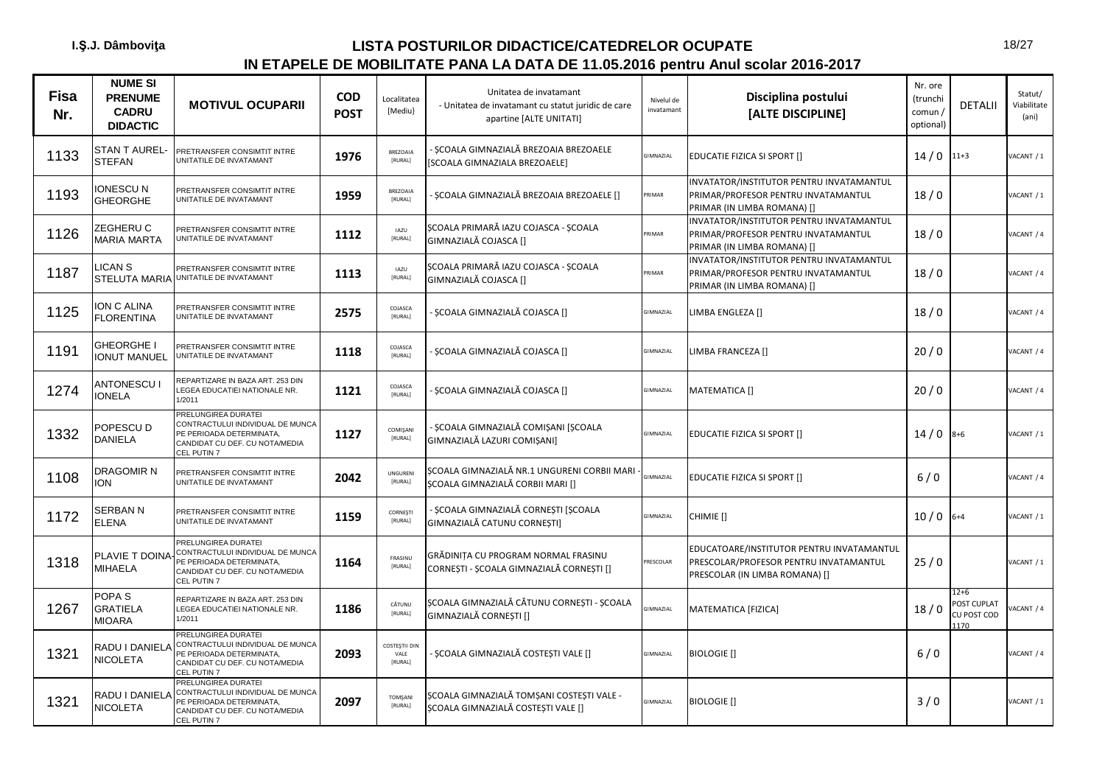| <b>Fisa</b><br>Nr. | <b>NUME SI</b><br><b>PRENUME</b><br><b>CADRU</b><br><b>DIDACTIC</b> | <b>MOTIVUL OCUPARII</b>                                                                                                                           | <b>COD</b><br><b>POST</b> | Localitatea<br>[Mediu}           | Unitatea de invatamant<br>- Unitatea de invatamant cu statut juridic de care<br>apartine [ALTE UNITATI] | Nivelul de<br>invatamant | Disciplina postului<br>[ALTE DISCIPLINE]                                                                              | Nr. ore<br>(trunchi<br>comun /<br>optional) | <b>DETALII</b>                                   | Statut/<br>Viabilitate<br>(ani) |
|--------------------|---------------------------------------------------------------------|---------------------------------------------------------------------------------------------------------------------------------------------------|---------------------------|----------------------------------|---------------------------------------------------------------------------------------------------------|--------------------------|-----------------------------------------------------------------------------------------------------------------------|---------------------------------------------|--------------------------------------------------|---------------------------------|
| 1133               | <b>STAN T AUREL-</b><br><b>STEFAN</b>                               | PRETRANSFER CONSIMTIT INTRE<br>JNITATILE DE INVATAMANT                                                                                            | 1976                      | BREZOAIA<br>[RURAL]              | SCOALA GIMNAZIALĂ BREZOAIA BREZOAELE<br>[SCOALA GIMNAZIALA BREZOAELE]                                   | <b>GIMNAZIAL</b>         | EDUCATIE FIZICA SI SPORT []                                                                                           | $14/0$ 11+3                                 |                                                  | ACANT / 1                       |
| 1193               | IONESCU N<br><b>GHEORGHE</b>                                        | PRETRANSFER CONSIMTIT INTRE<br><b>JNITATILE DE INVATAMANT</b>                                                                                     | 1959                      | BREZOAIA<br>[RURAL]              | SCOALA GIMNAZIALĂ BREZOAIA BREZOAELE []                                                                 | RIMAR                    | INVATATOR/INSTITUTOR PENTRU INVATAMANTUL<br>PRIMAR/PROFESOR PENTRU INVATAMANTUL<br>PRIMAR (IN LIMBA ROMANA) []        | 18/0                                        |                                                  | ACANT / 1                       |
| 1126               | ZEGHERU C<br><b>MARIA MARTA</b>                                     | PRETRANSFER CONSIMTIT INTRE<br><b>JNITATILE DE INVATAMANT</b>                                                                                     | 1112                      | <b>IAZU</b><br>[RURAL]           | ȘCOALA PRIMARĂ IAZU COJASCA - ȘCOALA<br>GIMNAZIALĂ COJASCA []                                           | RIMAR                    | INVATATOR/INSTITUTOR PENTRU INVATAMANTUL<br>PRIMAR/PROFESOR PENTRU INVATAMANTUL<br>PRIMAR (IN LIMBA ROMANA) []        | 18/0                                        |                                                  | ACANT / 4                       |
| 1187               | LICAN S<br><b>STELUTA MARIA</b>                                     | PRETRANSFER CONSIMTIT INTRE<br>JNITATILE DE INVATAMANT                                                                                            | 1113                      | <b>IAZU</b><br>[RURAL]           | SCOALA PRIMARĂ IAZU COJASCA - SCOALA<br>GIMNAZIALĂ COJASCA []                                           | PRIMAR                   | INVATATOR/INSTITUTOR PENTRU INVATAMANTUL<br>PRIMAR/PROFESOR PENTRU INVATAMANTUL<br>PRIMAR (IN LIMBA ROMANA) []        | 18/0                                        |                                                  | <b>JACANT / 4</b>               |
| 1125               | <b>ON C ALINA</b><br><b>FLORENTINA</b>                              | PRETRANSFER CONSIMTIT INTRE<br>JNITATILE DE INVATAMANT                                                                                            | 2575                      | COJASCA<br>[RURAL]               | ȘCOALA GIMNAZIALĂ COJASCA []                                                                            | GIMNAZIAL                | LIMBA ENGLEZA []                                                                                                      | 18/0                                        |                                                  | VACANT / 4                      |
| 1191               | <b>GHEORGHE I</b><br><b>ONUT MANUEL</b>                             | PRETRANSFER CONSIMTIT INTRE<br>JNITATILE DE INVATAMANT                                                                                            | 1118                      | COJASCA<br>[RURAL]               | ȘCOALA GIMNAZIALĂ COJASCA []                                                                            | GIMNAZIAL                | LIMBA FRANCEZA []                                                                                                     | 20/0                                        |                                                  | <b>JACANT / 4</b>               |
| 1274               | <b>ANTONESCU I</b><br><b>IONELA</b>                                 | REPARTIZARE IN BAZA ART. 253 DIN<br><b>LEGEA EDUCATIEI NATIONALE NR.</b><br>1/2011                                                                | 1121                      | COJASCA<br>[RURAL]               | SCOALA GIMNAZIALĂ COJASCA []                                                                            | GIMNAZIAL                | <b>MATEMATICA []</b>                                                                                                  | 20/0                                        |                                                  | VACANT / 4                      |
| 1332               | POPESCU D<br>DANIELA                                                | <b>PRELUNGIREA DURATEI</b><br>CONTRACTULUI INDIVIDUAL DE MUNCA<br>PE PERIOADA DETERMINATA,<br>CANDIDAT CU DEF. CU NOTA/MEDIA<br>CEL PUTIN 7       | 1127                      | COMIŞANI<br>[RURAL]              | SCOALA GIMNAZIALĂ COMISANI [SCOALA<br>GIMNAZIALĂ LAZURI COMIȘANI]                                       | GIMNAZIAL                | EDUCATIE FIZICA SI SPORT []                                                                                           | $14/0$ 8+6                                  |                                                  | ACANT / 1                       |
| 1108               | DRAGOMIR N<br><b>ION</b>                                            | PRETRANSFER CONSIMTIT INTRE<br><b>JNITATILE DE INVATAMANT</b>                                                                                     | 2042                      | <b>UNGURENI</b><br>[RURAL]       | SCOALA GIMNAZIALĂ NR.1 UNGURENI CORBII MARI<br>SCOALA GIMNAZIALĂ CORBII MARI []                         | <b>GIMNAZIAL</b>         | EDUCATIE FIZICA SI SPORT []                                                                                           | $6/0$                                       |                                                  | VACANT / 4                      |
| 1172               | <b>SERBAN N</b><br><b>ELENA</b>                                     | PRETRANSFER CONSIMTIT INTRE<br>JNITATILE DE INVATAMANT                                                                                            | 1159                      | CORNESTI<br>[RURAL]              | SCOALA GIMNAZIALĂ CORNESTI [SCOALA<br>GIMNAZIALĂ CATUNU CORNESTI]                                       | GIMNAZIAL                | CHIMIE []                                                                                                             | $10/0$ 6+4                                  |                                                  | VACANT / 1                      |
| 1318               | PLAVIE T DOINA<br><b>MIHAELA</b>                                    | PRELUNGIREA DURATEI<br>CONTRACTULUI INDIVIDUAL DE MUNCA<br><b>PE PERIOADA DETERMINATA,</b><br>CANDIDAT CU DEF. CU NOTA/MEDIA<br>CEL PUTIN 7       | 1164                      | FRASINU<br>[RURAL]               | GRĂDINITA CU PROGRAM NORMAL FRASINU<br>CORNEȘTI - ȘCOALA GIMNAZIALĂ CORNEȘTI []                         | PRESCOLAR                | EDUCATOARE/INSTITUTOR PENTRU INVATAMANTUL<br>PRESCOLAR/PROFESOR PENTRU INVATAMANTUL<br>PRESCOLAR (IN LIMBA ROMANA) [] | 25/0                                        |                                                  | ACANT / 1                       |
| 1267               | POPA <sub>S</sub><br><b>GRATIELA</b><br><b>MIOARA</b>               | REPARTIZARE IN BAZA ART. 253 DIN<br><b>LEGEA EDUCATIEI NATIONALE NR.</b><br>1/2011                                                                | 1186                      | CĂTUNU<br>[RURAL]                | SCOALA GIMNAZIALĂ CĂTUNU CORNESTI - SCOALA<br>GIMNAZIALĂ CORNEȘTI []                                    | <b>GIMNAZIAL</b>         | MATEMATICA [FIZICA]                                                                                                   | 18/0                                        | 12+6<br><b>POST CUPLAT</b><br>CU POST COD<br>170 | ACANT / 4                       |
| 1321               | RADU I DANIELA<br><b>NICOLETA</b>                                   | <b>PRELUNGIREA DURATEI</b><br>CONTRACTULUI INDIVIDUAL DE MUNCA<br>PE PERIOADA DETERMINATA,<br>CANDIDAT CU DEF. CU NOTA/MEDIA<br><b>CEL PUTIN7</b> | 2093                      | COSTESTII DIN<br>VALE<br>[RURAL] | SCOALA GIMNAZIALĂ COSTESTI VALE []                                                                      | GIMNAZIAL                | <b>BIOLOGIE</b> []                                                                                                    | $6/0$                                       |                                                  | ACANT / 4                       |
| 1321               | RADU I DANIELA<br><b>NICOLETA</b>                                   | <b>PRELUNGIREA DURATEI</b><br>CONTRACTULUI INDIVIDUAL DE MUNCA<br>PE PERIOADA DETERMINATA,<br>CANDIDAT CU DEF. CU NOTA/MEDIA<br>CEL PUTIN 7       | 2097                      | TOMŞANI<br>[RURAL]               | SCOALA GIMNAZIALĂ TOMSANI COSTESTI VALE -<br>SCOALA GIMNAZIALĂ COSTESTI VALE []                         | GIMNAZIAL                | <b>BIOLOGIE</b> []                                                                                                    | 3/0                                         |                                                  | ACANT / 1                       |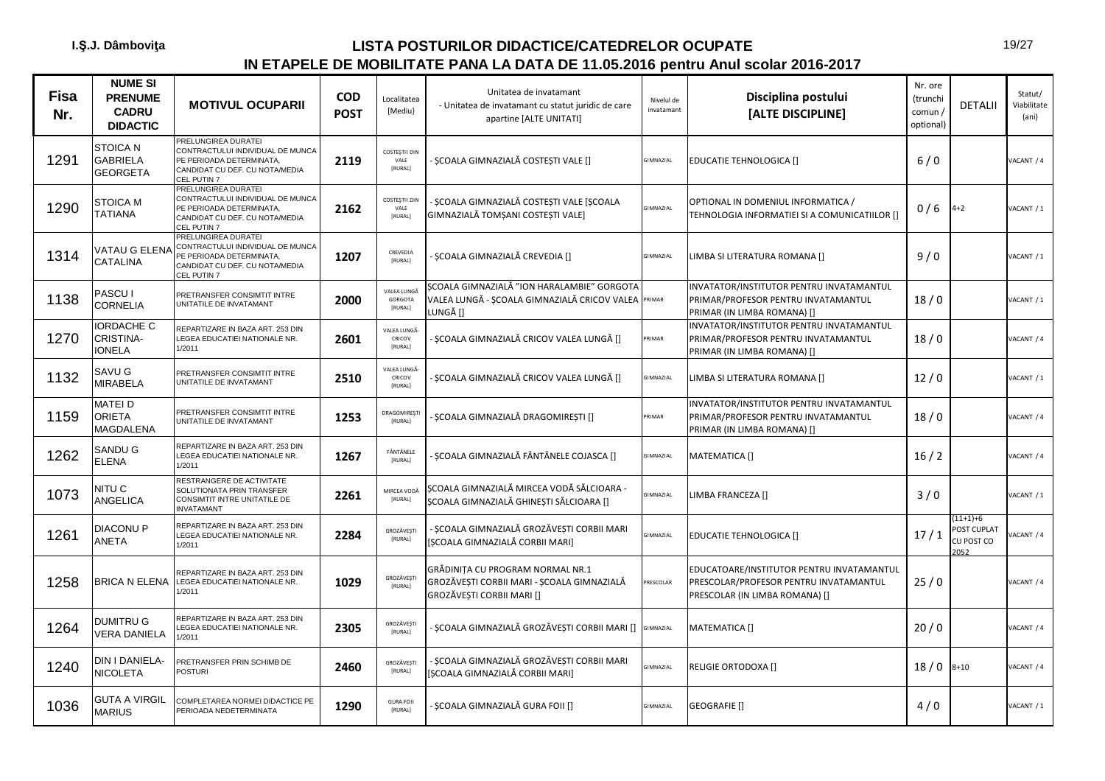| <b>Fisa</b><br>Nr. | <b>NUME SI</b><br><b>PRENUME</b><br><b>CADRU</b><br><b>DIDACTIC</b> | <b>MOTIVUL OCUPARII</b>                                                                                                              | <b>COD</b><br><b>POST</b> | Localitatea<br>[Mediu}             | Unitatea de invatamant<br>- Unitatea de invatamant cu statut juridic de care<br>apartine [ALTE UNITATI]       | Nivelul de<br>invatamant | Disciplina postului<br>[ALTE DISCIPLINE]                                                                              | Nr. ore<br>(trunchi<br>comun /<br>optional) | <b>DETALII</b>                                 | Statut/<br>Viabilitate<br>(ani) |
|--------------------|---------------------------------------------------------------------|--------------------------------------------------------------------------------------------------------------------------------------|---------------------------|------------------------------------|---------------------------------------------------------------------------------------------------------------|--------------------------|-----------------------------------------------------------------------------------------------------------------------|---------------------------------------------|------------------------------------------------|---------------------------------|
| 1291               | STOICA N<br><b>GABRIELA</b><br><b>GEORGETA</b>                      | PRELUNGIREA DURATEI<br>CONTRACTULUI INDIVIDUAL DE MUNCA<br>PE PERIOADA DETERMINATA.<br>CANDIDAT CU DEF. CU NOTA/MEDIA<br>CEL PUTIN 7 | 2119                      | COSTESTII DIN<br>VAIF<br>[RURAL]   | ȘCOALA GIMNAZIALĂ COSTEȘTI VALE []                                                                            | GIMNAZIAL                | <b>EDUCATIE TEHNOLOGICA []</b>                                                                                        | $6/0$                                       |                                                | VACANT / 4                      |
| 1290               | <b>STOICA M</b><br><b>TATIANA</b>                                   | PRELUNGIREA DURATEI<br>CONTRACTULUI INDIVIDUAL DE MUNCA<br>PE PERIOADA DETERMINATA,<br>CANDIDAT CU DEF. CU NOTA/MEDIA<br>CEL PUTIN 7 | 2162                      | COSTESTII DIN<br>VALE<br>[RURAL]   | SCOALA GIMNAZIALĂ COSTESTI VALE [SCOALA<br>GIMNAZIALĂ TOMȘANI COSTEȘTI VALE]                                  | <b>GIMNAZIAL</b>         | OPTIONAL IN DOMENIUL INFORMATICA /<br>TEHNOLOGIA INFORMATIEI SI A COMUNICATIILOR []                                   | 0/6                                         | $4 + 2$                                        | VACANT / 1                      |
| 1314               | VATAU G ELENA<br>CATALINA                                           | PRELUNGIREA DURATEI<br>CONTRACTULUI INDIVIDUAL DE MUNCA<br>PE PERIOADA DETERMINATA,<br>CANDIDAT CU DEF. CU NOTA/MEDIA<br>CEL PUTIN 7 | 1207                      | CREVEDIA<br>[RURAL]                | SCOALA GIMNAZIALĂ CREVEDIA []                                                                                 | GIMNAZIAL                | LIMBA SI LITERATURA ROMANA []                                                                                         | 9/0                                         |                                                | /ACANT / 1                      |
| 1138               | PASCU I<br><b>CORNELIA</b>                                          | PRETRANSFER CONSIMTIT INTRE<br>UNITATILE DE INVATAMANT                                                                               | 2000                      | VALEA LUNGA<br>GORGOTA<br>[RURAL]  | SCOALA GIMNAZIALĂ "ION HARALAMBIE" GORGOTA<br>VALEA LUNGĂ - ȘCOALA GIMNAZIALĂ CRICOV VALEA PRIMAR<br>LUNGĂ [] |                          | INVATATOR/INSTITUTOR PENTRU INVATAMANTUL<br>PRIMAR/PROFESOR PENTRU INVATAMANTUL<br>PRIMAR (IN LIMBA ROMANA) []        | 18/0                                        |                                                | VACANT / 1                      |
| 1270               | <b>IORDACHE C</b><br>CRISTINA-<br><b>IONELA</b>                     | REPARTIZARE IN BAZA ART. 253 DIN<br>LEGEA EDUCATIEI NATIONALE NR.<br>1/2011                                                          | 2601                      | VALEA LUNGĂ<br>CRICOV<br>[RURAL]   | ȘCOALA GIMNAZIALĂ CRICOV VALEA LUNGĂ []                                                                       | RIMAR                    | INVATATOR/INSTITUTOR PENTRU INVATAMANTUL<br>PRIMAR/PROFESOR PENTRU INVATAMANTUL<br>PRIMAR (IN LIMBA ROMANA) []        | 18/0                                        |                                                | VACANT / 4                      |
| 1132               | SAVU G<br><b>MIRABELA</b>                                           | PRETRANSFER CONSIMTIT INTRE<br>UNITATILE DE INVATAMANT                                                                               | 2510                      | VALEA LUNGĂ<br>CRICOV<br>[RURAL]   | SCOALA GIMNAZIALĂ CRICOV VALEA LUNGĂ []                                                                       | GIMNAZIAL                | LIMBA SI LITERATURA ROMANA []                                                                                         | 12/0                                        |                                                | /ACANT / 1                      |
| 1159               | MATEI D<br>ORIETA<br>MAGDALENA                                      | PRETRANSFER CONSIMTIT INTRE<br>UNITATILE DE INVATAMANT                                                                               | 1253                      | DRAGOMIREST<br>[RURAL]             | ȘCOALA GIMNAZIALĂ DRAGOMIREȘTI []                                                                             | RIMAR                    | INVATATOR/INSTITUTOR PENTRU INVATAMANTUL<br>PRIMAR/PROFESOR PENTRU INVATAMANTUL<br>PRIMAR (IN LIMBA ROMANA) []        | 18/0                                        |                                                | ACANT / 4                       |
| 1262               | SANDU G<br><b>ELENA</b>                                             | REPARTIZARE IN BAZA ART. 253 DIN<br>LEGEA EDUCATIEI NATIONALE NR.<br>1/2011                                                          | 1267                      | FÂNTÂNELE<br><b>IRURALI</b>        | ȘCOALA GIMNAZIALĂ FÂNTÂNELE COJASCA []                                                                        | <b>GIMNAZIAL</b>         | MATEMATICA []                                                                                                         | 16/2                                        |                                                | ACANT / 4                       |
| 1073               | NITU C<br>ANGELICA                                                  | RESTRANGERE DE ACTIVITATE<br>SOLUTIONATA PRIN TRANSFER<br>CONSIMTIT INTRE UNITATILE DE<br><b>INVATAMANT</b>                          | 2261                      | MIRCEA VODĂ<br>[RURAL]             | SCOALA GIMNAZIALĂ MIRCEA VODĂ SĂLCIOARA -<br>ȘCOALA GIMNAZIALĂ GHINEȘTI SĂLCIOARA []                          | <b>GIMNAZIAL</b>         | LIMBA FRANCEZA []                                                                                                     | 3/0                                         |                                                | /ACANT / 1                      |
| 1261               | <b>DIACONU P</b><br>ANETA                                           | REPARTIZARE IN BAZA ART. 253 DIN<br>LEGEA EDUCATIEI NATIONALE NR.<br>1/2011                                                          | 2284                      | GROZĂVEȘTI<br>[RURAL]              | ȘCOALA GIMNAZIALĂ GROZĂVEȘTI CORBII MARI<br>[ȘCOALA GIMNAZIALĂ CORBII MARI]                                   | GIMNAZIAL                | <b>EDUCATIE TEHNOLOGICA []</b>                                                                                        | 17/1                                        | $(11+1)+6$<br>POST CUPLAT<br>CU POST CO<br>052 | ACANT / 4                       |
| 1258               | <b>BRICA N ELENA</b>                                                | REPARTIZARE IN BAZA ART. 253 DIN<br>LEGEA EDUCATIEI NATIONALE NR.<br>1/2011                                                          | 1029                      | GROZĂVEȘTI<br><b>IRURALI</b>       | GRĂDINITA CU PROGRAM NORMAL NR.1<br>GROZĂVEȘTI CORBII MARI - ȘCOALA GIMNAZIALĂ<br>GROZĂVESTI CORBII MARI []   | PRESCOLAR                | EDUCATOARE/INSTITUTOR PENTRU INVATAMANTUL<br>PRESCOLAR/PROFESOR PENTRU INVATAMANTUL<br>PRESCOLAR (IN LIMBA ROMANA) [] | 25/0                                        |                                                | VACANT / 4                      |
| 1264               | <b>DUMITRU G</b><br><b>VERA DANIELA</b>                             | REPARTIZARE IN BAZA ART. 253 DIN<br><b>LEGEA EDUCATIEI NATIONALE NR.</b><br>1/2011                                                   | 2305                      | GROZĂVEȘT<br>[RURAL]               | SCOALA GIMNAZIALĂ GROZĂVESTI CORBII MARI [] GIMNAZIAL                                                         |                          | MATEMATICA []                                                                                                         | 20/0                                        |                                                | VACANT / 4                      |
| 1240               | DIN I DANIELA-<br>NICOLETA                                          | PRETRANSFER PRIN SCHIMB DE<br><b>POSTURI</b>                                                                                         | 2460                      | GROZĂVEȘTI<br>[RURAL]              | SCOALA GIMNAZIALĂ GROZĂVESTI CORBII MARI<br>[ȘCOALA GIMNAZIALĂ CORBII MARI]                                   | GIMNAZIAL                | RELIGIE ORTODOXA []                                                                                                   | 18/0                                        | $8 + 10$                                       | VACANT / 4                      |
| 1036               | GUTA A VIRGIL<br><b>MARIUS</b>                                      | COMPLETAREA NORMEI DIDACTICE PE<br>PERIOADA NEDETERMINATA                                                                            | 1290                      | <b>GURA FOIL</b><br><b>IRURALI</b> | ȘCOALA GIMNAZIALĂ GURA FOII []                                                                                | GIMNAZIAL                | <b>GEOGRAFIE</b> []                                                                                                   | 4/0                                         |                                                | VACANT / 1                      |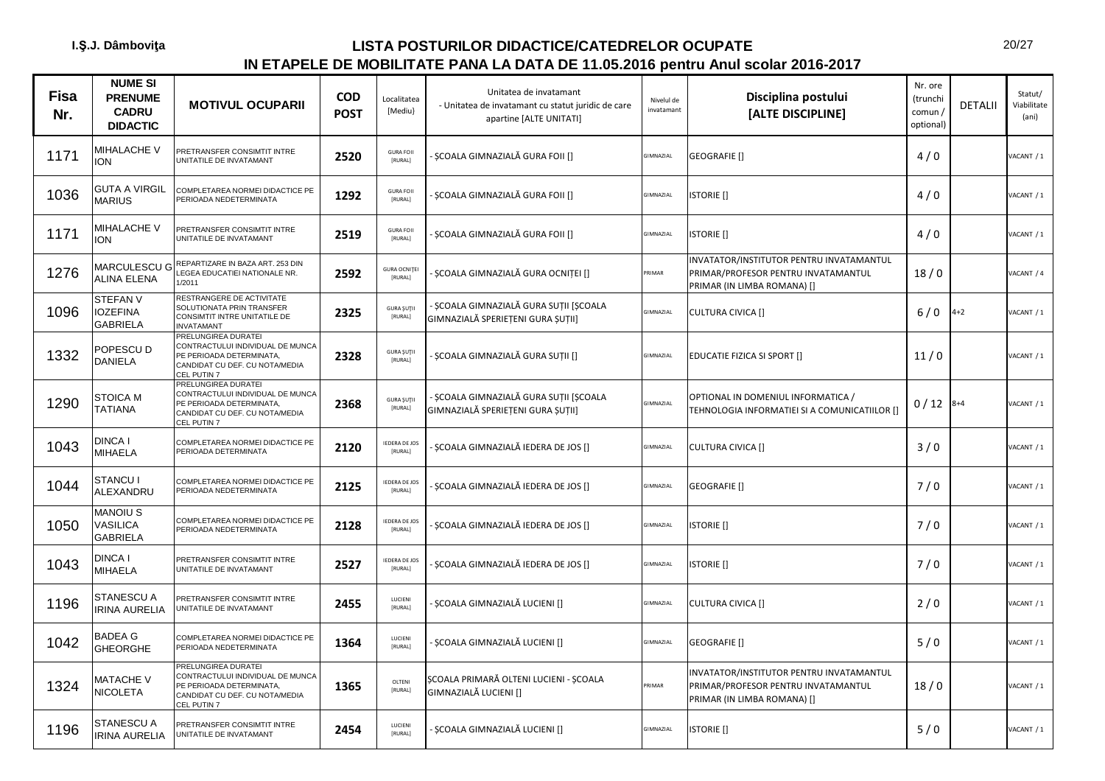| <b>Fisa</b><br>Nr. | <b>NUME SI</b><br><b>PRENUME</b><br><b>CADRU</b><br><b>DIDACTIC</b> | <b>MOTIVUL OCUPARII</b>                                                                                                              | <b>COD</b><br><b>POST</b> | Localitatea<br>[Mediu]          | Unitatea de invatamant<br>- Unitatea de invatamant cu statut juridic de care<br>apartine [ALTE UNITATI] | Nivelul de<br>invatamant | Disciplina postului<br>[ALTE DISCIPLINE]                                                                       | Nr. ore<br>(trunchi<br>comun/<br>optional) | <b>DETALII</b> | Statut/<br>Viabilitate<br>(ani) |
|--------------------|---------------------------------------------------------------------|--------------------------------------------------------------------------------------------------------------------------------------|---------------------------|---------------------------------|---------------------------------------------------------------------------------------------------------|--------------------------|----------------------------------------------------------------------------------------------------------------|--------------------------------------------|----------------|---------------------------------|
| 1171               | MIHALACHE V<br><b>ION</b>                                           | PRETRANSFER CONSIMTIT INTRE<br>UNITATILE DE INVATAMANT                                                                               | 2520                      | <b>GURA FOII</b><br>[RURAL]     | SCOALA GIMNAZIALĂ GURA FOII []                                                                          | GIMNAZIAL                | <b>GEOGRAFIE</b> []                                                                                            | 4/0                                        |                | ACANT / 1                       |
| 1036               | <b>GUTA A VIRGIL</b><br><b>MARIUS</b>                               | COMPLETAREA NORMEI DIDACTICE PE<br>PERIOADA NEDETERMINATA                                                                            | 1292                      | <b>GURA FOII</b><br>[RURAL]     | SCOALA GIMNAZIALĂ GURA FOII []                                                                          | GIMNAZIAL                | <b>ISTORIE</b> []                                                                                              | 4/0                                        |                | VACANT / 1                      |
| 1171               | MIHALACHE V<br><b>ION</b>                                           | PRETRANSFER CONSIMTIT INTRE<br>UNITATILE DE INVATAMANT                                                                               | 2519                      | <b>GURA FOIL</b><br>[RURAL]     | ȘCOALA GIMNAZIALĂ GURA FOII []                                                                          | <b>GIMNAZIAL</b>         | <b>ISTORIE</b> []                                                                                              | 4/0                                        |                | VACANT / 1                      |
| 1276               | MARCULESCU G<br><b>ALINA ELENA</b>                                  | REPARTIZARE IN BAZA ART. 253 DIN<br>LEGEA EDUCATIEI NATIONALE NR.<br>1/2011                                                          | 2592                      | <b>GURA OCNITEI</b><br>[RURAL]  | ȘCOALA GIMNAZIALĂ GURA OCNIȚEI []                                                                       | PRIMAR                   | INVATATOR/INSTITUTOR PENTRU INVATAMANTUL<br>PRIMAR/PROFESOR PENTRU INVATAMANTUL<br>PRIMAR (IN LIMBA ROMANA) [] | 18/0                                       |                | ACANT / 4                       |
| 1096               | <b>STEFAN V</b><br><b>IOZEFINA</b><br><b>GABRIELA</b>               | RESTRANGERE DE ACTIVITATE<br>SOLUTIONATA PRIN TRANSFER<br><b>CONSIMTIT INTRE UNITATILE DE</b><br>NVATAMANT                           | 2325                      | <b>GURA ŞUTII</b><br>[RURAL]    | - ȘCOALA GIMNAZIALĂ GURA SUȚII [ȘCOALA<br>GIMNAZIALĂ SPERIEȚENI GURA ȘUȚII]                             | <b>GIMNAZIAL</b>         | <b>CULTURA CIVICA []</b>                                                                                       | $6/0$                                      | $4 + 2$        | VACANT / 1                      |
| 1332               | POPESCU D<br>DANIELA                                                | PRELUNGIREA DURATEI<br>CONTRACTULUI INDIVIDUAL DE MUNCA<br>PE PERIOADA DETERMINATA,<br>CANDIDAT CU DEF. CU NOTA/MEDIA<br>EL PUTIN 7  | 2328                      | <b>GURA ŞUTII</b><br>[RURAL]    | ȘCOALA GIMNAZIALĂ GURA SUȚII []                                                                         | GIMNAZIAL                | EDUCATIE FIZICA SI SPORT []                                                                                    | 11/0                                       |                | VACANT / 1                      |
| 1290               | <b>STOICA M</b><br><b>TATIANA</b>                                   | PRELUNGIREA DURATEI<br>CONTRACTULUI INDIVIDUAL DE MUNCA<br>PE PERIOADA DETERMINATA,<br>CANDIDAT CU DEF. CU NOTA/MEDIA<br>CEL PUTIN 7 | 2368                      | <b>GURA ŞUTII</b><br>[RURAL]    | - ȘCOALA GIMNAZIALĂ GURA SUȚII [ȘCOALA<br>GIMNAZIALĂ SPERIEȚENI GURA ȘUȚII]                             | <b>SIMNAZIAL</b>         | OPTIONAL IN DOMENIUL INFORMATICA /<br>TEHNOLOGIA INFORMATIEI SI A COMUNICATIILOR []                            | 0/12                                       | $8 + 4$        | VACANT / 1                      |
| 1043               | DINCA I<br>MIHAELA                                                  | COMPLETAREA NORMEI DIDACTICE PE<br>PERIOADA DETERMINATA                                                                              | 2120                      | <b>IEDERA DE JOS</b><br>[RURAL] | ȘCOALA GIMNAZIALĂ IEDERA DE JOS []                                                                      | GIMNAZIAL                | <b>CULTURA CIVICA []</b>                                                                                       | 3/0                                        |                | VACANT / 1                      |
| 1044               | <b>STANCU I</b><br><b>ALEXANDRU</b>                                 | COMPLETAREA NORMEI DIDACTICE PE<br>PERIOADA NEDETERMINATA                                                                            | 2125                      | <b>IEDERA DE JOS</b><br>[RURAL] | ȘCOALA GIMNAZIALĂ IEDERA DE JOS []                                                                      | <b>GIMNAZIAL</b>         | <b>GEOGRAFIE</b> []                                                                                            | 7/0                                        |                | VACANT / 1                      |
| 1050               | MANOIU S<br>VASILICA<br><b>GABRIELA</b>                             | COMPLETAREA NORMEI DIDACTICE PE<br>PERIOADA NEDETERMINATA                                                                            | 2128                      | <b>IEDERA DE JOS</b><br>[RURAL] | SCOALA GIMNAZIALĂ IEDERA DE JOS []                                                                      | GIMNAZIAL                | <b>ISTORIE</b> []                                                                                              | 7/0                                        |                | VACANT / 1                      |
| 1043               | DINCA I<br>MIHAELA                                                  | PRETRANSFER CONSIMTIT INTRE<br>UNITATILE DE INVATAMANT                                                                               | 2527                      | <b>IEDERA DE JOS</b><br>[RURAL] | SCOALA GIMNAZIALĂ IEDERA DE JOS []                                                                      | GIMNAZIAL                | <b>ISTORIE</b> []                                                                                              | 7/0                                        |                | VACANT / 1                      |
| 1196               | STANESCU A<br><b>IRINA AURELIA</b>                                  | PRETRANSFER CONSIMTIT INTRE<br>UNITATILE DE INVATAMANT                                                                               | 2455                      | <b>LUCIENI</b><br>[RURAL]       | ȘCOALA GIMNAZIALĂ LUCIENI []                                                                            | GIMNAZIAL                | <b>CULTURA CIVICA []</b>                                                                                       | 2/0                                        |                | VACANT / 1                      |
| 1042               | BADEA G<br><b>GHEORGHE</b>                                          | COMPLETAREA NORMEI DIDACTICE PE<br>PERIOADA NEDETERMINATA                                                                            | 1364                      | LUCIENI<br>[RURAL]              | ȘCOALA GIMNAZIALĂ LUCIENI []                                                                            | GIMNAZIAL                | GEOGRAFIE []                                                                                                   | 5/0                                        |                | VACANT / 1                      |
| 1324               | MATACHE V<br><b>NICOLETA</b>                                        | PRELUNGIREA DURATEI<br>CONTRACTULUI INDIVIDUAL DE MUNCA<br>PE PERIOADA DETERMINATA,<br>CANDIDAT CU DEF. CU NOTA/MEDIA<br>CEL PUTIN 7 | 1365                      | OLTENI<br>[RURAL]               | ȘCOALA PRIMARĂ OLTENI LUCIENI - ȘCOALA<br>GIMNAZIALĂ LUCIENI []                                         | PRIMAR                   | INVATATOR/INSTITUTOR PENTRU INVATAMANTUL<br>PRIMAR/PROFESOR PENTRU INVATAMANTUL<br>PRIMAR (IN LIMBA ROMANA) [] | 18/0                                       |                | VACANT / 1                      |
| 1196               | STANESCU A<br><b>IRINA AURELIA</b>                                  | PRETRANSFER CONSIMTIT INTRE<br>UNITATILE DE INVATAMANT                                                                               | 2454                      | <b>LUCIENI</b><br>[RURAL]       | SCOALA GIMNAZIALĂ LUCIENI []                                                                            | GIMNAZIAL                | <b>ISTORIE</b> []                                                                                              | 5/0                                        |                | VACANT / 1                      |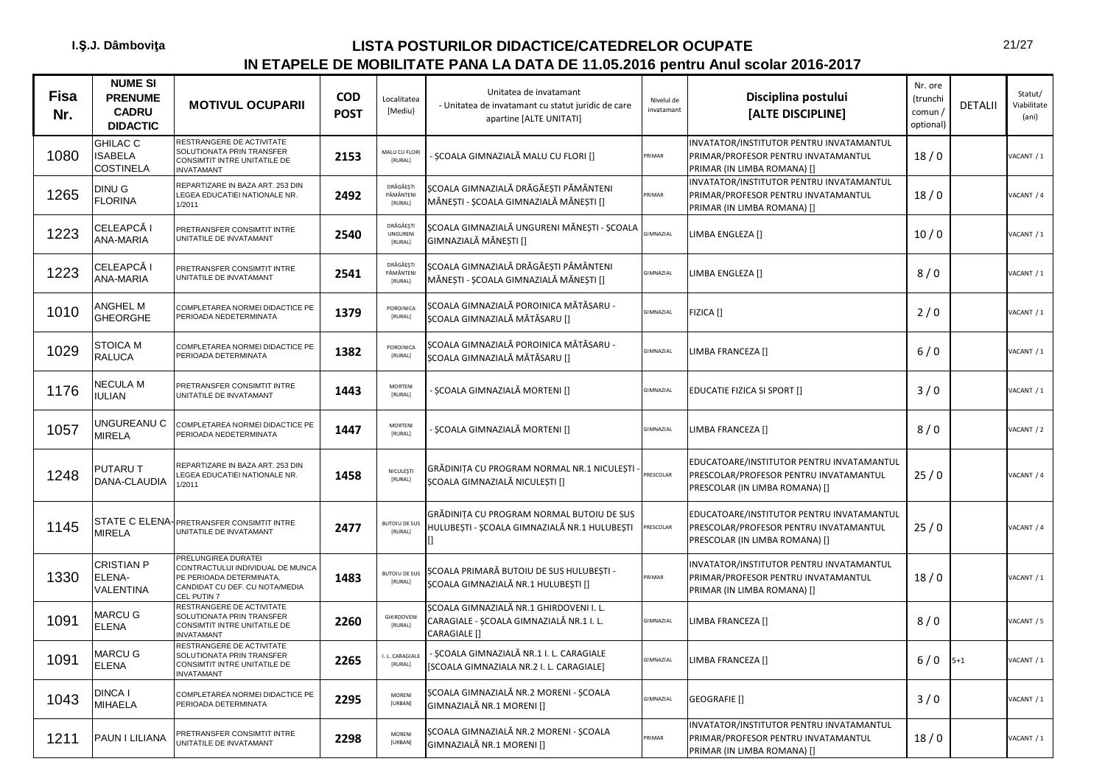| <b>Fisa</b><br>Nr. | <b>NUME SI</b><br><b>PRENUME</b><br><b>CADRU</b><br><b>DIDACTIC</b> | <b>MOTIVUL OCUPARII</b>                                                                                                              | <b>COD</b><br><b>POST</b> | Localitatea<br>[Mediu}            | Unitatea de invatamant<br>- Unitatea de invatamant cu statut juridic de care<br>apartine [ALTE UNITATI] | Nivelul de<br>invatamant | Disciplina postului<br>[ALTE DISCIPLINE]                                                                              | Nr. ore<br>(trunchi<br>comun /<br>optional) | <b>DETALII</b> | Statut/<br>Viabilitate<br>(ani) |
|--------------------|---------------------------------------------------------------------|--------------------------------------------------------------------------------------------------------------------------------------|---------------------------|-----------------------------------|---------------------------------------------------------------------------------------------------------|--------------------------|-----------------------------------------------------------------------------------------------------------------------|---------------------------------------------|----------------|---------------------------------|
| 1080               | <b>GHILAC C</b><br><b>ISABELA</b><br><b>COSTINELA</b>               | RESTRANGERE DE ACTIVITATE<br>SOLUTIONATA PRIN TRANSFER<br>CONSIMTIT INTRE UNITATILE DE<br><b>INVATAMANT</b>                          | 2153                      | MALU CU FLOR<br>[RURAL]           | ȘCOALA GIMNAZIALĂ MALU CU FLORI []                                                                      | PRIMAR                   | INVATATOR/INSTITUTOR PENTRU INVATAMANTUL<br>PRIMAR/PROFESOR PENTRU INVATAMANTUL<br>PRIMAR (IN LIMBA ROMANA) []        | 18/0                                        |                | ACANT / 1                       |
| 1265               | DINU G<br><b>FLORINA</b>                                            | REPARTIZARE IN BAZA ART. 253 DIN<br>LEGEA EDUCATIEI NATIONALE NR.<br>1/2011                                                          | 2492                      | DRĂGĂEȘTI<br>PĂMÂNTENI<br>[RURAL] | SCOALA GIMNAZIALĂ DRĂGĂESTI PĂMÂNTENI<br>MĂNEȘTI - ȘCOALA GIMNAZIALĂ MĂNEȘTI []                         | RIMAR                    | INVATATOR/INSTITUTOR PENTRU INVATAMANTUL<br>PRIMAR/PROFESOR PENTRU INVATAMANTUL<br>PRIMAR (IN LIMBA ROMANA) []        | 18/0                                        |                | ACANT / 4                       |
| 1223               | CELEAPCĂ I<br><b>ANA-MARIA</b>                                      | PRETRANSFER CONSIMTIT INTRE<br>UNITATILE DE INVATAMANT                                                                               | 2540                      | DRĂGĂEȘTI<br>UNGURENI<br>[RURAL]  | ȘCOALA GIMNAZIALĂ UNGURENI MĂNEȘTI - ȘCOALA<br>GIMNAZIALĂ MĂNEȘTI []                                    | <b>GIMNAZIAL</b>         | LIMBA ENGLEZA []                                                                                                      | 10/0                                        |                | ACANT / 1                       |
| 1223               | CELEAPCĂ I<br>ANA-MARIA                                             | PRETRANSFER CONSIMTIT INTRE<br>UNITATILE DE INVATAMANT                                                                               | 2541                      | DRĂGĂEȘTI<br>PĂMÂNTENI<br>[RURAL] | ȘCOALA GIMNAZIALĂ DRĂGĂEȘTI PĂMÂNTENI<br>MĂNEȘTI - ȘCOALA GIMNAZIALĂ MĂNEȘTI []                         | GIMNAZIAL                | LIMBA ENGLEZA []                                                                                                      | 8/0                                         |                | ACANT / 1                       |
| 1010               | ANGHEL M<br><b>GHEORGHE</b>                                         | COMPLETAREA NORMEI DIDACTICE PE<br>PERIOADA NEDETERMINATA                                                                            | 1379                      | POROINICA<br>[RURAL]              | SCOALA GIMNAZIALĂ POROINICA MĂTĂSARU -<br>ȘCOALA GIMNAZIALĂ MĂTĂSARU []                                 | <b>GIMNAZIAL</b>         | FIZICA []                                                                                                             | 2/0                                         |                | ACANT / 1                       |
| 1029               | <b>STOICA M</b><br><b>RALUCA</b>                                    | COMPLETAREA NORMEI DIDACTICE PE<br>PERIOADA DETERMINATA                                                                              | 1382                      | POROINICA<br>[RURAL]              | ȘCOALA GIMNAZIALĂ POROINICA MĂTĂSARU -<br>ȘCOALA GIMNAZIALĂ MĂTĂSARU []                                 | <b>IMNAZIAL</b>          | LIMBA FRANCEZA []                                                                                                     | 6/0                                         |                | ACANT / 1                       |
| 1176               | <b>NECULA M</b><br><b>IULIAN</b>                                    | PRETRANSFER CONSIMTIT INTRE<br>UNITATILE DE INVATAMANT                                                                               | 1443                      | <b>MORTENI</b><br>[RURAL]         | ȘCOALA GIMNAZIALĂ MORTENI []                                                                            | <b>GIMNAZIAL</b>         | EDUCATIE FIZICA SI SPORT []                                                                                           | 3/0                                         |                | ACANT / 1                       |
| 1057               | UNGUREANU C<br><b>MIRELA</b>                                        | COMPLETAREA NORMEI DIDACTICE PE<br>PERIOADA NEDETERMINATA                                                                            | 1447                      | <b>MORTENI</b><br>[RURAL]         | ȘCOALA GIMNAZIALĂ MORTENI []                                                                            | <b>GIMNAZIAL</b>         | LIMBA FRANCEZA []                                                                                                     | 8/0                                         |                | ACANT / 2                       |
| 1248               | <b>PUTARUT</b><br><b>DANA-CLAUDIA</b>                               | REPARTIZARE IN BAZA ART. 253 DIN<br>LEGEA EDUCATIEI NATIONALE NR.<br>/2011                                                           | 1458                      | NICULESTI<br>[RURAL]              | GRĂDINIȚA CU PROGRAM NORMAL NR.1 NICULEȘTI<br>SCOALA GIMNAZIALĂ NICULESTI []                            | <b>RESCOLAR</b>          | EDUCATOARE/INSTITUTOR PENTRU INVATAMANTUL<br>PRESCOLAR/PROFESOR PENTRU INVATAMANTUL<br>PRESCOLAR (IN LIMBA ROMANA) [] | 25/0                                        |                | ACANT / 4                       |
| 1145               | <b>MIRELA</b>                                                       | STATE C ELENA-PRETRANSFER CONSIMTIT INTRE<br>UNITATILE DE INVATAMANT                                                                 | 2477                      | <b>BUTOIU DE SU</b><br>[RURAL]    | GRĂDINIȚA CU PROGRAM NORMAL BUTOIU DE SUS<br>HULUBESTI - SCOALA GIMNAZIALĂ NR.1 HULUBESTI               | RESCOLAR                 | EDUCATOARE/INSTITUTOR PENTRU INVATAMANTUL<br>PRESCOLAR/PROFESOR PENTRU INVATAMANTUL<br>PRESCOLAR (IN LIMBA ROMANA) [] | 25/0                                        |                | ACANT / 4                       |
| 1330               | <b>CRISTIAN P</b><br>ELENA-<br><b>VALENTINA</b>                     | PRELUNGIREA DURATEI<br>CONTRACTULUI INDIVIDUAL DE MUNCA<br>PE PERIOADA DETERMINATA,<br>CANDIDAT CU DEF. CU NOTA/MEDIA<br>CEL PUTIN 7 | 1483                      | BUTOIU DE SU!<br>[RURAL]          | SCOALA PRIMARĂ BUTOIU DE SUS HULUBEȘTI -<br>ȘCOALA GIMNAZIALĂ NR.1 HULUBEȘTI []                         | RIMAR                    | INVATATOR/INSTITUTOR PENTRU INVATAMANTUL<br>PRIMAR/PROFESOR PENTRU INVATAMANTUL<br>PRIMAR (IN LIMBA ROMANA) []        | 18/0                                        |                | ACANT / 1                       |
| 1091               | <b>MARCU G</b><br><b>ELENA</b>                                      | RESTRANGERE DE ACTIVITATE<br>SOLUTIONATA PRIN TRANSFER<br>CONSIMTIT INTRE UNITATILE DE<br><b>INVATAMANT</b>                          | 2260                      | <b>GHIRDOVENI</b><br>[RURAL]      | SCOALA GIMNAZIALĂ NR.1 GHIRDOVENI I. L.<br>CARAGIALE - ȘCOALA GIMNAZIALĂ NR.1 I. L.<br>CARAGIALE []     | GIMNAZIAL                | LIMBA FRANCEZA []                                                                                                     | 8/0                                         |                | ACANT / 5                       |
| 1091               | <b>MARCU G</b><br><b>ELENA</b>                                      | RESTRANGERE DE ACTIVITATE<br>SOLUTIONATA PRIN TRANSFER<br>CONSIMTIT INTRE UNITATILE DE<br><b>INVATAMANT</b>                          | 2265                      | I. L. CARAGIALI<br>[RURAL]        | ȘCOALA GIMNAZIALĂ NR.1 I. L. CARAGIALE<br>[SCOALA GIMNAZIALA NR.2 I. L. CARAGIALE]                      | GIMNAZIAL                | LIMBA FRANCEZA []                                                                                                     | $6/0$                                       | $5 + 1$        | ACANT / 1                       |
| 1043               | <b>DINCA I</b><br><b>MIHAELA</b>                                    | COMPLETAREA NORMEI DIDACTICE PE<br>PERIOADA DETERMINATA                                                                              | 2295                      | MORENI<br>[URBAN]                 | ȘCOALA GIMNAZIALĂ NR.2 MORENI - ȘCOALA<br>GIMNAZIALĂ NR.1 MORENI []                                     | <b>GIMNAZIAL</b>         | GEOGRAFIE []                                                                                                          | 3/0                                         |                | ACANT / 1                       |
| 1211               | PAUN I LILIANA                                                      | PRETRANSFER CONSIMTIT INTRE<br>UNITATILE DE INVATAMANT                                                                               | 2298                      | <b>MORENI</b><br><b>[URBAN]</b>   | ȘCOALA GIMNAZIALĂ NR.2 MORENI - ȘCOALA<br>GIMNAZIALĂ NR.1 MORENI []                                     | RIMAR                    | INVATATOR/INSTITUTOR PENTRU INVATAMANTUL<br>PRIMAR/PROFESOR PENTRU INVATAMANTUL<br>PRIMAR (IN LIMBA ROMANA) []        | 18/0                                        |                | ACANT / 1                       |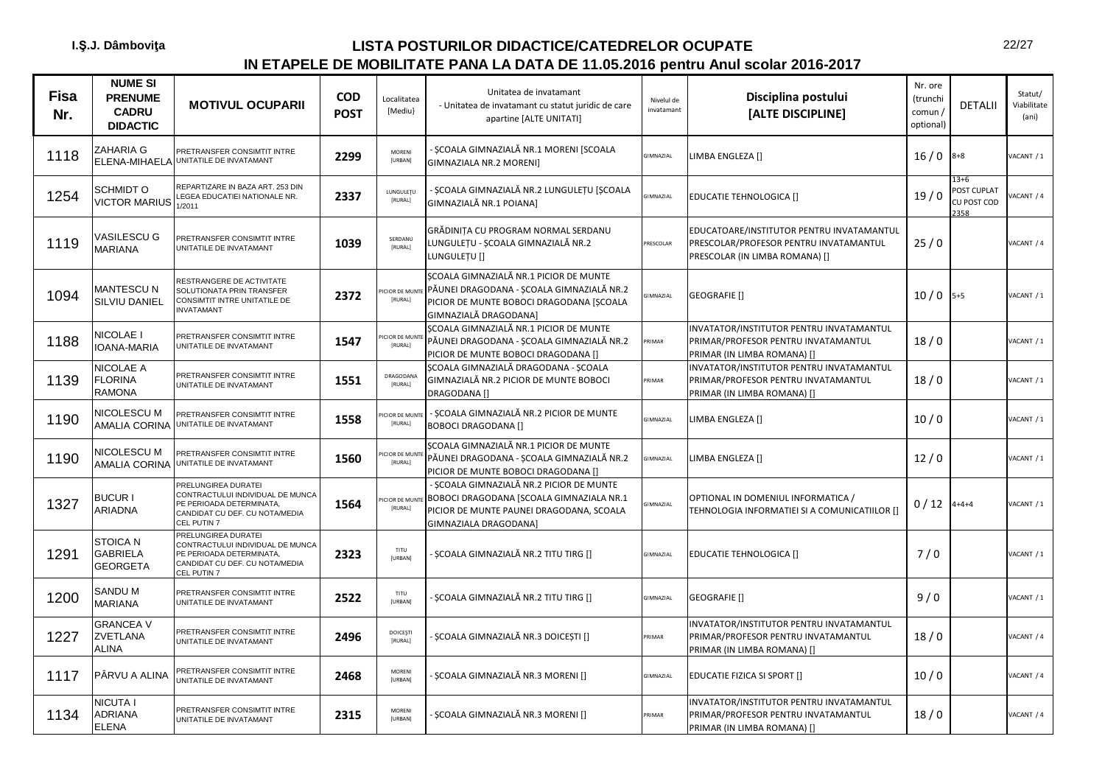| <b>Fisa</b><br>Nr. | <b>NUME SI</b><br><b>PRENUME</b><br><b>CADRU</b><br><b>DIDACTIC</b> | <b>MOTIVUL OCUPARII</b>                                                                                                              | COD<br><b>POST</b> | Localitatea<br>[Mediu}         | Unitatea de invatamant<br>- Unitatea de invatamant cu statut juridic de care<br>apartine [ALTE UNITATI]                                                   | Nivelul de<br>invatamant | Disciplina postului<br>[ALTE DISCIPLINE]                                                                              | Nr. ore<br>(trunchi<br>comun /<br>optional) | <b>DETALII</b>                                 | Statut/<br>Viabilitate<br>(ani) |
|--------------------|---------------------------------------------------------------------|--------------------------------------------------------------------------------------------------------------------------------------|--------------------|--------------------------------|-----------------------------------------------------------------------------------------------------------------------------------------------------------|--------------------------|-----------------------------------------------------------------------------------------------------------------------|---------------------------------------------|------------------------------------------------|---------------------------------|
| 1118               | ZAHARIA G<br>ELENA-MIHAELA                                          | PRETRANSFER CONSIMTIT INTRE<br>UNITATILE DE INVATAMANT                                                                               | 2299               | MORENI<br>[URBAN]              | SCOALA GIMNAZIALĂ NR.1 MORENI [SCOALA<br>GIMNAZIALA NR.2 MORENI]                                                                                          | GIMNAZIAL                | LIMBA ENGLEZA []                                                                                                      | 16/0                                        | $8 + 8$                                        | /ACANT / 1                      |
| 1254               | SCHMIDT O<br><b>VICTOR MARIUS</b>                                   | REPARTIZARE IN BAZA ART. 253 DIN<br>LEGEA EDUCATIEI NATIONALE NR.<br>1/2011                                                          | 2337               | LUNGULETU<br>[RURAL]           | SCOALA GIMNAZIALĂ NR.2 LUNGULEȚU [ȘCOALA<br>GIMNAZIALĂ NR.1 POIANA]                                                                                       | <b>GIMNAZIAL</b>         | <b>EDUCATIE TEHNOLOGICA []</b>                                                                                        | 19/0                                        | $13 + 6$<br>POST CUPLAT<br>CU POST COD<br>2358 | ACANT / 4                       |
| 1119               | <b>VASILESCU G</b><br><b>MARIANA</b>                                | PRETRANSFER CONSIMTIT INTRE<br>UNITATILE DE INVATAMANT                                                                               | 1039               | SERDANU<br>[RURAL]             | GRĂDINIȚA CU PROGRAM NORMAL SERDANU<br>LUNGULEȚU - ȘCOALA GIMNAZIALĂ NR.2<br>LUNGULETU []                                                                 | PRESCOLAR                | EDUCATOARE/INSTITUTOR PENTRU INVATAMANTUL<br>PRESCOLAR/PROFESOR PENTRU INVATAMANTUL<br>PRESCOLAR (IN LIMBA ROMANA) [] | 25/0                                        |                                                | ACANT / 4                       |
| 1094               | MANTESCU N<br>SILVIU DANIEL                                         | RESTRANGERE DE ACTIVITATE<br>SOLUTIONATA PRIN TRANSFER<br>CONSIMTIT INTRE UNITATILE DE<br><b>INVATAMANT</b>                          | 2372               | <b>CIOR DE MUN</b><br>[RURAL]  | SCOALA GIMNAZIALĂ NR.1 PICIOR DE MUNTE<br>PĂUNEI DRAGODANA - ȘCOALA GIMNAZIALĂ NR.2<br>PICIOR DE MUNTE BOBOCI DRAGODANA [SCOALA<br>GIMNAZIALĂ DRAGODANA]  | <b>GIMNAZIAL</b>         | GEOGRAFIE []                                                                                                          | $10/0$ 5+5                                  |                                                | VACANT / 1                      |
| 1188               | NICOLAE I<br><b>IOANA-MARIA</b>                                     | PRETRANSFER CONSIMTIT INTRE<br>UNITATILE DE INVATAMANT                                                                               | 1547               | <b>CIOR DE MUN</b><br>[RURAL]  | SCOALA GIMNAZIALĂ NR.1 PICIOR DE MUNTE<br>PĂUNEI DRAGODANA - ȘCOALA GIMNAZIALĂ NR.2<br>PICIOR DE MUNTE BOBOCI DRAGODANA []                                | RIMAR                    | INVATATOR/INSTITUTOR PENTRU INVATAMANTUL<br>PRIMAR/PROFESOR PENTRU INVATAMANTUL<br>PRIMAR (IN LIMBA ROMANA) []        | 18/0                                        |                                                | ACANT / 1                       |
| 1139               | NICOLAE A<br><b>FLORINA</b><br>RAMONA                               | PRETRANSFER CONSIMTIT INTRE<br>UNITATILE DE INVATAMANT                                                                               | 1551               | DRAGODANA<br>[RURAL]           | ȘCOALA GIMNAZIALĂ DRAGODANA - ȘCOALA<br>GIMNAZIALĂ NR.2 PICIOR DE MUNTE BOBOCI<br>DRAGODANA []                                                            | PRIMAR                   | INVATATOR/INSTITUTOR PENTRU INVATAMANTUL<br>PRIMAR/PROFESOR PENTRU INVATAMANTUL<br>PRIMAR (IN LIMBA ROMANA) []        | 18/0                                        |                                                | VACANT / 1                      |
| 1190               | NICOLESCU M<br><b>AMALIA CORINA</b>                                 | PRETRANSFER CONSIMTIT INTRE<br>UNITATILE DE INVATAMANT                                                                               | 1558               | CIOR DE MUN'<br>[RURAL]        | SCOALA GIMNAZIALĂ NR.2 PICIOR DE MUNTE<br><b>BOBOCI DRAGODANA []</b>                                                                                      | <b>GIMNAZIAL</b>         | LIMBA ENGLEZA []                                                                                                      | 10/0                                        |                                                | VACANT / 1                      |
| 1190               | NICOLESCU M<br>AMALIA CORINA                                        | PRETRANSFER CONSIMTIT INTRE<br>UNITATILE DE INVATAMANT                                                                               | 1560               | <b>CIOR DE MUNT</b><br>[RURAL] | SCOALA GIMNAZIALĂ NR.1 PICIOR DE MUNTE<br>PĂUNEI DRAGODANA - ȘCOALA GIMNAZIALĂ NR.2<br>PICIOR DE MUNTE BOBOCI DRAGODANA []                                | GIMNAZIAL                | LIMBA ENGLEZA []                                                                                                      | 12/0                                        |                                                | /ACANT / 1                      |
| 1327               | <b>BUCURI</b><br>ARIADNA                                            | PRELUNGIREA DURATEI<br>CONTRACTULUI INDIVIDUAL DE MUNCA<br>PE PERIOADA DETERMINATA,<br>CANDIDAT CU DEF. CU NOTA/MEDIA<br>CEL PUTIN 7 | 1564               | <b>CIOR DE MUN</b><br>[RURAL]  | - SCOALA GIMNAZIALĂ NR.2 PICIOR DE MUNTE<br>BOBOCI DRAGODANA [SCOALA GIMNAZIALA NR.1<br>PICIOR DE MUNTE PAUNEI DRAGODANA, SCOALA<br>GIMNAZIALA DRAGODANA] | <b>GIMNAZIAL</b>         | OPTIONAL IN DOMENIUL INFORMATICA /<br>TEHNOLOGIA INFORMATIEI SI A COMUNICATIILOR []                                   | 0/12                                        | $4 + 4 + 4$                                    | VACANT / 1                      |
| 1291               | <b>STOICA N</b><br><b>GABRIELA</b><br><b>GEORGETA</b>               | PRELUNGIREA DURATEI<br>CONTRACTULUI INDIVIDUAL DE MUNCA<br>PE PERIOADA DETERMINATA,<br>CANDIDAT CU DEF. CU NOTA/MEDIA<br>CEL PUTIN 7 | 2323               | TITU<br><b>[URBAN]</b>         | ȘCOALA GIMNAZIALĂ NR.2 TITU TIRG []                                                                                                                       | GIMNAZIAL                | EDUCATIE TEHNOLOGICA []                                                                                               | 7/0                                         |                                                | VACANT / 1                      |
| 1200               | SANDU M<br><b>MARIANA</b>                                           | PRETRANSFER CONSIMTIT INTRE<br>UNITATILE DE INVATAMANT                                                                               | 2522               | TITU<br>[URBAN]                | ȘCOALA GIMNAZIALĂ NR.2 TITU TIRG []                                                                                                                       | GIMNAZIAL                | GEOGRAFIE []                                                                                                          | 9/0                                         |                                                | /ACANT / 1                      |
| 1227               | <b>GRANCEA V</b><br>ZVETLANA<br>ALINA                               | PRETRANSFER CONSIMTIT INTRE<br>UNITATILE DE INVATAMANT                                                                               | 2496               | DOICEȘTI<br>[RURAL]            | ȘCOALA GIMNAZIALĂ NR.3 DOICEȘTI []                                                                                                                        | PRIMAR                   | INVATATOR/INSTITUTOR PENTRU INVATAMANTUL<br>PRIMAR/PROFESOR PENTRU INVATAMANTUL<br>PRIMAR (IN LIMBA ROMANA) []        | 18/0                                        |                                                | VACANT / 4                      |
| 1117               | PÂRVU A ALINA                                                       | PRETRANSFER CONSIMTIT INTRE<br>UNITATILE DE INVATAMANT                                                                               | 2468               | MORENI<br>[URBAN]              | ȘCOALA GIMNAZIALĂ NR.3 MORENI []                                                                                                                          | GIMNAZIAL                | EDUCATIE FIZICA SI SPORT []                                                                                           | 10/0                                        |                                                | VACANT / 4                      |
| 1134               | NICUTA I<br>ADRIANA<br><b>ELENA</b>                                 | PRETRANSFER CONSIMTIT INTRE<br>UNITATILE DE INVATAMANT                                                                               | 2315               | MORENI<br>[URBAN]              | ȘCOALA GIMNAZIALĂ NR.3 MORENI []                                                                                                                          | PRIMAR                   | INVATATOR/INSTITUTOR PENTRU INVATAMANTUL<br>PRIMAR/PROFESOR PENTRU INVATAMANTUL<br>PRIMAR (IN LIMBA ROMANA) []        | 18/0                                        |                                                | VACANT / 4                      |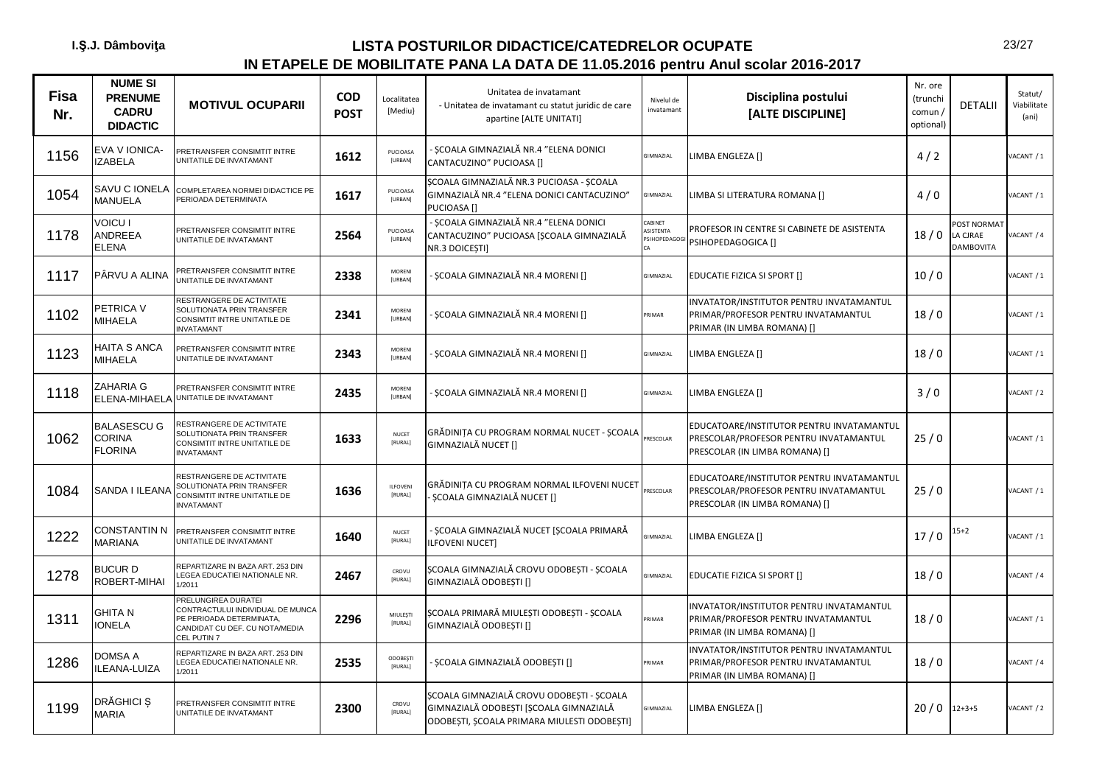| <b>Fisa</b><br>Nr. | <b>NUME SI</b><br><b>PRENUME</b><br><b>CADRU</b><br><b>DIDACTIC</b> | <b>MOTIVUL OCUPARII</b>                                                                                                                         | <b>COD</b><br><b>POST</b> | Localitatea<br>[Mediu}     | Unitatea de invatamant<br>- Unitatea de invatamant cu statut juridic de care<br>apartine [ALTE UNITATI]                            | Nivelul de<br>invatamant                    | Disciplina postului<br>[ALTE DISCIPLINE]                                                                              | Nr. ore<br>(trunchi<br>comun /<br>optional) | <b>DETALII</b>                      | Statut/<br>Viabilitate<br>(ani) |
|--------------------|---------------------------------------------------------------------|-------------------------------------------------------------------------------------------------------------------------------------------------|---------------------------|----------------------------|------------------------------------------------------------------------------------------------------------------------------------|---------------------------------------------|-----------------------------------------------------------------------------------------------------------------------|---------------------------------------------|-------------------------------------|---------------------------------|
| 1156               | EVA V IONICA-<br><b>ZABELA</b>                                      | PRETRANSFER CONSIMTIT INTRE<br>JNITATILE DE INVATAMANT                                                                                          | 1612                      | PUCIOASA<br>[URBAN]        | SCOALA GIMNAZIALĂ NR.4 "ELENA DONICI<br>CANTACUZINO" PUCIOASA []                                                                   | GIMNAZIAL                                   | LIMBA ENGLEZA []                                                                                                      | 4/2                                         |                                     | ACANT / 1                       |
| 1054               | SAVU C IONELA<br><b>MANUELA</b>                                     | COMPLETAREA NORMEI DIDACTICE PE<br>PERIOADA DETERMINATA                                                                                         | 1617                      | PUCIOASA<br>[URBAN]        | SCOALA GIMNAZIALĂ NR.3 PUCIOASA - SCOALA<br>GIMNAZIALĂ NR.4 "ELENA DONICI CANTACUZINO"<br>PUCIOASA []                              | GIMNAZIAL                                   | LIMBA SI LITERATURA ROMANA []                                                                                         | 4/0                                         |                                     | ACANT / 1                       |
| 1178               | VOICU I<br>ANDREEA<br><b>ELENA</b>                                  | PRETRANSFER CONSIMTIT INTRE<br>JNITATILE DE INVATAMANT                                                                                          | 2564                      | PUCIOASA<br><b>[URBAN]</b> | ȘCOALA GIMNAZIALĂ NR.4 "ELENA DONICI<br>CANTACUZINO" PUCIOASA [ȘCOALA GIMNAZIALĂ<br>NR.3 DOICEȘTI]                                 | CABINET<br>ASISTENTA<br><b>SIHOPEDAGOGI</b> | PROFESOR IN CENTRE SI CABINETE DE ASISTENTA<br>PSIHOPEDAGOGICA []                                                     | 18/0                                        | OST NORMAT<br>LA CJRAE<br>DAMBOVITA | ACANT / 4                       |
| 1117               | PÂRVU A ALINA                                                       | PRETRANSFER CONSIMTIT INTRE<br>JNITATILE DE INVATAMANT                                                                                          | 2338                      | MORENI<br><b>[URBAN]</b>   | ȘCOALA GIMNAZIALĂ NR.4 MORENI []                                                                                                   | GIMNAZIAL                                   | <b>EDUCATIE FIZICA SI SPORT []</b>                                                                                    | 10/0                                        |                                     | VACANT / 1                      |
| 1102               | PETRICA V<br><b>MIHAELA</b>                                         | RESTRANGERE DE ACTIVITATE<br>SOLUTIONATA PRIN TRANSFER<br>CONSIMTIT INTRE UNITATILE DE<br>NVATAMANT                                             | 2341                      | <b>MORFNI</b><br>[URBAN]   | ȘCOALA GIMNAZIALĂ NR.4 MORENI []                                                                                                   | PRIMAR                                      | INVATATOR/INSTITUTOR PENTRU INVATAMANTUL<br>PRIMAR/PROFESOR PENTRU INVATAMANTUL<br>PRIMAR (IN LIMBA ROMANA) []        | 18/0                                        |                                     | ACANT / 1                       |
| 1123               | HAITA S ANCA<br>MIHAELA                                             | PRETRANSFER CONSIMTIT INTRE<br><b>JNITATILE DE INVATAMANT</b>                                                                                   | 2343                      | MORENI<br>[URBAN]          | ȘCOALA GIMNAZIALĂ NR.4 MORENI []                                                                                                   | GIMNAZIAL                                   | LIMBA ENGLEZA []                                                                                                      | 18/0                                        |                                     | ACANT / 1                       |
| 1118               | <b>ZAHARIA G</b><br>ELENA-MIHAELA                                   | PRETRANSFER CONSIMTIT INTRE<br>UNITATILE DE INVATAMANT                                                                                          | 2435                      | <b>MORENI</b><br>[URBAN]   | ȘCOALA GIMNAZIALĂ NR.4 MORENI []                                                                                                   | GIMNAZIAL                                   | LIMBA ENGLEZA []                                                                                                      | 3/0                                         |                                     | ACANT / 2                       |
| 1062               | <b>BALASESCU G</b><br><b>CORINA</b><br><b>FLORINA</b>               | RESTRANGERE DE ACTIVITATE<br>SOLUTIONATA PRIN TRANSFER<br>CONSIMTIT INTRE UNITATILE DE<br>NVATAMANT                                             | 1633                      | <b>NUCET</b><br>[RURAL]    | GRĂDINIȚA CU PROGRAM NORMAL NUCET - ȘCOALA<br>GIMNAZIALĂ NUCET []                                                                  | PRESCOLAR                                   | EDUCATOARE/INSTITUTOR PENTRU INVATAMANTUL<br>PRESCOLAR/PROFESOR PENTRU INVATAMANTUL<br>PRESCOLAR (IN LIMBA ROMANA) [] | 25/0                                        |                                     | ACANT / 1                       |
| 1084               | SANDA I ILEANA                                                      | RESTRANGERE DE ACTIVITATE<br>SOLUTIONATA PRIN TRANSFER<br>CONSIMTIT INTRE UNITATILE DE<br>NVATAMANT                                             | 1636                      | ILFOVENI<br>[RURAL]        | GRĂDINITA CU PROGRAM NORMAL ILFOVENI NUCET<br>SCOALA GIMNAZIALĂ NUCET []                                                           | PRESCOLAR                                   | EDUCATOARE/INSTITUTOR PENTRU INVATAMANTUL<br>PRESCOLAR/PROFESOR PENTRU INVATAMANTUL<br>PRESCOLAR (IN LIMBA ROMANA) [] | 25/0                                        |                                     | ACANT / 1                       |
| 1222               | <b>CONSTANTIN N</b><br><b>MARIANA</b>                               | PRETRANSFER CONSIMTIT INTRE<br>JNITATILE DE INVATAMANT                                                                                          | 1640                      | <b>NUCET</b><br>[RURAL]    | ȘCOALA GIMNAZIALĂ NUCET [ȘCOALA PRIMARĂ<br><b>ILFOVENI NUCET1</b>                                                                  | GIMNAZIAL                                   | LIMBA ENGLEZA []                                                                                                      | 17/0                                        | $15+2$                              | ACANT / 1                       |
| 1278               | <b>BUCURD</b><br>ROBERT-MIHAI                                       | REPARTIZARE IN BAZA ART, 253 DIN<br><b>EGEA EDUCATIEI NATIONALE NR.</b><br>1/2011                                                               | 2467                      | CROVU<br>[RURAL]           | SCOALA GIMNAZIALĂ CROVU ODOBESTI - SCOALA<br>GIMNAZIALĂ ODOBEȘTI []                                                                | <b>GIMNAZIAL</b>                            | <b>EDUCATIE FIZICA SI SPORT []</b>                                                                                    | 18/0                                        |                                     | ACANT / 4                       |
| 1311               | GHITA N<br><b>IONELA</b>                                            | <b>RELUNGIREA DURATEI</b><br>ONTRACTULUI INDIVIDUAL DE MUNCA<br>PE PERIOADA DETERMINATA,<br>CANDIDAT CU DEF. CU NOTA/MEDIA<br><b>EL PUTIN 7</b> | 2296                      | MIULESTI<br>[RURAL]        | ȘCOALA PRIMARĂ MIULEȘTI ODOBEȘTI - ȘCOALA<br>GIMNAZIALĂ ODOBESTI []                                                                | PRIMAR                                      | INVATATOR/INSTITUTOR PENTRU INVATAMANTUL<br>PRIMAR/PROFESOR PENTRU INVATAMANTUL<br>PRIMAR (IN LIMBA ROMANA) []        | 18/0                                        |                                     | ACANT / 1                       |
| 1286               | DOMSA A<br><b>ILEANA-LUIZA</b>                                      | REPARTIZARE IN BAZA ART. 253 DIN<br><b>LEGEA EDUCATIEI NATIONALE NR.</b><br>1/2011                                                              | 2535                      | ODOBEȘTI<br>[RURAL]        | ȘCOALA GIMNAZIALĂ ODOBEȘTI []                                                                                                      | PRIMAR                                      | INVATATOR/INSTITUTOR PENTRU INVATAMANTUL<br>PRIMAR/PROFESOR PENTRU INVATAMANTUL<br>PRIMAR (IN LIMBA ROMANA) []        | 18/0                                        |                                     | VACANT / 4                      |
| 1199               | DRĂGHICI Ș<br><b>MARIA</b>                                          | PRETRANSFER CONSIMTIT INTRE<br>JNITATILE DE INVATAMANT                                                                                          | 2300                      | CROVU<br>[RURAL]           | SCOALA GIMNAZIALĂ CROVU ODOBESTI - SCOALA<br>GIMNAZIALĂ ODOBESTI [SCOALA GIMNAZIALĂ<br>ODOBEȘTI, ȘCOALA PRIMARA MIULESTI ODOBEȘTI] | GIMNAZIAL                                   | LIMBA ENGLEZA []                                                                                                      | 20/0                                        | $12 + 3 + 5$                        | ACANT / 2                       |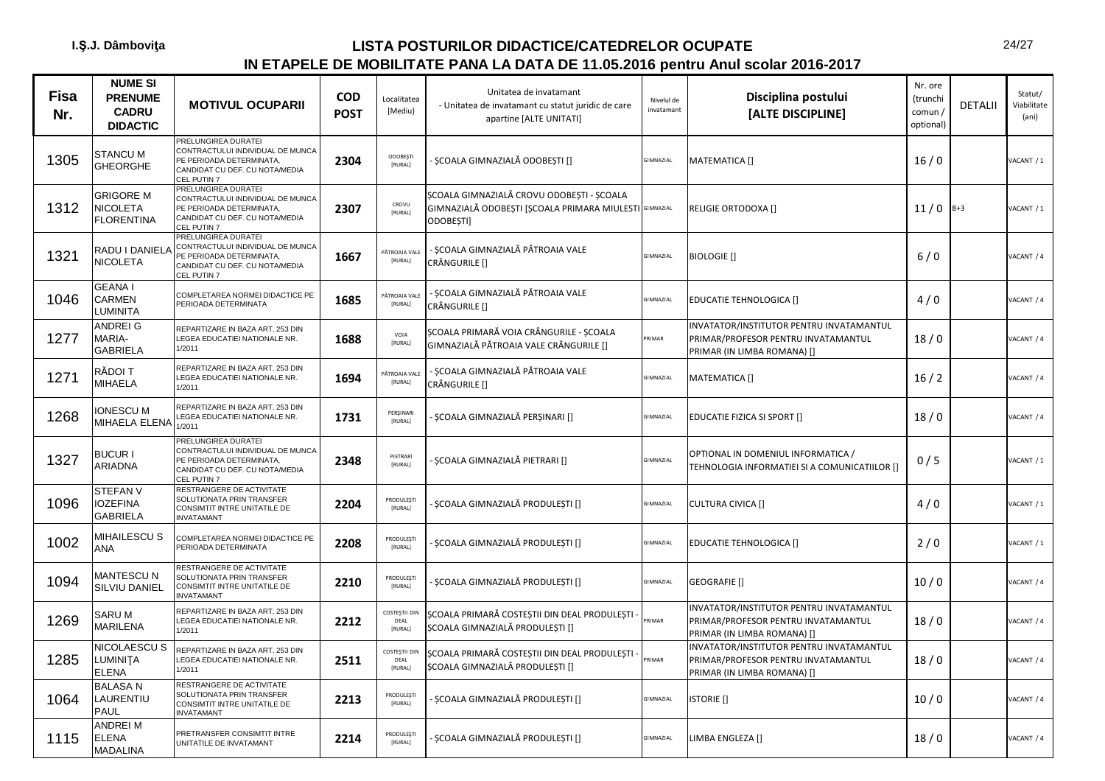| Fisa<br>Nr. | <b>NUME SI</b><br><b>PRENUME</b><br><b>CADRU</b><br><b>DIDACTIC</b> | <b>MOTIVUL OCUPARII</b>                                                                                                              | <b>COD</b><br><b>POST</b> | Localitatea<br>[Mediu}           | Unitatea de invatamant<br>- Unitatea de invatamant cu statut juridic de care<br>apartine [ALTE UNITATI]          | Nivelul de<br>invatamant | Disciplina postului<br>[ALTE DISCIPLINE]                                                                       | Nr. ore<br>(trunchi<br>comun /<br>optional) | <b>DETALII</b> | Statut/<br>Viabilitate<br>(ani) |
|-------------|---------------------------------------------------------------------|--------------------------------------------------------------------------------------------------------------------------------------|---------------------------|----------------------------------|------------------------------------------------------------------------------------------------------------------|--------------------------|----------------------------------------------------------------------------------------------------------------|---------------------------------------------|----------------|---------------------------------|
| 1305        | <b>STANCU M</b><br><b>GHEORGHE</b>                                  | PRELUNGIREA DURATEI<br>CONTRACTULUI INDIVIDUAL DE MUNCA<br>PE PERIOADA DETERMINATA,<br>CANDIDAT CU DEF. CU NOTA/MEDIA<br>CEL PUTIN 7 | 2304                      | <b>ODOBESTI</b><br><b>FRURAL</b> | ȘCOALA GIMNAZIALĂ ODOBEȘTI []                                                                                    | GIMNAZIAL                | MATEMATICA []                                                                                                  | 16/0                                        |                | VACANT / 1                      |
| 1312        | <b>GRIGORE M</b><br><b>NICOLETA</b><br><b>FLORENTINA</b>            | PRELUNGIREA DURATEI<br>CONTRACTULUI INDIVIDUAL DE MUNCA<br>PE PERIOADA DETERMINATA,<br>CANDIDAT CU DEF. CU NOTA/MEDIA<br>CEL PUTIN 7 | 2307                      | CROVU<br>[RURAL]                 | SCOALA GIMNAZIALĂ CROVU ODOBESTI - SCOALA<br>GIMNAZIALĂ ODOBEȘTI [ȘCOALA PRIMARA MIULESTI GIMNAZIAL<br>ODOBESTI] |                          | RELIGIE ORTODOXA []                                                                                            | 11/0                                        | $8 + 3$        | VACANT / 1                      |
| 1321        | RADU I DANIELA<br><b>NICOLETA</b>                                   | PRELUNGIREA DURATEI<br>CONTRACTULUI INDIVIDUAL DE MUNCA<br>PE PERIOADA DETERMINATA,<br>CANDIDAT CU DEF. CU NOTA/MEDIA<br>CEL PUTIN 7 | 1667                      | PĂTROAIA VALE<br>[RURAL]         | SCOALA GIMNAZIALĂ PĂTROAIA VALE<br>CRÂNGURILE []                                                                 | GIMNAZIAL                | <b>BIOLOGIE</b> []                                                                                             | 6/0                                         |                | VACANT / 4                      |
| 1046        | <b>GEANAI</b><br><b>CARMEN</b><br><b>LUMINITA</b>                   | COMPLETAREA NORMEI DIDACTICE PE<br>PERIOADA DETERMINATA                                                                              | 1685                      | <b>PĂTROAIA VALI</b><br>[RURAL]  | ȘCOALA GIMNAZIALĂ PĂTROAIA VALE<br>CRÂNGURILE []                                                                 | GIMNAZIAL                | <b>EDUCATIE TEHNOLOGICA []</b>                                                                                 | 4/0                                         |                | VACANT / 4                      |
| 1277        | <b>ANDREIG</b><br>MARIA-<br><b>GABRIELA</b>                         | REPARTIZARE IN BAZA ART. 253 DIN<br>EGEA EDUCATIEI NATIONALE NR.<br>1/2011                                                           | 1688                      | VOIA<br>[RURAL]                  | ȘCOALA PRIMARĂ VOIA CRÂNGURILE - ȘCOALA<br>GIMNAZIALĂ PĂTROAIA VALE CRÂNGURILE []                                | RIMAR                    | INVATATOR/INSTITUTOR PENTRU INVATAMANTUL<br>PRIMAR/PROFESOR PENTRU INVATAMANTUL<br>PRIMAR (IN LIMBA ROMANA) [] | 18/0                                        |                | VACANT / 4                      |
| 1271        | RĂDOI T<br><b>MIHAELA</b>                                           | REPARTIZARE IN BAZA ART. 253 DIN<br>EGEA EDUCATIEI NATIONALE NR.<br>1/2011                                                           | 1694                      | PĂTROAIA VALI<br>[RURAL]         | SCOALA GIMNAZIALĂ PĂTROAIA VALE<br>CRÂNGURILE []                                                                 | GIMNAZIAL                | MATEMATICA []                                                                                                  | 16/2                                        |                | VACANT / 4                      |
| 1268        | <b>IONESCU M</b><br>MIHAELA ELENA                                   | REPARTIZARE IN BAZA ART. 253 DIN<br>LEGEA EDUCATIEI NATIONALE NR.<br>1/2011                                                          | 1731                      | PERSINARI<br>[RURAL]             | SCOALA GIMNAZIALĂ PERSINARI []                                                                                   | GIMNAZIAL                | EDUCATIE FIZICA SI SPORT []                                                                                    | 18/0                                        |                | VACANT / 4                      |
| 1327        | <b>BUCUR I</b><br><b>ARIADNA</b>                                    | PRELUNGIREA DURATEI<br>CONTRACTULUI INDIVIDUAL DE MUNCA<br>PE PERIOADA DETERMINATA.<br>CANDIDAT CU DEF. CU NOTA/MEDIA<br>CEL PUTIN 7 | 2348                      | PIETRARI<br>[RURAL]              | ȘCOALA GIMNAZIALĂ PIETRARI []                                                                                    | <b>GIMNAZIAL</b>         | OPTIONAL IN DOMENIUL INFORMATICA /<br>TEHNOLOGIA INFORMATIEI SI A COMUNICATIILOR []                            | 0/5                                         |                | ACANT / 1                       |
| 1096        | <b>STEFAN V</b><br><b>IOZEFINA</b><br><b>GABRIELA</b>               | RESTRANGERE DE ACTIVITATE<br>SOLUTIONATA PRIN TRANSFER<br>CONSIMTIT INTRE UNITATILE DE<br><b>NVATAMANT</b>                           | 2204                      | PRODULEŞTI<br>[RURAL]            | ȘCOALA GIMNAZIALĂ PRODULEȘTI []                                                                                  | GIMNAZIAL                | <b>CULTURA CIVICA []</b>                                                                                       | 4/0                                         |                | VACANT / 1                      |
| 1002        | MIHAILESCU S<br><b>ANA</b>                                          | COMPLETAREA NORMEI DIDACTICE PE<br><b>PERIOADA DETERMINATA</b>                                                                       | 2208                      | PRODULESTI<br>[RURAL]            | ȘCOALA GIMNAZIALĂ PRODULEȘTI []                                                                                  | GIMNAZIAL                | EDUCATIE TEHNOLOGICA []                                                                                        | 2/0                                         |                | VACANT / 1                      |
| 1094        | <b>MANTESCU N</b><br>SILVIU DANIEL                                  | RESTRANGERE DE ACTIVITATE<br>SOLUTIONATA PRIN TRANSFER<br>CONSIMTIT INTRE UNITATILE DE<br>NVATAMANT                                  | 2210                      | PRODULESTI<br>[RURAL]            | ȘCOALA GIMNAZIALĂ PRODULEȘTI []                                                                                  | GIMNAZIAL                | GEOGRAFIE []                                                                                                   | 10/0                                        |                | <b>JACANT / 4</b>               |
| 1269        | SARU M<br><b>MARILENA</b>                                           | REPARTIZARE IN BAZA ART. 253 DIN<br>EGEA EDUCATIEI NATIONALE NR.<br>1/2011                                                           | 2212                      | COSTEȘTII DIN<br>DEAL<br>[RURAL] | ȘCOALA PRIMARĂ COSTEȘTII DIN DEAL PRODULEȘTI<br>ȘCOALA GIMNAZIALĂ PRODULEȘTI []                                  | RIMAR                    | INVATATOR/INSTITUTOR PENTRU INVATAMANTUL<br>PRIMAR/PROFESOR PENTRU INVATAMANTUL<br>PRIMAR (IN LIMBA ROMANA) [] | 18/0                                        |                | VACANT / 4                      |
| 1285        | <b>NICOLAESCU S</b><br><b>LUMINITA</b><br><b>ELENA</b>              | REPARTIZARE IN BAZA ART. 253 DIN<br>EGEA EDUCATIEI NATIONALE NR.<br>1/2011                                                           | 2511                      | COSTEȘTII DIN<br>DFAI<br>[RURAL] | ȘCOALA PRIMARĂ COSTEȘTII DIN DEAL PRODULEȘTI<br>ȘCOALA GIMNAZIALĂ PRODULEȘTI []                                  | RIMAR                    | INVATATOR/INSTITUTOR PENTRU INVATAMANTUL<br>PRIMAR/PROFESOR PENTRU INVATAMANTUL<br>PRIMAR (IN LIMBA ROMANA) [] | 18/0                                        |                | VACANT / 4                      |
| 1064        | <b>BALASAN</b><br>LAURENTIU<br>PAUL                                 | RESTRANGERE DE ACTIVITATE<br>SOLUTIONATA PRIN TRANSFER<br><b>CONSIMTIT INTRE UNITATILE DE</b><br><b>INVATAMANT</b>                   | 2213                      | PRODULEŞTI<br>[RURAL]            | ȘCOALA GIMNAZIALĂ PRODULEȘTI []                                                                                  | GIMNAZIAL                | <b>ISTORIE</b> []                                                                                              | 10/0                                        |                | VACANT / 4                      |
| 1115        | <b>ANDREI M</b><br><b>ELENA</b><br><b>MADALINA</b>                  | PRETRANSFER CONSIMTIT INTRE<br>UNITATILE DE INVATAMANT                                                                               | 2214                      | PRODULEST<br>[RURAL]             | SCOALA GIMNAZIALĂ PRODULESTI []                                                                                  | GIMNAZIAL                | LIMBA ENGLEZA []                                                                                               | 18/0                                        |                | VACANT / 4                      |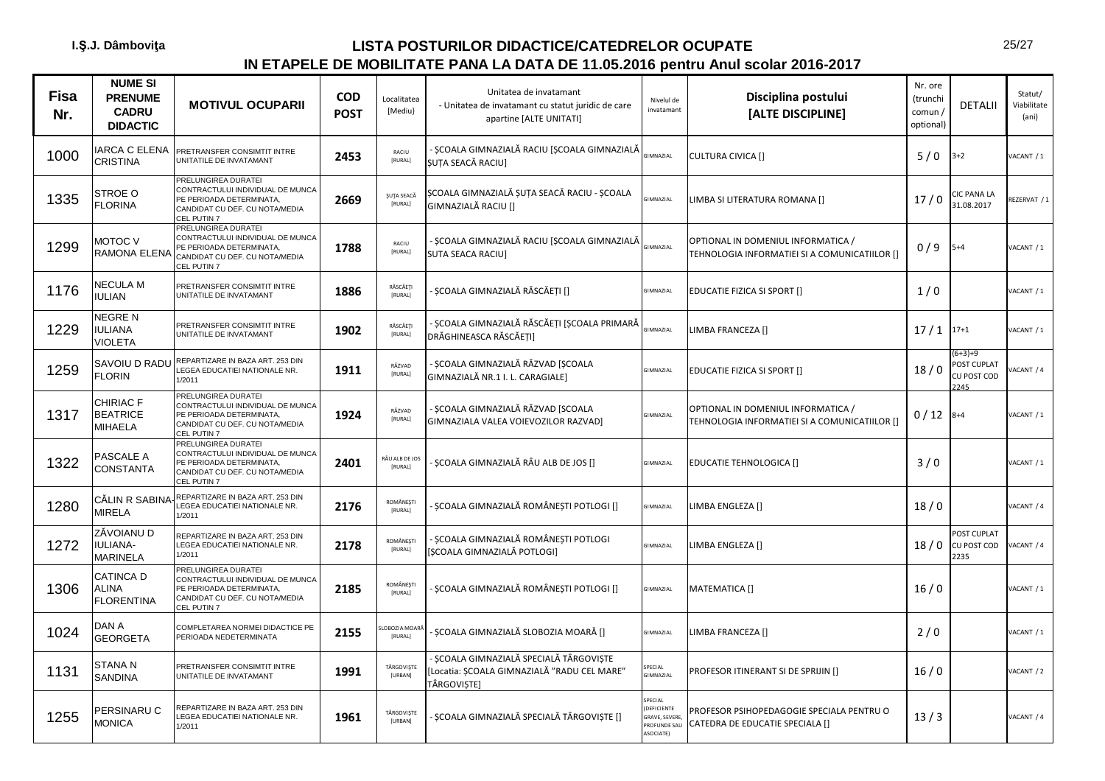| <b>Fisa</b><br>Nr. | <b>NUME SI</b><br><b>PRENUME</b><br><b>CADRU</b><br><b>DIDACTIC</b> | <b>MOTIVUL OCUPARII</b>                                                                                                              | <b>COD</b><br><b>POST</b> | Localitatea<br>[Mediu]      | Unitatea de invatamant<br>- Unitatea de invatamant cu statut juridic de care<br>apartine [ALTE UNITATI] | Nivelul de<br>invatamant                                            | Disciplina postului<br>[ALTE DISCIPLINE]                                            | Nr. ore<br>(trunchi<br>comun/<br>optional) | <b>DETALII</b>                                      | Statut/<br>Viabilitate<br>(ani) |
|--------------------|---------------------------------------------------------------------|--------------------------------------------------------------------------------------------------------------------------------------|---------------------------|-----------------------------|---------------------------------------------------------------------------------------------------------|---------------------------------------------------------------------|-------------------------------------------------------------------------------------|--------------------------------------------|-----------------------------------------------------|---------------------------------|
| 1000               | <b>ARCA C ELENA</b><br>CRISTINA                                     | PRETRANSFER CONSIMTIT INTRE<br>UNITATILE DE INVATAMANT                                                                               | 2453                      | RACIU<br>[RURAL]            | SCOALA GIMNAZIALĂ RACIU [ȘCOALA GIMNAZIALĂ<br>ȘUȚA SEACĂ RACIU]                                         | <b>GIMNAZIAL</b>                                                    | <b>CULTURA CIVICA []</b>                                                            | 5/0                                        | $3 + 2$                                             | ACANT / 1                       |
| 1335               | STROE O<br><b>FLORINA</b>                                           | PRELUNGIREA DURATEI<br>CONTRACTULUI INDIVIDUAL DE MUNCA<br>PE PERIOADA DETERMINATA,<br>CANDIDAT CU DEF. CU NOTA/MEDIA<br>CEL PUTIN 7 | 2669                      | ŞUȚA SEACĂ<br>[RURAL]       | ȘCOALA GIMNAZIALĂ ȘUȚA SEACĂ RACIU - ȘCOALA<br>GIMNAZIALĂ RACIU []                                      | <b>GIMNAZIAL</b>                                                    | LIMBA SI LITERATURA ROMANA []                                                       | 17/0                                       | <b>IC PANA LA</b><br>31.08.2017                     | REZERVAT / 1                    |
| 1299               | <b>MOTOC V</b><br>RAMONA ELENA                                      | PRELUNGIREA DURATEI<br>CONTRACTULUI INDIVIDUAL DE MUNCA<br>PE PERIOADA DETERMINATA,<br>CANDIDAT CU DEF. CU NOTA/MEDIA<br>CEL PUTIN 7 | 1788                      | RACIU<br>[RURAL]            | SCOALA GIMNAZIALĂ RACIU [SCOALA GIMNAZIALĂ<br><b>SUTA SEACA RACIU]</b>                                  | <b>GIMNAZIAL</b>                                                    | OPTIONAL IN DOMENIUL INFORMATICA /<br>TEHNOLOGIA INFORMATIEI SI A COMUNICATIILOR [] | 0/9                                        | $5 + 4$                                             | VACANT / 1                      |
| 1176               | NECULA M<br><b>IULIAN</b>                                           | PRETRANSFER CONSIMTIT INTRE<br>UNITATILE DE INVATAMANT                                                                               | 1886                      | RĂSCĂEȚI<br>[RURAL]         | ȘCOALA GIMNAZIALĂ RĂSCĂEȚI []                                                                           | GIMNAZIAL                                                           | EDUCATIE FIZICA SI SPORT []                                                         | 1/0                                        |                                                     | VACANT / 1                      |
| 1229               | NEGRE N<br><b>IULIANA</b><br><b>VIOLETA</b>                         | PRETRANSFER CONSIMTIT INTRE<br>UNITATILE DE INVATAMANT                                                                               | 1902                      | RĂSCĂEȚI<br>[RURAL]         | ȘCOALA GIMNAZIALĂ RĂSCĂEȚI [ȘCOALA PRIMARĂ<br>DRĂGHINEASCA RĂSCĂETI]                                    | <b>SIMNAZIAL</b>                                                    | LIMBA FRANCEZA []                                                                   | $17/1$ $17+1$                              |                                                     | VACANT / 1                      |
| 1259               | SAVOIU D RADU<br><b>FLORIN</b>                                      | REPARTIZARE IN BAZA ART. 253 DIN<br>LEGEA EDUCATIEI NATIONALE NR.<br>1/2011                                                          | 1911                      | RĂZVAD<br>[RURAL]           | - ȘCOALA GIMNAZIALĂ RĂZVAD [ȘCOALA<br>GIMNAZIALĂ NR.1 I. L. CARAGIALE]                                  | <b>GIMNAZIAL</b>                                                    | EDUCATIE FIZICA SI SPORT []                                                         | 18/0                                       | $6+3+9$<br><b>POST CUPLAT</b><br>CU POST COD<br>245 | ACANT / 4                       |
| 1317               | CHIRIAC F<br><b>BEATRICE</b><br>MIHAELA                             | PRELUNGIREA DURATEI<br>CONTRACTULUI INDIVIDUAL DE MUNCA<br>PE PERIOADA DETERMINATA,<br>CANDIDAT CU DEF. CU NOTA/MEDIA<br>CEL PUTIN 7 | 1924                      | RĂZVAD<br>[RURAL]           | SCOALA GIMNAZIALĂ RĂZVAD [SCOALA<br>GIMNAZIALA VALEA VOIEVOZILOR RAZVAD]                                | <b>SIMNAZIAL</b>                                                    | OPTIONAL IN DOMENIUL INFORMATICA /<br>TEHNOLOGIA INFORMATIEI SI A COMUNICATIILOR [] | 0/12                                       | $8 + 4$                                             | VACANT / 1                      |
| 1322               | PASCALE A<br>CONSTANTA                                              | PRELUNGIREA DURATEI<br>CONTRACTULUI INDIVIDUAL DE MUNCA<br>PE PERIOADA DETERMINATA,<br>CANDIDAT CU DEF. CU NOTA/MEDIA<br>CEL PUTIN 7 | 2401                      | RÂU ALB DE JOS<br>[RURAL]   | SCOALA GIMNAZIALĂ RÂU ALB DE JOS []                                                                     | GIMNAZIAL                                                           | EDUCATIE TEHNOLOGICA []                                                             | 3/0                                        |                                                     | VACANT / 1                      |
| 1280               | CĂLIN R SABINA<br><b>MIRELA</b>                                     | REPARTIZARE IN BAZA ART. 253 DIN<br>LEGEA EDUCATIEI NATIONALE NR.<br>1/2011                                                          | 2176                      | <b>ROMÂNESTI</b><br>[RURAL] | ȘCOALA GIMNAZIALĂ ROMÂNEȘTI POTLOGI []                                                                  | <b>GIMNAZIAL</b>                                                    | LIMBA ENGLEZA []                                                                    | 18/0                                       |                                                     | VACANT / 4                      |
| 1272               | ZĂVOIANU D<br>IULIANA-<br><b>MARINELA</b>                           | REPARTIZARE IN BAZA ART. 253 DIN<br>LEGEA EDUCATIEI NATIONALE NR.<br>1/2011                                                          | 2178                      | ROMÂNESTI<br>[RURAL]        | ȘCOALA GIMNAZIALĂ ROMÂNEȘTI POTLOGI<br>[SCOALA GIMNAZIALĂ POTLOGI]                                      | <b>GIMNAZIAL</b>                                                    | LIMBA ENGLEZA []                                                                    | 18/0                                       | POST CUPLAT<br>CU POST COD<br>2235                  | ACANT / 4                       |
| 1306               | CATINCA D<br>ALINA<br><b>FLORENTINA</b>                             | PRELUNGIREA DURATEI<br>CONTRACTULUI INDIVIDUAL DE MUNCA<br>PE PERIOADA DETERMINATA,<br>CANDIDAT CU DEF. CU NOTA/MEDIA<br>CEL PUTIN 7 | 2185                      | <b>ROMÂNESTI</b><br>[RURAL] | ȘCOALA GIMNAZIALĂ ROMÂNEȘTI POTLOGI []                                                                  | <b>GIMNAZIAL</b>                                                    | MATEMATICA []                                                                       | 16/0                                       |                                                     | VACANT / 1                      |
| 1024               | DAN A<br><b>GEORGETA</b>                                            | COMPLETAREA NORMEI DIDACTICE PE<br>PERIOADA NEDETERMINATA                                                                            | 2155                      | OBOZIA MOA<br>[RURAL]       | SCOALA GIMNAZIALĂ SLOBOZIA MOARĂ []                                                                     | GIMNAZIAL                                                           | LIMBA FRANCEZA []                                                                   | 2/0                                        |                                                     | VACANT / 1                      |
| 1131               | <b>STANAN</b><br><b>SANDINA</b>                                     | PRETRANSFER CONSIMTIT INTRE<br>UNITATILE DE INVATAMANT                                                                               | 1991                      | TÂRGOVISTE<br>[URBAN]       | ȘCOALA GIMNAZIALĂ SPECIALĂ TÂRGOVIȘTE<br>[Locatia: ȘCOALA GIMNAZIALĂ "RADU CEL MARE"<br>TÂRGOVIȘTE]     | PECIAL<br>GIMNAZIAL                                                 | PROFESOR ITINERANT SI DE SPRIJIN []                                                 | 16/0                                       |                                                     | VACANT / 2                      |
| 1255               | PERSINARU C<br><b>MONICA</b>                                        | REPARTIZARE IN BAZA ART. 253 DIN<br><b>LEGEA EDUCATIEI NATIONALE NR.</b><br>1/2011                                                   | 1961                      | TÂRGOVIȘTE<br>[URBAN]       | ȘCOALA GIMNAZIALĂ SPECIALĂ TÂRGOVIȘTE []                                                                | PECIAL<br>DEFICIENTE<br>GRAVE, SEVERE,<br>PROFUNDE SAU<br>ASOCIATE) | PROFESOR PSIHOPEDAGOGIE SPECIALA PENTRU O<br>CATEDRA DE EDUCATIE SPECIALA []        | 13/3                                       |                                                     | <b>JACANT / 4</b>               |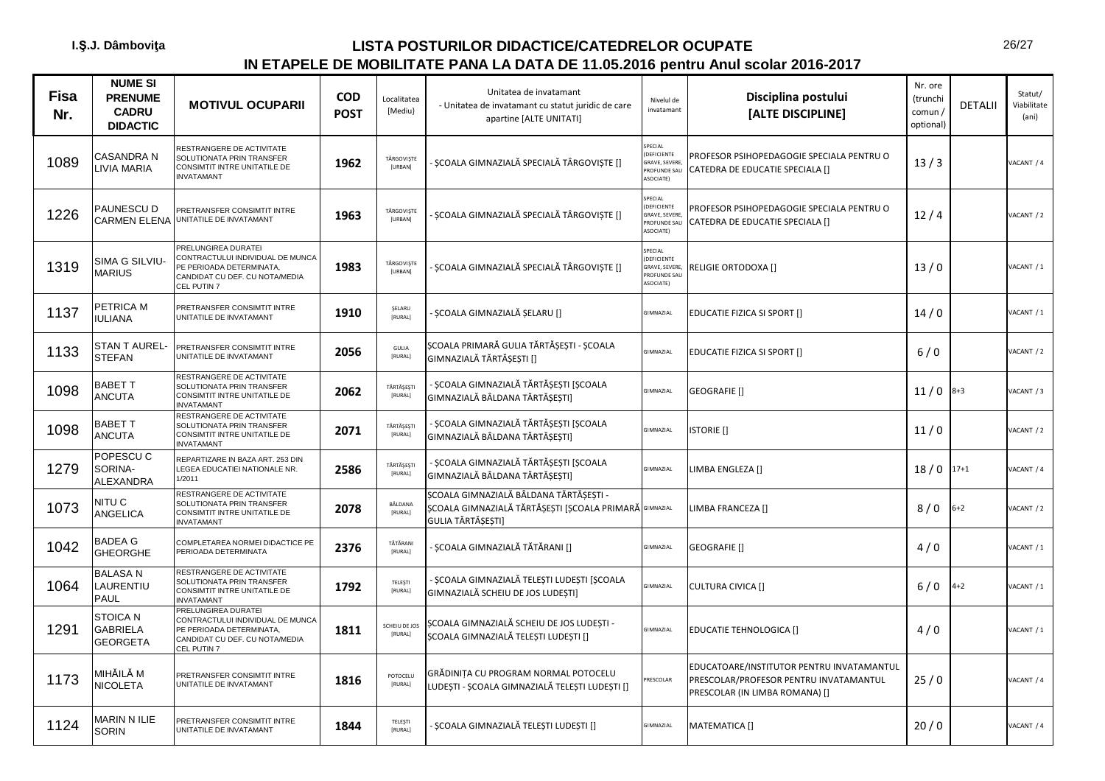| <b>Fisa</b><br>Nr. | <b>NUME SI</b><br><b>PRENUME</b><br><b>CADRU</b><br><b>DIDACTIC</b> | <b>MOTIVUL OCUPARII</b>                                                                                                              | <b>COD</b><br><b>POST</b> | Localitatea<br>[Mediu}    | Unitatea de invatamant<br>- Unitatea de invatamant cu statut juridic de care<br>apartine [ALTE UNITATI]               | Nivelul de<br>invatamant                                             | Disciplina postului<br>[ALTE DISCIPLINE]                                                                              | Nr. ore<br>(trunchi<br>comun/<br>optional) | <b>DETALII</b> | Statut/<br>Viabilitate<br>(ani) |
|--------------------|---------------------------------------------------------------------|--------------------------------------------------------------------------------------------------------------------------------------|---------------------------|---------------------------|-----------------------------------------------------------------------------------------------------------------------|----------------------------------------------------------------------|-----------------------------------------------------------------------------------------------------------------------|--------------------------------------------|----------------|---------------------------------|
| 1089               | CASANDRA N<br><b>IVIA MARIA</b>                                     | RESTRANGERE DE ACTIVITATE<br>SOLUTIONATA PRIN TRANSFER<br>CONSIMTIT INTRE UNITATILE DE<br><b>INVATAMANT</b>                          | 1962                      | TÂRGOVISTE<br>[URBAN]     | ȘCOALA GIMNAZIALĂ SPECIALĂ TÂRGOVIȘTE []                                                                              | SPECIAL<br>(DEFICIENTE<br>GRAVE, SEVERE<br>PROFUNDE SAU<br>ASOCIATE) | PROFESOR PSIHOPEDAGOGIE SPECIALA PENTRU O<br>CATEDRA DE EDUCATIE SPECIALA []                                          | 13/3                                       |                | VACANT / 4                      |
| 1226               | PAUNESCU D<br><b>CARMEN ELENA</b>                                   | PRETRANSFER CONSIMTIT INTRE<br>UNITATILE DE INVATAMANT                                                                               | 1963                      | TÂRGOVIȘTE<br>[URBAN]     | ȘCOALA GIMNAZIALĂ SPECIALĂ TÂRGOVIȘTE []                                                                              | SPECIAL<br>(DEFICIENTE<br>GRAVE, SEVERE<br>PROFUNDE SAU<br>ASOCIATE) | PROFESOR PSIHOPEDAGOGIE SPECIALA PENTRU O<br>CATEDRA DE EDUCATIE SPECIALA []                                          | 12/4                                       |                | VACANT / 2                      |
| 1319               | SIMA G SILVIU-<br><b>MARIUS</b>                                     | PRELUNGIREA DURATEI<br>CONTRACTULUI INDIVIDUAL DE MUNCA<br>PE PERIOADA DETERMINATA,<br>CANDIDAT CU DEF. CU NOTA/MEDIA<br>CEL PUTIN 7 | 1983                      | TÂRGOVISTE<br>[URBAN]     | SCOALA GIMNAZIALĂ SPECIALĂ TÂRGOVISTE []                                                                              | SPECIAL<br>(DEFICIENTE<br>GRAVE, SEVERE<br>PROFUNDE SAU<br>ASOCIATE) | RELIGIE ORTODOXA []                                                                                                   | 13/0                                       |                | VACANT / 1                      |
| 1137               | PETRICA M<br><b>IULIANA</b>                                         | PRETRANSFER CONSIMTIT INTRE<br>UNITATILE DE INVATAMANT                                                                               | 1910                      | SELARU<br>[RURAL]         | ȘCOALA GIMNAZIALĂ ȘELARU []                                                                                           | GIMNAZIAL                                                            | EDUCATIE FIZICA SI SPORT []                                                                                           | 14/0                                       |                | VACANT / 1                      |
| 1133               | STAN T AUREL-<br><b>STEFAN</b>                                      | PRETRANSFER CONSIMTIT INTRE<br>UNITATILE DE INVATAMANT                                                                               | 2056                      | GULIA<br>[RURAL]          | SCOALA PRIMARĂ GULIA TĂRTĂSESTI - SCOALA<br>GIMNAZIALĂ TĂRTĂȘEȘTI []                                                  | GIMNAZIAL                                                            | EDUCATIE FIZICA SI SPORT []                                                                                           | 6/0                                        |                | ACANT / 2                       |
| 1098               | <b>BABET T</b><br><b>ANCUTA</b>                                     | RESTRANGERE DE ACTIVITATE<br>SOLUTIONATA PRIN TRANSFER<br><b>CONSIMTIT INTRE UNITATILE DE</b><br><b>INVATAMANT</b>                   | 2062                      | TĂRTĂȘEȘTI<br>[RURAL]     | SCOALA GIMNAZIALĂ TĂRTĂSESTI [SCOALA<br>GIMNAZIALĂ BÂLDANA TĂRTĂȘEȘTI]                                                | GIMNAZIAL                                                            | <b>GEOGRAFIE</b> []                                                                                                   | $11/0$ 8+3                                 |                | VACANT / 3                      |
| 1098               | <b>BABET T</b><br><b>ANCUTA</b>                                     | RESTRANGERE DE ACTIVITATE<br>SOLUTIONATA PRIN TRANSFER<br>CONSIMTIT INTRE UNITATILE DE<br><b>INVATAMANT</b>                          | 2071                      | TĂRTĂȘEȘTI<br>[RURAL]     | SCOALA GIMNAZIALĂ TĂRTĂSESTI [SCOALA<br>GIMNAZIALĂ BÂLDANA TĂRTĂȘEȘTI]                                                | GIMNAZIAL                                                            | <b>ISTORIE</b> []                                                                                                     | 11/0                                       |                | ACANT / 2                       |
| 1279               | POPESCU C<br>SORINA-<br><b>ALEXANDRA</b>                            | REPARTIZARE IN BAZA ART. 253 DIN<br>LEGEA EDUCATIEI NATIONALE NR.<br>1/2011                                                          | 2586                      | TĂRTĂȘEȘTI<br>[RURAL]     | · ȘCOALA GIMNAZIALĂ TĂRTĂȘEȘTI [ȘCOALA<br>GIMNAZIALĂ BÂLDANA TĂRTĂSESTI]                                              | GIMNAZIAL                                                            | LIMBA ENGLEZA []                                                                                                      | 18/0                                       | $17 + 1$       | VACANT / 4                      |
| 1073               | NITU C<br>ANGELICA                                                  | RESTRANGERE DE ACTIVITATE<br>SOLUTIONATA PRIN TRANSFER<br>CONSIMTIT INTRE UNITATILE DE<br><b>INVATAMANT</b>                          | 2078                      | BÂLDANA<br>[RURAL]        | ȘCOALA GIMNAZIALĂ BÂLDANA TĂRTĂȘEȘTI -<br>ŞCOALA GIMNAZIALĂ TĂRTĂȘEȘTI [ȘCOALA PRIMARĂ GIMNAZIAL<br>GULIA TĂRTĂSESTI] |                                                                      | LIMBA FRANCEZA []                                                                                                     | 8/0                                        | $6+2$          | ACANT / 2                       |
| 1042               | <b>BADEA G</b><br><b>GHEORGHE</b>                                   | COMPLETAREA NORMEI DIDACTICE PE<br>PERIOADA DETERMINATA                                                                              | 2376                      | TĂTĂRANI<br>[RURAL]       | ȘCOALA GIMNAZIALĂ TĂTĂRANI []                                                                                         | GIMNAZIAL                                                            | GEOGRAFIE []                                                                                                          | 4/0                                        |                | VACANT / 1                      |
| 1064               | <b>BALASAN</b><br>LAURENTIU<br>PAUL                                 | RESTRANGERE DE ACTIVITATE<br>SOLUTIONATA PRIN TRANSFER<br>CONSIMTIT INTRE UNITATILE DE<br><b>INVATAMANT</b>                          | 1792                      | TELEŞTI<br>[RURAL]        | ŞCOALA GIMNAZIALĂ TELEȘTI LUDEȘTI [ȘCOALA<br>GIMNAZIALĂ SCHEIU DE JOS LUDEȘTI]                                        | GIMNAZIAL                                                            | <b>CULTURA CIVICA []</b>                                                                                              | $6/0$                                      | $4 + 2$        | ACANT / 1                       |
| 1291               | <b>STOICAN</b><br><b>GABRIELA</b><br><b>GEORGETA</b>                | PRELUNGIREA DURATEI<br>CONTRACTULUI INDIVIDUAL DE MUNCA<br>PE PERIOADA DETERMINATA,<br>CANDIDAT CU DEF. CU NOTA/MEDIA<br>CEL PUTIN 7 | 1811                      | SCHEIU DE JOS<br>[RURAL]  | SCOALA GIMNAZIALĂ SCHEIU DE JOS LUDESTI -<br>ȘCOALA GIMNAZIALĂ TELEȘTI LUDEȘTI []                                     | GIMNAZIAL                                                            | EDUCATIE TEHNOLOGICA []                                                                                               | 4/0                                        |                | VACANT / 1                      |
| 1173               | MIHĂILĂ M<br><b>NICOLETA</b>                                        | PRETRANSFER CONSIMTIT INTRE<br>UNITATILE DE INVATAMANT                                                                               | 1816                      | POTOCELU<br>[RURAL]       | GRĂDINITA CU PROGRAM NORMAL POTOCELU<br>LUDESTI - SCOALA GIMNAZIALĂ TELESTI LUDESTI []                                | PRESCOLAR                                                            | EDUCATOARE/INSTITUTOR PENTRU INVATAMANTUL<br>PRESCOLAR/PROFESOR PENTRU INVATAMANTUL<br>PRESCOLAR (IN LIMBA ROMANA) [] | 25/0                                       |                | VACANT / 4                      |
| 1124               | MARIN N ILIE<br><b>SORIN</b>                                        | PRETRANSFER CONSIMTIT INTRE<br>UNITATILE DE INVATAMANT                                                                               | 1844                      | TELESTI<br><b>IRURALI</b> | ȘCOALA GIMNAZIALĂ TELEȘTI LUDEȘTI []                                                                                  | GIMNAZIAL                                                            | MATEMATICA []                                                                                                         | 20/0                                       |                | VACANT / 4                      |